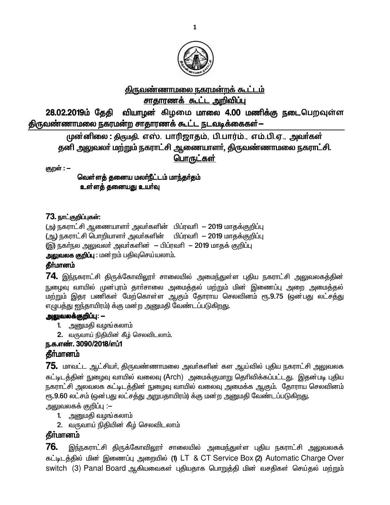

# <u>திருவண்ணாமலை நகரமன்றக் கூட்டம்</u> <u>சாதாரணக் கூட்ட அறிவிப்பு</u>

28.02.2019ம் தேதி வியாழன் கிழமை மாலை 4.00 மணிக்கு நடைபெறவுள்ள திருவண்ணாமலை நகரமன்ற சாதாரணக் கூட்ட நடவடிக்கைகள்—

முன்னிலை : திருமதி. எஸ். பாரிஜாதம், பி.பார்ம்., எம்.பி.ஏ., அவர்கள் தனி அலுவலா் மற்றும் நகராட்சி ஆணையாளா், திருவண்ணாமலை நகராட்சி. <u>பொருட்கள்</u>

குறள் : --

<u>வெள்ளத்</u> தனைய மலா்நீட்டம் மாந்தா்தம் உள்ளத் தனையது உயர்வு

### 73. நாட்குறிப்புகள்:

(அ) நகராட்சி ஆணையாளர் அவர்களின் பிப்ரவரி - 2019 மாதக்குறிப்பு (ஆ) நகராட்சி பொறியாளர் அவர்களின் பிப்ரவரி - 2019 மாதக்குறிப்பு (இ) நகா்நல அலுவலா் அவா்களின் – பிப்ரவாி – 2019 மாதக் குறிப்பு

அலுவலக குறிப்பு : மன்றம் பதிவுசெய்யலாம்.

#### தீர்மானம்

 $74$ . இந்நகராட்சி திருக்கோவிலூா் சாலையில் அமைந்துள்ள புதிய நகராட்சி அலுவலகத்தின் <u>நு</u>ழைவு வாயில் முன்புரம் தார்சாலை அமைத்தல் மற்றும் மின் இணைப்பு அறை அமைத்தல் ் மற்றும் இதர பணிகள் மேற்கொள்ள ஆகும் தோராய செலவினம் ரூ.9.75 (ஒன்பது லட்சத்து எழுபத்து ஐந்தாயிரம்) க்கு மன்ற அனுமதி வேண்டப்படுகிறது.

### **அலுவலக்குறிப்பு: --**

- 1. அனுமதி வழங்கலாம்
- 2. வருவாய் நிதியின் கீழ் செலவிடலாம்.

# ந.க.எண். 3090/2018/எப்1

### **தீர்மானம்**

 ${\bf 75}$ . மாவட்ட ஆட்சியர், திருவண்ணாமலை அவர்களின் கள ஆய்வில் புதிய நகராட்சி அலுவலக கட்டிடத்தின் நுழைவு வாயில் வலைவு (Arch) அமைக்குமாறு தெரிவிக்கப்பட்டது. இதன்படி புதிய நகராட்சி அலவலக கட்டிடத்தின் நுழைவு வாயில் வலைவு அமைக்க ஆகும். தோராய செலவினம் ரூ.9.60 லட்சம் (ஒன்பது லட்சத்து அறுபதாயிரம்) க்கு மன்ற அனுமதி வேண்டப்படுகிறது. அலுவலகக் குறிப்பு :–

- 1. அனுமதி வழங்கலாம்
- 2. வருவாய் நிதியின் கீழ் செலவிடலாம்

# **கீர்மானம்**

 $76$ . இந்நகராட்சி திருக்கோவிலூா் சாலையில் அமைந்துள்ள புதிய நகராட்சி அலுவலகக் கட்டிடத்தில் மின் இணைப்பு அறையில் (1) LT & CT Service Box (2) Automatic Charge Over switch (3) Panal Board ஆகியவைகள் புதியதாக பொறுத்தி மின் வசதிகள் செய்தல் மற்றும்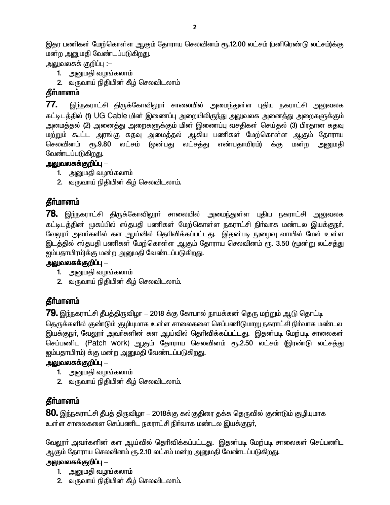இதர பணிகள் மேற்கொள்ள ஆகும் தோராய செலவினம் ரூ.12.00 லட்சம் (பனிரெண்டு லட்சம்)க்கு மன்ற அனுமதி வேண்டப்படுகிறது.

அலுவலகக் குறிப்பு :–

- 1. அனுமதி வழங்கலாம்
- 2. வருவாய் நிதியின் கீழ் செலவிடலாம்

# தீர்மானம்

77. இந்நகராட்சி திருக்கோவிலூா் சாலையில் அமைந்துள்ள புதிய நகராட்சி அலுவலக கட்டிடத்தில் (1) UG Cable மின் இணைப்பு அறையிலிருந்து அலுவலக அனைத்து அறைகளுக்கும் அமைத்தல் (2) அனைத்து அறைகளுக்கும் மின் இணைப்பு வசதிகள் செய்தல் (3) பிரதான கதவு மற்றும் கூட்ட அரங்கு கதவு அமைத்தல் ஆகிய பணிகள் மேற்கொள்ள ஆகும் தோராய செலவினம் ரூ.9.80 லட்சம் (ஒன்பது லட்சத்து எண்பதாயிரம்) க்கு மன்ற அனுமதி வேண்டப்படுகிறது.

### அலுவலகக்குறிப்பு —

- 1. அனுமதி வழங்கலாம்
- 2. வருவாய் நிதியின் கீழ் செலவிடலாம்.

# தீர்மானம்

**78.** இந்நகராட்சி திருக்கோவிலூா் சாலையில் அமைந்துள்ள புதிய நகராட்சி அலுவலக கட்டிடத்தின் முகப்பில் ஸ்தபதி பணிகள் மேற்கொள்ள நகராட்சி நிர்வாக மண்டல இயக்குநர். வேலூா் அவா்களில் கள ஆய்வில் தொிவிக்கப்பட்டது. இதன்படி நுழைவு வாயில் மேல் உள்ள இடத்தில் ஸ்தபதி பணிகள் மேற்கொள்ள ஆகும் தோராய செலவினம் ரூ. 3.50 (மூன்று லட்சத்து ஐம்பதாயிரம்)க்கு மன்ற அனுமதி வேண்டப்படுகிறது.

### அலுவலகக்குறிப்பு  $-$

- 1. அனுமதி வழங்கலாம்
- 2. வருவாய் நிதியின் கீழ் செலவிடலாம்.

# தீா்மானம்

**79.** இந்நகராட்சி தீபத்திருவிழா -- 2018 க்கு கோபால் நாயக்கன் தெரு மற்றும் ஆடு தொட்டி

தெருக்களில் குண்டும் குழியுமாக உள்ள சாலைகளை செப்பணிடுமாறு நகராட்சி நிர்வாக மண்டல இயக்குநா், வேலூா் அவா்களின் கள ஆய்வில் தொிவிக்கப்பட்டது. இதன்படி மேற்படி சாலைகள் செப்பணிட (Patch work) ஆகும் தோராய செலவினம் ரூ.2.50 லட்சம் (இரண்டு லட்சத்து ஐம்பதாயிரம்) க்கு மன்ற அனுமதி வேண்டப்படுகிறது.

# அலுவலகக்குறிப்பு —

- 1. அனுமதி வழங்கலாம்
- 2. வருவாய் நிதியின் கீழ் செலவிடலாம்.

# தீர்மானம்

 ${\bf 80}$ . இந்நகராட்சி தீபத் திருவிழா  $-$  2018க்கு கல்குதிரை தக்க தெருவில் குண்டும் குழியுமாக உள்ள சாலைகளை செப்பணிட நகராட்சி நிர்வாக மண்டல இயக்குநர்,

வேலூா் அவா்களின் கள ஆய்வில் தொிவிக்கப்பட்டது. இதன்படி மேற்படி சாலைகள் செப்பணிட ஆகும் தோராய செலவினம் ரூ.2.10 லட்சம் மன்ற அனுமதி வேண்டப்படுகிறது.

# அலுவலகக்குறிப்பு —

- 1. அனுமதி வழங்கலாம்
- 2. வருவாய் நிதியின் கீழ் செலவிடலாம்.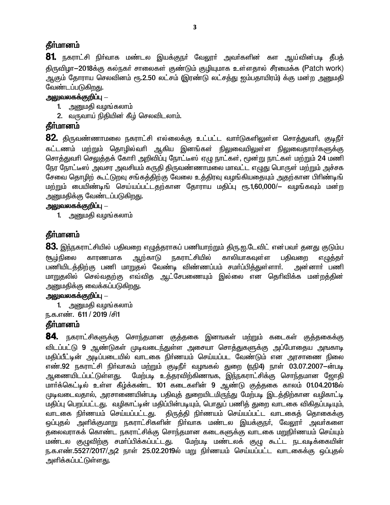### **கீர்மானம்**

81. நகராட்சி நிர்வாக மண்டல இயக்குநர் வேலூர் அவர்களின் கள ஆய்வின்படி தீபத் திருவிழா—2018க்கு கல்நகர் சாலைகள் குண்டும் குழியுமாக உள்ளதால் சீரமைக்க (Patch work) ஆகும் தோராய செலவினம் ரூ.2.50 லட்சம் (இரண்டு லட்சத்து ஐம்பதாயிரம்) க்கு மன்ற அனுமதி வேண்டப்படுகிறது.

#### அலுவலகக்குறிப்பு  $-$

- 1. அனுமதி வழங்கலாம்
- 2. வருவாய் நிதியின் கீழ் செலவிடலாம்.

# தீர்மானம்

**82.** திருவண்ணாமலை நகராட்சி எல்லைக்கு உட்பட்ட வாா்டுகளிலுள்ள சொத்துவாி, குடிநீா் கட்டணம் மற்றும் தொழில்வரி ஆகிய இனங்கள் நிலுவையிலுள்ள நிலுவைதாரா்களுக்கு சொத்துவரி செலுத்தக் கோரி அறிவிப்பு நோட்டீஸ் ஏழு நாட்கள், மூன்று நாட்கள் மற்றும் 24 மணி நேர நோட்டீஸ் அவசர அவசியம் கருதி திருவண்ணாமலை மாவட்ட எழுது பொருள் மற்றும் அச்சக சேவை தொழிற் கூட்டுறவு சங்கத்திற்கு வேலை உத்திரவு வழங்கியதையும் அதற்கான பிரிண்டிங் மற்றும் பையிண்டிங் செய்யப்பட்டதற்கான தோராய மதிப்பு ரூ.1,60,000/— வழங்கவும் மன்ற அனுமதிக்கு வேண்டப்படுகிறது.

#### அலுவலகக்குறிப்பு  $-$

1. அனுமதி வழங்கலாம்

### தீர்மானம்

 ${\bf 83}$ . இந்நகராட்சியில் பதிவறை எழுத்தராகப் பணியாற்றும் திரு.ஐ.டேவிட் என்பவர் தனது குடும்ப காலியாகவுள்ள எழுத்தர் ஆற்காடு <u> நகராட்சியில்</u> <u>சூழ்நி</u>லை காரணமாக பகிவளை பணியிடத்திற்கு பணி மாறுதல் வேண்டி விண்ணப்பம் சமா்ப்பித்துள்ளாா். அன்னாா் பணி மாறுதலில் செல்வதற்கு எவ்வித ஆட்சேபணையும் இல்லை என தெரிவிக்க மன்றத்தின் அனுமதிக்கு வைக்கப்படுகி<u>றத</u>ு.

#### <u> அலுவலகக்குறிப்பு – </u>

- 1. அனுமதி வழங்கலாம்
- ந.க.எண். 611 / 2019 /சி1

### தீர்மானம்

**84.** நகராட்சிகளுக்கு சொந்தமான குத்தகை இனஙகள் மற்றும் கடைகள் குத்தகைக்கு விடப்பட்டு 9 ஆண்டுகள் முடிவடைந்துள்ள அசையா சொத்துகளுக்கு அப்போதைய அஙகாடி <u>மதிப்பீட்டின் அடிப்படையில் வாடகை நிர்ணயம் செய்யப்பட வேண்டும் என அரசாணை நிலை</u> எண்.92 நகராட்சி நிர்வாகம் மற்றும் குடிநீர் வழஙகல் துறை (நநி4) நாள் 03.07.2007-ன்படி ஆணையிடப்பட்டுள்ளது. மேற்படி உத்தரவிற்கிணஙக, இந்நகராட்சிக்கு சொந்தமான ஜோதி மார்க்கெட்டில் உள்ள கீழ்க்கண்ட 101 கடைகளின் 9 ஆண்டு குத்தகை காலம் 01.04.2018ல் முடிவடைவதால், அரசாணையின்படி பதிவுத் துறையிடமிருந்து மேற்படி இடத்திற்கான வழிகாட்டி மதிப்பு பெறப்பட்டது. வழிகாட்டின் மதிப்பின்படியும், பொதுப் பணித் துறை வாடகை விகிதப்படியும், வாடகை நிா்ணயம் செய்யப்பட்டது. திருத்தி நிர்ணயம் செய்யப்பட்ட வாடகைத் தொகைக்கு ஒப்புதல் அளிக்குமாறு நகராட்சிகளின் நிா்வாக மண்டல இயக்குநா், வேலூா் அவா்களை தலைவராகக் கொண்ட நகராட்சிக்கு சொந்தமான கடைகளுக்கு வாடகை மறுநிர்ணயம் செய்யும் .<br>பேற்படி மண்டலக் குழு கூட்ட நடவடிக்கையின் மண்டல குழுவிற்கு சமா்ப்பிக்கப்பட்டது. ந.க.எண்.5527/2017/அ2 நாள் 25.02.2019ல் மறு நிர்ணயம் செய்யப்பட்ட வாடகைக்கு ஒப்புதல் அளிக்கப்பட்டுள்ள<u>த</u>ு.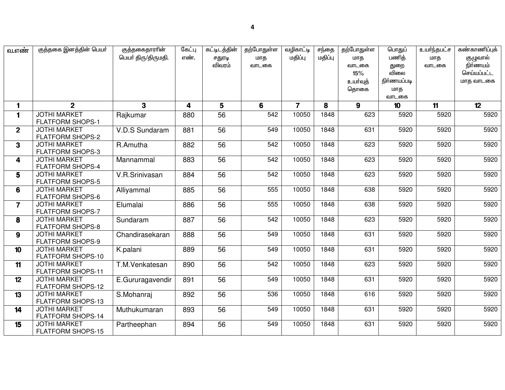| வ.எண்                   | குத்தகை இனத்தின் பெயர்                          | குத்தகைதாராின்<br>பெயர் திரு/திருமதி. | கேட்பு<br>எண்.          | கட்டிடத்தின்<br>சதுரடி | தற்போதுள்ள<br>மாத | வழிகாட்டி<br>மதிப்பு | சந்தை<br>மதிப்பு | தற்போதுள்ள<br>மாத | பொதுப்<br>பணித்  | உயர்ந்தபட்ச<br>மாக | கண்காணிப்புக்<br>குழுவால் |
|-------------------------|-------------------------------------------------|---------------------------------------|-------------------------|------------------------|-------------------|----------------------|------------------|-------------------|------------------|--------------------|---------------------------|
|                         |                                                 |                                       |                         | விவரம்                 | வாடகை             |                      |                  | வாடகை             | துறை<br>விலை     | வாடகை              | நிர்ணயம்<br>செய்யப்பட்ட   |
|                         |                                                 |                                       |                         |                        |                   |                      |                  | 15%<br>உயர்வுத்   | நிர்ணயப்படி      |                    |                           |
|                         |                                                 |                                       |                         |                        |                   |                      |                  | தொகை              | மாத              |                    | மாத வாடகை                 |
|                         |                                                 |                                       |                         |                        |                   |                      |                  |                   | வாடகை            |                    |                           |
| $\mathbf{1}$            | 2 <sup>1</sup>                                  | $\mathbf{3}$                          | $\overline{\mathbf{4}}$ | 5                      | 6                 | $\overline{7}$       | 8                | 9                 | 10 <sup>10</sup> | 11                 | 12                        |
| $\mathbf{1}$            | <b>JOTHI MARKET</b>                             | Rajkumar                              | 880                     | 56                     | 542               | 10050                | 1848             | 623               | 5920             | 5920               | 5920                      |
|                         | <b>FLATFORM SHOPS-1</b>                         |                                       |                         |                        |                   |                      |                  |                   |                  |                    |                           |
| 2 <sup>1</sup>          | <b>JOTHI MARKET</b>                             | V.D.S Sundaram                        | 881                     | 56                     | 549               | 10050                | 1848             | 631               | 5920             | 5920               | 5920                      |
|                         | <b>FLATFORM SHOPS-2</b>                         |                                       |                         |                        |                   |                      |                  |                   |                  |                    |                           |
| 3 <sup>1</sup>          | <b>JOTHI MARKET</b>                             | R.Amutha                              | 882                     | 56                     | 542               | 10050                | 1848             | 623               | 5920             | 5920               | 5920                      |
|                         | <b>FLATFORM SHOPS-3</b>                         |                                       |                         |                        |                   |                      |                  |                   |                  |                    |                           |
| $\overline{\mathbf{4}}$ | <b>JOTHI MARKET</b>                             | Mannammal                             | 883                     | 56                     | 542               | 10050                | 1848             | 623               | 5920             | 5920               | 5920                      |
|                         | <b>FLATFORM SHOPS-4</b>                         |                                       |                         |                        |                   |                      |                  |                   |                  |                    |                           |
| 5                       | <b>JOTHI MARKET</b>                             | V.R.Srinivasan                        | 884                     | 56                     | 542               | 10050                | 1848             | 623               | 5920             | 5920               | 5920                      |
|                         | <b>FLATFORM SHOPS-5</b><br><b>JOTHI MARKET</b>  |                                       |                         | 56                     | 555               | 10050                | 1848             | 638               | 5920             | 5920               | 5920                      |
| 6                       | <b>FLATFORM SHOPS-6</b>                         | Alliyammal                            | 885                     |                        |                   |                      |                  |                   |                  |                    |                           |
| $\overline{7}$          | <b>JOTHI MARKET</b>                             | Elumalai                              | 886                     | 56                     | 555               | 10050                | 1848             | 638               | 5920             | 5920               | 5920                      |
|                         | <b>FLATFORM SHOPS-7</b>                         |                                       |                         |                        |                   |                      |                  |                   |                  |                    |                           |
| 8                       | <b>JOTHI MARKET</b>                             | Sundaram                              | 887                     | 56                     | 542               | 10050                | 1848             | 623               | 5920             | 5920               | 5920                      |
|                         | <b>FLATFORM SHOPS-8</b>                         |                                       |                         |                        |                   |                      |                  |                   |                  |                    |                           |
| $\boldsymbol{9}$        | <b>JOTHI MARKET</b>                             | Chandirasekaran                       | 888                     | 56                     | 549               | 10050                | 1848             | 631               | 5920             | 5920               | 5920                      |
|                         | <b>FLATFORM SHOPS-9</b>                         |                                       |                         |                        |                   |                      |                  |                   |                  |                    |                           |
| 10 <sup>10</sup>        | <b>JOTHI MARKET</b>                             | K.palani                              | 889                     | 56                     | 549               | 10050                | 1848             | 631               | 5920             | 5920               | 5920                      |
|                         | FLATFORM SHOPS-10                               |                                       |                         |                        |                   |                      |                  |                   |                  |                    |                           |
| 11                      | <b>JOTHI MARKET</b>                             | T.M.Venkatesan                        | 890                     | 56                     | 542               | 10050                | 1848             | 623               | 5920             | 5920               | 5920                      |
| 12                      | <b>FLATFORM SHOPS-11</b><br><b>JOTHI MARKET</b> |                                       | 891                     | 56                     | 549               | 10050                | 1848             | 631               | 5920             | 5920               | 5920                      |
|                         | <b>FLATFORM SHOPS-12</b>                        | E.Gururagavendir                      |                         |                        |                   |                      |                  |                   |                  |                    |                           |
| 13                      | <b>JOTHI MARKET</b>                             | S.Mohanraj                            | 892                     | 56                     | 536               | 10050                | 1848             | 616               | 5920             | 5920               | 5920                      |
|                         | <b>FLATFORM SHOPS-13</b>                        |                                       |                         |                        |                   |                      |                  |                   |                  |                    |                           |
| 14                      | <b>JOTHI MARKET</b>                             | Muthukumaran                          | 893                     | 56                     | 549               | 10050                | 1848             | 631               | 5920             | 5920               | 5920                      |
|                         | FLATFORM SHOPS-14                               |                                       |                         |                        |                   |                      |                  |                   |                  |                    |                           |
| 15                      | <b>JOTHI MARKET</b><br><b>FLATFORM SHOPS-15</b> | Partheephan                           | 894                     | 56                     | 549               | 10050                | 1848             | 631               | 5920             | 5920               | 5920                      |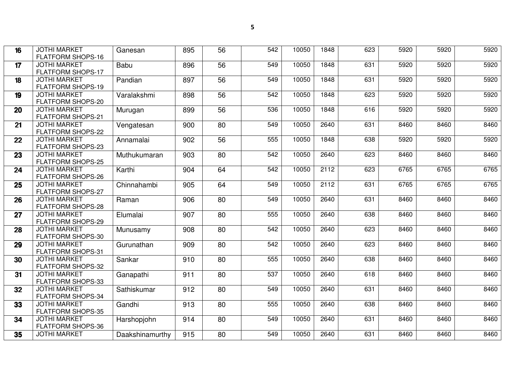| 16 | <b>JOTHI MARKET</b><br><b>FLATFORM SHOPS-16</b> | Ganesan         | 895 | 56 | 542 | 10050 | 1848 | 623 | 5920 | 5920 | 5920 |
|----|-------------------------------------------------|-----------------|-----|----|-----|-------|------|-----|------|------|------|
| 17 | <b>JOTHI MARKET</b><br><b>FLATFORM SHOPS-17</b> | Babu            | 896 | 56 | 549 | 10050 | 1848 | 631 | 5920 | 5920 | 5920 |
| 18 | <b>JOTHI MARKET</b><br><b>FLATFORM SHOPS-19</b> | Pandian         | 897 | 56 | 549 | 10050 | 1848 | 631 | 5920 | 5920 | 5920 |
| 19 | <b>JOTHI MARKET</b><br>FLATFORM SHOPS-20        | Varalakshmi     | 898 | 56 | 542 | 10050 | 1848 | 623 | 5920 | 5920 | 5920 |
| 20 | <b>JOTHI MARKET</b><br><b>FLATFORM SHOPS-21</b> | Murugan         | 899 | 56 | 536 | 10050 | 1848 | 616 | 5920 | 5920 | 5920 |
| 21 | <b>JOTHI MARKET</b><br><b>FLATFORM SHOPS-22</b> | Vengatesan      | 900 | 80 | 549 | 10050 | 2640 | 631 | 8460 | 8460 | 8460 |
| 22 | <b>JOTHI MARKET</b><br><b>FLATFORM SHOPS-23</b> | Annamalai       | 902 | 56 | 555 | 10050 | 1848 | 638 | 5920 | 5920 | 5920 |
| 23 | <b>JOTHI MARKET</b><br><b>FLATFORM SHOPS-25</b> | Muthukumaran    | 903 | 80 | 542 | 10050 | 2640 | 623 | 8460 | 8460 | 8460 |
| 24 | <b>JOTHI MARKET</b><br><b>FLATFORM SHOPS-26</b> | Karthi          | 904 | 64 | 542 | 10050 | 2112 | 623 | 6765 | 6765 | 6765 |
| 25 | <b>JOTHI MARKET</b><br><b>FLATFORM SHOPS-27</b> | Chinnahambi     | 905 | 64 | 549 | 10050 | 2112 | 631 | 6765 | 6765 | 6765 |
| 26 | <b>JOTHI MARKET</b><br><b>FLATFORM SHOPS-28</b> | Raman           | 906 | 80 | 549 | 10050 | 2640 | 631 | 8460 | 8460 | 8460 |
| 27 | <b>JOTHI MARKET</b><br><b>FLATFORM SHOPS-29</b> | Elumalai        | 907 | 80 | 555 | 10050 | 2640 | 638 | 8460 | 8460 | 8460 |
| 28 | <b>JOTHI MARKET</b><br>FLATFORM SHOPS-30        | Munusamy        | 908 | 80 | 542 | 10050 | 2640 | 623 | 8460 | 8460 | 8460 |
| 29 | <b>JOTHI MARKET</b><br>FLATFORM SHOPS-31        | Gurunathan      | 909 | 80 | 542 | 10050 | 2640 | 623 | 8460 | 8460 | 8460 |
| 30 | <b>JOTHI MARKET</b><br>FLATFORM SHOPS-32        | Sankar          | 910 | 80 | 555 | 10050 | 2640 | 638 | 8460 | 8460 | 8460 |
| 31 | <b>JOTHI MARKET</b><br>FLATFORM SHOPS-33        | Ganapathi       | 911 | 80 | 537 | 10050 | 2640 | 618 | 8460 | 8460 | 8460 |
| 32 | <b>JOTHI MARKET</b><br><b>FLATFORM SHOPS-34</b> | Sathiskumar     | 912 | 80 | 549 | 10050 | 2640 | 631 | 8460 | 8460 | 8460 |
| 33 | <b>JOTHI MARKET</b><br><b>FLATFORM SHOPS-35</b> | Gandhi          | 913 | 80 | 555 | 10050 | 2640 | 638 | 8460 | 8460 | 8460 |
| 34 | <b>JOTHI MARKET</b><br><b>FLATFORM SHOPS-36</b> | Harshopjohn     | 914 | 80 | 549 | 10050 | 2640 | 631 | 8460 | 8460 | 8460 |
| 35 | <b>JOTHI MARKET</b>                             | Daakshinamurthy | 915 | 80 | 549 | 10050 | 2640 | 631 | 8460 | 8460 | 8460 |
|    |                                                 |                 |     |    |     |       |      |     |      |      |      |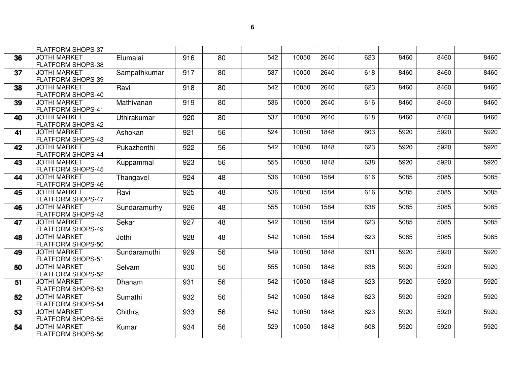|    | <b>FLATFORM SHOPS-37</b>                        |              |     |    |     |       |      |     |      |      |      |
|----|-------------------------------------------------|--------------|-----|----|-----|-------|------|-----|------|------|------|
| 36 | <b>JOTHI MARKET</b><br><b>FLATFORM SHOPS-38</b> | Elumalai     | 916 | 80 | 542 | 10050 | 2640 | 623 | 8460 | 8460 | 8460 |
| 37 | <b>JOTHI MARKET</b><br><b>FLATFORM SHOPS-39</b> | Sampathkumar | 917 | 80 | 537 | 10050 | 2640 | 618 | 8460 | 8460 | 8460 |
| 38 | <b>JOTHI MARKET</b><br>FLATFORM SHOPS-40        | Ravi         | 918 | 80 | 542 | 10050 | 2640 | 623 | 8460 | 8460 | 8460 |
| 39 | <b>JOTHI MARKET</b><br><b>FLATFORM SHOPS-41</b> | Mathivanan   | 919 | 80 | 536 | 10050 | 2640 | 616 | 8460 | 8460 | 8460 |
| 40 | <b>JOTHI MARKET</b><br><b>FLATFORM SHOPS-42</b> | Uthirakumar  | 920 | 80 | 537 | 10050 | 2640 | 618 | 8460 | 8460 | 8460 |
| 41 | <b>JOTHI MARKET</b><br><b>FLATFORM SHOPS-43</b> | Ashokan      | 921 | 56 | 524 | 10050 | 1848 | 603 | 5920 | 5920 | 5920 |
| 42 | <b>JOTHI MARKET</b><br><b>FLATFORM SHOPS-44</b> | Pukazhenthi  | 922 | 56 | 542 | 10050 | 1848 | 623 | 5920 | 5920 | 5920 |
| 43 | <b>JOTHI MARKET</b><br><b>FLATFORM SHOPS-45</b> | Kuppammal    | 923 | 56 | 555 | 10050 | 1848 | 638 | 5920 | 5920 | 5920 |
| 44 | <b>JOTHI MARKET</b><br>FLATFORM SHOPS-46        | Thangavel    | 924 | 48 | 536 | 10050 | 1584 | 616 | 5085 | 5085 | 5085 |
| 45 | <b>JOTHI MARKET</b><br><b>FLATFORM SHOPS-47</b> | Ravi         | 925 | 48 | 536 | 10050 | 1584 | 616 | 5085 | 5085 | 5085 |
| 46 | <b>JOTHI MARKET</b><br><b>FLATFORM SHOPS-48</b> | Sundaramurhy | 926 | 48 | 555 | 10050 | 1584 | 638 | 5085 | 5085 | 5085 |
| 47 | <b>JOTHI MARKET</b><br><b>FLATFORM SHOPS-49</b> | Sekar        | 927 | 48 | 542 | 10050 | 1584 | 623 | 5085 | 5085 | 5085 |
| 48 | <b>JOTHI MARKET</b><br>FLATFORM SHOPS-50        | Jothi        | 928 | 48 | 542 | 10050 | 1584 | 623 | 5085 | 5085 | 5085 |
| 49 | <b>JOTHI MARKET</b><br><b>FLATFORM SHOPS-51</b> | Sundaramuthi | 929 | 56 | 549 | 10050 | 1848 | 631 | 5920 | 5920 | 5920 |
| 50 | <b>JOTHI MARKET</b><br><b>FLATFORM SHOPS-52</b> | Selvam       | 930 | 56 | 555 | 10050 | 1848 | 638 | 5920 | 5920 | 5920 |
| 51 | <b>JOTHI MARKET</b><br><b>FLATFORM SHOPS-53</b> | Dhanam       | 931 | 56 | 542 | 10050 | 1848 | 623 | 5920 | 5920 | 5920 |
| 52 | <b>JOTHI MARKET</b><br><b>FLATFORM SHOPS-54</b> | Sumathi      | 932 | 56 | 542 | 10050 | 1848 | 623 | 5920 | 5920 | 5920 |
| 53 | <b>JOTHI MARKET</b><br><b>FLATFORM SHOPS-55</b> | Chithra      | 933 | 56 | 542 | 10050 | 1848 | 623 | 5920 | 5920 | 5920 |
| 54 | <b>JOTHI MARKET</b><br><b>FLATFORM SHOPS-56</b> | Kumar        | 934 | 56 | 529 | 10050 | 1848 | 608 | 5920 | 5920 | 5920 |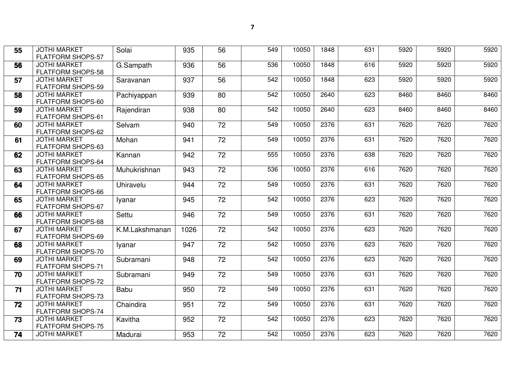| 55 | <b>JOTHI MARKET</b><br><b>FLATFORM SHOPS-57</b> | Solai          | 935  | 56              | 549 | 10050 | 1848 | 631 | 5920 | 5920 | 5920 |
|----|-------------------------------------------------|----------------|------|-----------------|-----|-------|------|-----|------|------|------|
| 56 | <b>JOTHI MARKET</b><br>FLATFORM SHOPS-58        | G.Sampath      | 936  | 56              | 536 | 10050 | 1848 | 616 | 5920 | 5920 | 5920 |
| 57 | <b>JOTHI MARKET</b><br><b>FLATFORM SHOPS-59</b> | Saravanan      | 937  | 56              | 542 | 10050 | 1848 | 623 | 5920 | 5920 | 5920 |
| 58 | <b>JOTHI MARKET</b><br>FLATFORM SHOPS-60        | Pachiyappan    | 939  | 80              | 542 | 10050 | 2640 | 623 | 8460 | 8460 | 8460 |
| 59 | <b>JOTHI MARKET</b><br><b>FLATFORM SHOPS-61</b> | Rajendiran     | 938  | 80              | 542 | 10050 | 2640 | 623 | 8460 | 8460 | 8460 |
| 60 | <b>JOTHI MARKET</b><br><b>FLATFORM SHOPS-62</b> | Selvam         | 940  | 72              | 549 | 10050 | 2376 | 631 | 7620 | 7620 | 7620 |
| 61 | <b>JOTHI MARKET</b><br><b>FLATFORM SHOPS-63</b> | Mohan          | 941  | $\overline{72}$ | 549 | 10050 | 2376 | 631 | 7620 | 7620 | 7620 |
| 62 | <b>JOTHI MARKET</b><br><b>FLATFORM SHOPS-64</b> | Kannan         | 942  | 72              | 555 | 10050 | 2376 | 638 | 7620 | 7620 | 7620 |
| 63 | <b>JOTHI MARKET</b><br><b>FLATFORM SHOPS-65</b> | Muhukrishnan   | 943  | 72              | 536 | 10050 | 2376 | 616 | 7620 | 7620 | 7620 |
| 64 | <b>JOTHI MARKET</b><br><b>FLATFORM SHOPS-66</b> | Uhiravelu      | 944  | 72              | 549 | 10050 | 2376 | 631 | 7620 | 7620 | 7620 |
| 65 | <b>JOTHI MARKET</b><br><b>FLATFORM SHOPS-67</b> | Iyanar         | 945  | 72              | 542 | 10050 | 2376 | 623 | 7620 | 7620 | 7620 |
| 66 | <b>JOTHI MARKET</b><br><b>FLATFORM SHOPS-68</b> | Settu          | 946  | 72              | 549 | 10050 | 2376 | 631 | 7620 | 7620 | 7620 |
| 67 | <b>JOTHI MARKET</b><br>FLATFORM SHOPS-69        | K.M.Lakshmanan | 1026 | $\overline{72}$ | 542 | 10050 | 2376 | 623 | 7620 | 7620 | 7620 |
| 68 | <b>JOTHI MARKET</b><br><b>FLATFORM SHOPS-70</b> | Iyanar         | 947  | 72              | 542 | 10050 | 2376 | 623 | 7620 | 7620 | 7620 |
| 69 | <b>JOTHI MARKET</b><br><b>FLATFORM SHOPS-71</b> | Subramani      | 948  | 72              | 542 | 10050 | 2376 | 623 | 7620 | 7620 | 7620 |
| 70 | <b>JOTHI MARKET</b><br><b>FLATFORM SHOPS-72</b> | Subramani      | 949  | 72              | 549 | 10050 | 2376 | 631 | 7620 | 7620 | 7620 |
| 71 | <b>JOTHI MARKET</b><br><b>FLATFORM SHOPS-73</b> | Babu           | 950  | 72              | 549 | 10050 | 2376 | 631 | 7620 | 7620 | 7620 |
| 72 | <b>JOTHI MARKET</b><br><b>FLATFORM SHOPS-74</b> | Chaindira      | 951  | 72              | 549 | 10050 | 2376 | 631 | 7620 | 7620 | 7620 |
| 73 | <b>JOTHI MARKET</b><br><b>FLATFORM SHOPS-75</b> | Kavitha        | 952  | $\overline{72}$ | 542 | 10050 | 2376 | 623 | 7620 | 7620 | 7620 |
| 74 | <b>JOTHI MARKET</b>                             | Madurai        | 953  | $\overline{72}$ | 542 | 10050 | 2376 | 623 | 7620 | 7620 | 7620 |
|    |                                                 |                |      |                 |     |       |      |     |      |      |      |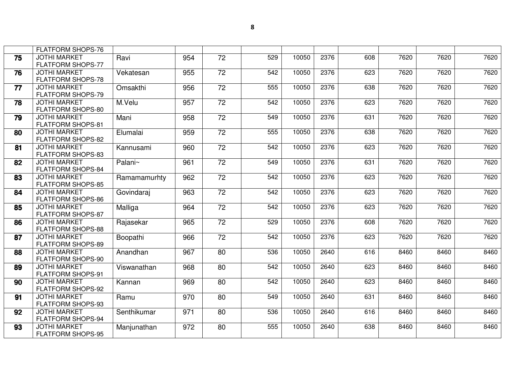|    | <b>FLATFORM SHOPS-76</b> |              |     |                 |     |       |      |     |      |      |      |
|----|--------------------------|--------------|-----|-----------------|-----|-------|------|-----|------|------|------|
| 75 | <b>JOTHI MARKET</b>      | Ravi         | 954 | $\overline{72}$ | 529 | 10050 | 2376 | 608 | 7620 | 7620 | 7620 |
|    | FLATFORM SHOPS-77        |              |     |                 |     |       |      |     |      |      |      |
| 76 | <b>JOTHI MARKET</b>      | Vekatesan    | 955 | 72              | 542 | 10050 | 2376 | 623 | 7620 | 7620 | 7620 |
|    | FLATFORM SHOPS-78        |              |     |                 |     |       |      |     |      |      |      |
| 77 | <b>JOTHI MARKET</b>      | Omsakthi     | 956 | $\overline{72}$ | 555 | 10050 | 2376 | 638 | 7620 | 7620 | 7620 |
|    | FLATFORM SHOPS-79        |              |     |                 |     |       |      |     |      |      |      |
| 78 | <b>JOTHI MARKET</b>      | M.Velu       | 957 | 72              | 542 | 10050 | 2376 | 623 | 7620 | 7620 | 7620 |
|    | FLATFORM SHOPS-80        |              |     |                 |     |       |      |     |      |      |      |
| 79 | <b>JOTHI MARKET</b>      | Mani         | 958 | $\overline{72}$ | 549 | 10050 | 2376 | 631 | 7620 | 7620 | 7620 |
|    | <b>FLATFORM SHOPS-81</b> |              |     |                 |     |       |      |     |      |      |      |
| 80 | <b>JOTHI MARKET</b>      | Elumalai     | 959 | 72              | 555 | 10050 | 2376 | 638 | 7620 | 7620 | 7620 |
|    | FLATFORM SHOPS-82        |              |     |                 |     |       |      |     |      |      |      |
| 81 | <b>JOTHI MARKET</b>      | Kannusami    | 960 | $\overline{72}$ | 542 | 10050 | 2376 | 623 | 7620 | 7620 | 7620 |
|    | <b>FLATFORM SHOPS-83</b> |              |     |                 |     |       |      |     |      |      |      |
| 82 | <b>JOTHI MARKET</b>      | Palani~      | 961 | 72              | 549 | 10050 | 2376 | 631 | 7620 | 7620 | 7620 |
|    | <b>FLATFORM SHOPS-84</b> |              |     |                 |     |       |      |     |      |      |      |
| 83 | <b>JOTHI MARKET</b>      | Ramamamurhty | 962 | 72              | 542 | 10050 | 2376 | 623 | 7620 | 7620 | 7620 |
|    | FLATFORM SHOPS-85        |              |     |                 |     |       |      |     |      |      |      |
| 84 | <b>JOTHI MARKET</b>      | Govindaraj   | 963 | 72              | 542 | 10050 | 2376 | 623 | 7620 | 7620 | 7620 |
|    | <b>FLATFORM SHOPS-86</b> |              |     |                 |     |       |      |     |      |      |      |
| 85 | <b>JOTHI MARKET</b>      | Malliga      | 964 | 72              | 542 | 10050 | 2376 | 623 | 7620 | 7620 | 7620 |
|    | <b>FLATFORM SHOPS-87</b> |              |     |                 |     |       |      |     |      |      |      |
| 86 | <b>JOTHI MARKET</b>      | Rajasekar    | 965 | 72              | 529 | 10050 | 2376 | 608 | 7620 | 7620 | 7620 |
|    | FLATFORM SHOPS-88        |              |     |                 |     |       |      |     |      |      |      |
| 87 | <b>JOTHI MARKET</b>      | Boopathi     | 966 | $\overline{72}$ | 542 | 10050 | 2376 | 623 | 7620 | 7620 | 7620 |
|    | FLATFORM SHOPS-89        |              |     |                 |     |       |      |     |      |      |      |
| 88 | <b>JOTHI MARKET</b>      | Anandhan     | 967 | 80              | 536 | 10050 | 2640 | 616 | 8460 | 8460 | 8460 |
|    | FLATFORM SHOPS-90        |              |     |                 |     |       |      |     |      |      |      |
| 89 | <b>JOTHI MARKET</b>      | Viswanathan  | 968 | 80              | 542 | 10050 | 2640 | 623 | 8460 | 8460 | 8460 |
|    | FLATFORM SHOPS-91        |              |     |                 |     |       |      |     |      |      |      |
| 90 | <b>JOTHI MARKET</b>      | Kannan       | 969 | 80              | 542 | 10050 | 2640 | 623 | 8460 | 8460 | 8460 |
|    | FLATFORM SHOPS-92        |              |     |                 |     |       |      |     |      |      |      |
| 91 | <b>JOTHI MARKET</b>      | Ramu         | 970 | 80              | 549 | 10050 | 2640 | 631 | 8460 | 8460 | 8460 |
|    | FLATFORM SHOPS-93        |              |     |                 |     |       |      |     |      |      |      |
| 92 | <b>JOTHI MARKET</b>      | Senthikumar  | 971 | 80              | 536 | 10050 | 2640 | 616 | 8460 | 8460 | 8460 |
|    | <b>FLATFORM SHOPS-94</b> |              |     |                 |     |       |      |     |      |      |      |
| 93 | <b>JOTHI MARKET</b>      | Manjunathan  | 972 | $\overline{80}$ | 555 | 10050 | 2640 | 638 | 8460 | 8460 | 8460 |
|    | FLATFORM SHOPS-95        |              |     |                 |     |       |      |     |      |      |      |
|    |                          |              |     |                 |     |       |      |     |      |      |      |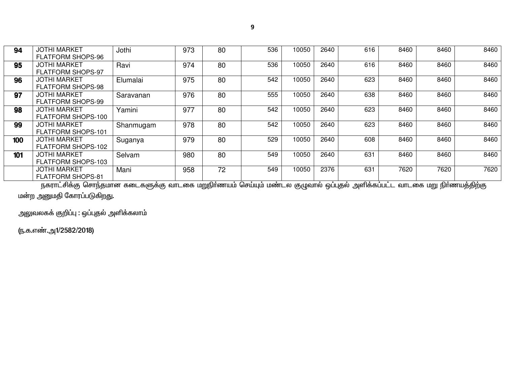| 94  | <b>JOTHI MARKET</b><br><b>FLATFORM SHOPS-96</b>  | Jothi     | 973 | 80 | 536 | 10050 | 2640 | 616 | 8460 | 8460 | 8460 |
|-----|--------------------------------------------------|-----------|-----|----|-----|-------|------|-----|------|------|------|
| 95  | <b>JOTHI MARKET</b><br><b>FLATFORM SHOPS-97</b>  | Ravi      | 974 | 80 | 536 | 10050 | 2640 | 616 | 8460 | 8460 | 8460 |
| 96  | <b>JOTHI MARKET</b><br><b>FLATFORM SHOPS-98</b>  | Elumalai  | 975 | 80 | 542 | 10050 | 2640 | 623 | 8460 | 8460 | 8460 |
| 97  | <b>JOTHI MARKET</b><br><b>FLATFORM SHOPS-99</b>  | Saravanan | 976 | 80 | 555 | 10050 | 2640 | 638 | 8460 | 8460 | 8460 |
| 98  | <b>JOTHI MARKET</b><br>FLATFORM SHOPS-100        | Yamini    | 977 | 80 | 542 | 10050 | 2640 | 623 | 8460 | 8460 | 8460 |
| 99  | <b>JOTHI MARKET</b><br><b>FLATFORM SHOPS-101</b> | Shanmugam | 978 | 80 | 542 | 10050 | 2640 | 623 | 8460 | 8460 | 8460 |
| 100 | <b>JOTHI MARKET</b><br>FLATFORM SHOPS-102        | Suganya   | 979 | 80 | 529 | 10050 | 2640 | 608 | 8460 | 8460 | 8460 |
| 101 | <b>JOTHI MARKET</b><br>FLATFORM SHOPS-103        | Selvam    | 980 | 80 | 549 | 10050 | 2640 | 631 | 8460 | 8460 | 8460 |
|     | <b>JOTHI MARKET</b><br><b>FLATFORM SHOPS-81</b>  | Mani      | 958 | 72 | 549 | 10050 | 2376 | 631 | 7620 | 7620 | 7620 |

.<br>நகராட்சிக்கு சொந்தமான கடைகளுக்கு வாடகை மறுநிா்ணயம் செய்யும் மண்டல குழுவால் ஒப்புதல் அளிக்கப்பட்ட வாடகை மறு நிா்ணயத்திற்கு .<br>மன்ற அனுமதி கோரப்படுகிறது.

அலுவலகக் குறிப்பு : ஒப்புதல் அளிக்கலாம்

(ந.க.எண்.அ1/2582/2018)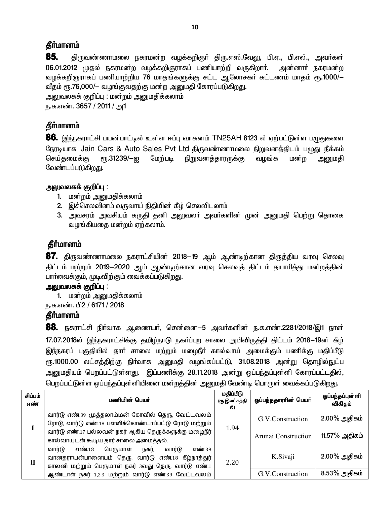### **கீர்மானம்**

85. திருவண்ணாமலை நகரமன்ற வழக்கறிஞா் திரு.எஸ்.வேலு, பி.ஏ., பி.எல்., அவா்கள் 06.01.2012 முதல் நகரமன்ற வழக்கறிஞராகப் பணியாற்றி வருகிறார். அன்னாா் நகரமன்ற வழக்கறிஞராகப் பணியாற்றிய 76 மாதங்களுக்கு சட்ட ஆலோசகர் கட்டணம் மாதம் ரூ.1000/— வீதம் ரூ.76,000/— வழங்குவதற்கு மன்ற அனுமதி கோரப்படுகிறது.

அலுவலகக் குறிப்பு : மன்றம் அனுமதிக்கலாம் ந.க.எண். 3657 / 2011 / அ1

# தீர்மானம்

**86.** இந்நகராட்சி பயன்பாட்டில் உள்ள ஈப்பு வாகனம் TN25AH 8123 ல் ஏற்பட்டுள்ள பழுதுகளை நேரடியாக Jain Cars & Auto Sales Pvt Ltd திருவண்ணாமலை நிறுவனத்திடம் பழுது நீக்கம் செய்கமைக்கு ரூ.31239/—ஐ மேற்படி நிறுவனத்தாரருக்கு வழங்க மன்ற அனுமகி வேண்டப்படுகிறது.

### அலுவலகக் குறிப்பு :

- 1. மன்றம் அனுமதிக்கலாம்
- 2. இச்செலவினம் வருவாய் நிதியின் கீழ் செலவிடலாம்
- 3. அவசரம் அவசியம் கருதி தனி அலுவலா் அவா்களின் முன் அனுமதி பெற்று தொகை வழங்கியதை மன்றம் ஏற்கலாம்.

# தீா்மானம்

**87.** திருவண்ணாமலை நகராட்சியின் 2018—19 ஆம் ஆண்டிற்கான திருத்திய வரவு செலவு திட்டம் மற்றும் 2019—2020 ஆம் ஆண்டிற்கான வரவு செலவுத் திட்டம் தயாரித்து மன்றத்தின் பாா்வைக்கும், முடிவிற்கும் வைக்கப்படுகிறது.

#### அலுவலகக் குறிப்பு :

1. மன்றம் அனுமதிக்கலாம்

ந.க.எண். பி2 / 6171 / 2018

### **கீர்மானம்**

 $88$ . நகராட்சி நிர்வாக ஆணையர், சென்னை—5 அவர்களின் ந.க.எண்.2281/2018/இ1 நாள் 17.07.2018ல் இந்நகராட்சிக்கு தமிழ்நாடு நகா்ப்புற சாலை அபிவிருத்தி திட்டம் 2018—19ன் கீழ் இந்நகரப் பகுதியில் தாா் சாலை மற்றும் மழைநீா் கால்வாய் அமைக்கும் பணிக்கு மதிப்பீடு ரு.1000.00 லட்சத்திற்கு நிர்வாக அனுமதி வழங்கப்பட்டு, 31.08.2018 அன்று தொழில்நுட்ப அனுமதியும் பெறப்பட்டுள்ளது. இப்பணிக்கு 28.11.2018 அன்று ஒப்பந்தப்புள்ளி கோரப்பட்டதில், பெறப்பட்டுள்ள ஒப்பந்தப்புள்ளியினை மன்றத்தின் அனுமதி வேண்டி பொருள் வைக்கப்படுகிறது.

| சிப்பம்<br>எண் | பணியின் பெயர்                                                                                                                                                         | மதிப்பீடு<br>(ரூ.இலட்சத்தி<br>ல்) | ஓப்பந்ததாரரின் பெயர் | ஓப்பந்தப்புள்ளி<br>விகிதம் |
|----------------|-----------------------------------------------------------------------------------------------------------------------------------------------------------------------|-----------------------------------|----------------------|----------------------------|
|                | வார்டு எண்.39 முத்தலாம்மன் கோவில் தெரு, வேட்டவலம்<br>ரோடு, வார்டு எண்.18 பள்ளிக்கொண்டாப்பட்டு ரோடு மற்றும்                                                            |                                   | G.V.Construction     | $2.00\%$ அதிகம்            |
|                | வார்டு எண்.17 பல்லவன் நகர் ஆகிய தெருக்களுக்கு மழைநீர்<br>கால்வாயுடன் கூடிய தார் சாலை அமைத்தல்.                                                                        | 1.94                              | Arunai Construction  | 11.57% அதிகம்              |
| П              | வார்டு<br>எண்.39<br>பெருமாள்<br>எண்.18<br>வார்டு<br>நகர்,<br>வானதராயன்பாளையம் தெரு, வார்டு எண்.18 கீழ்நாத்துர்<br>காலனி மற்றும் பெருமாள் நகர் 3வது தெரு, வார்டு எண்.1 | 2.20                              | K.Sivaji             | $2.00\%$ அதிகம்            |
|                | ஆண்டாள் நகர் 1,2,3 மற்றும் வார்டு எண்.39 வேட்டவலம்                                                                                                                    |                                   | G.V.Construction     | 8.53% அதிகம்               |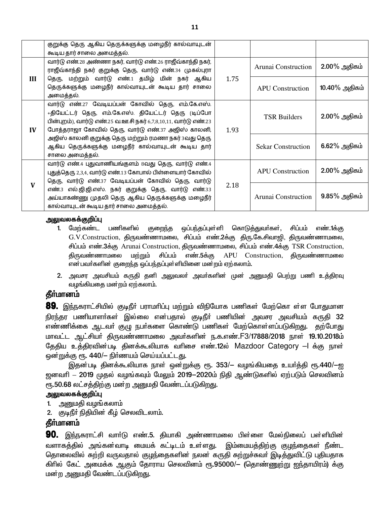|     | குறுக்கு தெரு ஆகிய தெருக்களுக்கு மழைநீர் கால்வாயுடன்<br>கூடிய தார் சாலை அமைத்தல்.                                                                                                                                                 |      |                           |                 |
|-----|-----------------------------------------------------------------------------------------------------------------------------------------------------------------------------------------------------------------------------------|------|---------------------------|-----------------|
|     | வார்டு எண்.28 அண்ணா நகர், வார்டு எண்.26 ராஜீவ்காந்தி நகர்,<br>ராஜீவ்காந்தி நகர் குறுக்கு தெரு, வார்டு எண்.34 முகல்புரா                                                                                                            |      | Arunai Construction       | $2.00\%$ அதிகம் |
| III | தெரு, மற்றும் வார்டு எண்.1 தமிழ் மின் நகர் ஆகிய<br>தெருக்களுக்கு மழைநீர் கால்வாயுடன் கூடிய தார் சாலை<br>அமைத்தல்.                                                                                                                 | 1.75 | <b>APU</b> Construction   | 10.40% அதிகம்   |
| IV  | வார்டு எண்.27 வேடியப்பன் கோவில் தெரு, எம்.கே.எஸ்.<br>+தியேட்டர் தெரு, எம்.கே.எஸ். தியேட்டர் தெரு (டிப்போ<br>பின்புறம்), வார்டு எண்.25 வ.ஊ.சி நகர் 6,7,8,10,11, வார்டு எண்.23<br>போத்தராஜா கோவில் தெரு, வார்டு எண்.37 அஜிஸ் காலனி, | 1.93 | <b>TSR Builders</b>       | $2.00\%$ அதிகம் |
|     | அஜிஸ் காலனி குறுக்கு தெரு மற்றும் ரமணா நகர் 3வது தெரு<br>ஆகிய தெருக்களுக்கு மழைநீர் கால்வாயுடன் கூடிய தார்<br>சாலை அமைத்தல்.                                                                                                      |      | <b>Sekar Construction</b> | $6.62\%$ அதிகம் |
|     | வார்டு எண்.4 புதுவாணியங்குளம் 8வது தெரு, வார்டு எண்.4<br>புதுத்தெரு 2,3,4, வார்டு எண்.13 கோபால் பிள்ளையார் கோவில்<br>தெரு, வார்டு எண்.37 வேடியப்பன் கோவில் தெரு, வார்டு                                                           |      | <b>APU</b> Construction   | $2.00\%$ அதிகம் |
| V   | எண்.3 எல்.ஜி.ஜி.எஸ். நகர் குறுக்கு தெரு, வார்டு எண்.33<br>அய்யாகண்ணு முதலி தெரு ஆகிய தெருக்களுக்கு மழைநீர்<br>கால்வாயுடன் கூடிய தார் சாலை அமைத்தல்.                                                                               | 2.18 | Arunai Construction       | $9.85\%$ அதிகம் |

#### <u>அலுவலகக்குறிப்பு</u>

- 1. மேற்கண்ட பணிகளில் குறைந்த ஒப்பந்தப்புள்ளி கொடுத்துவர்கள், சிப்பம் எண்.1க்கு  $G.V.Construction$ , திருவண்ணாமலை, சிப்பம் எண். $2$ க்கு திரு.கே.சிவாஜி, திருவண்ணாமலை, சிப்பம் எண்.3க்கு Arunai Construction, திருவண்ணாமலை, சிப்பம் எண்.4க்கு TSR Construction, திருவண்ணாமலை மற்றும் சிப்பம் எண்.5க்கு APU Construction, திருவண்ணாமலை என்பவர்களின் குறைந்த ஒப்பந்தப்புள்ளியினை மன்றம் ஏற்கலாம்.
- 2. அவசர அவசியம் கருதி தனி அலுவலர் அவர்களின் முன் அனுமதி பெற்று பணி உத்திரவு வழங்கியதை மன்றம் ஏற்கலாம்.

### தீா்மானம்

**89.** இந்நகராட்சியில் குடிநீா் பராமாிப்பு மற்றும் விநியோக பணிகள் மேற்கொ ள்ள போதுமான நிரந்தர பணியாளர்கள் இல்லை என்பதால் குடிநீர் பணியின் அவசர அவசியம் கருதி 32 எண்ணிக்கை ஆடவா் குழு நபா்களை கொண்டு பணிகள் மேற்கொள்ளப்படுகிறது. தற்போது ் மாவட்ட ஆட்சியா் திருவண்ணாமலை அவா்களின் ந.க.எண்.F3/17888/2018 நாள் 19.10.2018ம் தேதிய உத்திரவின்படி தினக்கூலியாக வரிசை எண்.12ல் Mazdoor Category –I க்கு நாள் <u>ஒன்றுக்கு ரூ. 440/– நிர்ணயம் செய்யப்பட்டது.</u>

இதன்படி தினக்கூலியாக நாள் ஒன்றுக்கு ரூ. 353/- வழங்கியதை உயர்த்தி ரூ.440/-ஐ ஜனவரி – 2019 முதல் வழங்கவும் மேலும் 2019−2020ம் நிதி ஆண்டுகளில் ஏற்படும் செலவினம் ரூ.50.68 லட்சத்திற்கு மன்ற அனுமதி வேண்டப்படுகிறது.

#### <u>அலுவலகக்குறிப்பு</u>

- 1. அனுமதி வழங்கலாம்
- 2. குடிநீர் நிதியின் கீழ் செலவிடலாம்.

### தீர்மானம்

**90.** இந்நகராட்சி வார்டு எண்.5. தியாகி அண்ணாமலை பிள்ளை மேல்நிலைப் பள்ளியின் வளாகத்தில் அங்கன்வாடி மையக் கட்டிடம் உள்ளது. இம்மையத்திற்கு குழந்தைகள் நீண்ட தொலைவில் சுற்றி வருவதால் குழந்தைகளின் நலன் கருதி சுற்றுச்சுவா் இடித்துவிட்டு புதியதாக கிரில் கேட் அமைக்க ஆகும் தோராய செலவினம் ரூ.95000/— (தொண்ணுற்று <u>ஐந்</u>தாயிரம்) க்கு மன்ற அனுமதி வேண்டப்படுகி<u>றத</u>ு.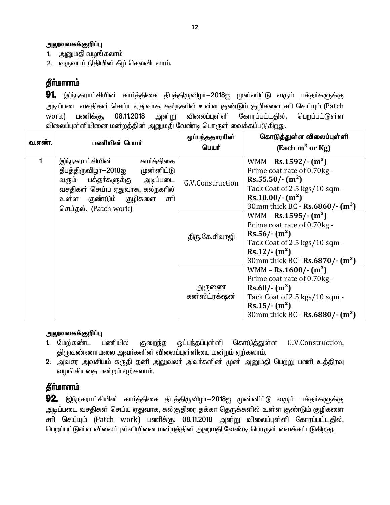1. அனுமதி வழங்கலாம்

2. வருவாய் நிதியின் கீழ் செலவிடலாம்.

# தீா்மானம்

91. இந்நகராட்சியின் கார்த்திகை தீபத்திருவிழா—2018ஐ முன்னிட்டு வரும் பக்தர்களுக்கு அடிப்படை வசதிகள் செய்ய ஏதுவாக, கல்நகரில் உள்ள குண்டும் குழிகளை சரி செய்யும் (Patch 08.11.2018 விலைப்புள்ளி கோரப்பட்டகில். பெறப்பட்டுள்ள work) பணிக்கு, அன்று விலைப்புள்ளியினை மன்றத்தின் அனுமதி வேண்டி பொருள் வைக்கப்படுகிறது.

| வ.எண். | பணியின் பெயர்                                                                                                                                                                                     | ஒப்பந்ததாராின்<br>பெயர் | கொடுத்துள்ள விலைப்புள்ளி<br>(Each $m^3$ or Kg)                                                                                                                                                         |
|--------|---------------------------------------------------------------------------------------------------------------------------------------------------------------------------------------------------|-------------------------|--------------------------------------------------------------------------------------------------------------------------------------------------------------------------------------------------------|
| 1      | இந்நகராட்சியின்<br>கார்த்திகை<br>தீபத்திருவிழா-2018ஐ முன்னிட்டு<br>பக்தா்களுக்கு அடிப்படை<br>வரும்<br>வசதிகள் செய்ய ஏதுவாக, கல்நகரில்<br>குண்டும் குழிகளை<br>சரி<br>உள்ள<br>செய்தல். (Patch work) | G.V.Construction        | WMM - Rs.1592/- $(m^3)$<br>Prime coat rate of 0.70kg -<br>Rs.55.50/·(m <sup>2</sup> )<br>Tack Coat of 2.5 kgs/10 sqm -<br>$Rs.10.00/-(m^2)$<br>30mm thick BC - $\text{Rs.6860}/\text{-} \text{ (m}^3)$ |
|        |                                                                                                                                                                                                   | திரு.கே.சிவாஜி          | WMM – Rs.1595/- $(m^3)$<br>Prime coat rate of 0.70kg -<br>$Rs.56/-(m^2)$<br>Tack Coat of 2.5 kgs/10 sqm -<br>$Rs.12/-(m^2)$<br>30mm thick BC - $\text{Rs.6870}/\cdot$ (m <sup>3</sup> )                |
|        |                                                                                                                                                                                                   | அருணை<br>கன்ஸ்ட்ரக்ஷன்  | WMM – Rs.1600/- $(m^3)$<br>Prime coat rate of 0.70kg -<br>$Rs.60/-(m^2)$<br>Tack Coat of 2.5 kgs/10 sqm -<br>$Rs.15/-(m^2)$<br>30mm thick BC - $\text{Rs.6880}/\text{-} \text{ (m}^3)$                 |

#### அலுவலகக்குறிப்பு

- 1. மேற்கண்ட பணியில் குறைந்த ஒப்பந்தப்புள்ளி கொடுத்துள்ள G.V.Construction, திருவண்ணாமலை அவா்களின் விலைப்புள்ளியை மன்றம் ஏற்கலாம்.
- 2. அவசர அவசியம் கருதி தனி அலுவலா் அவா்களின் முன் அனுமதி பெற்று பணி உத்திரவு வழங்கியதை மன்றம் ஏற்கலாம்.

### தீா்மானம்

92. இந்நகராட்சியின் கார்த்திகை தீபத்திருவிழா $-2018$ ஐ முன்னிட்டு வரும் பக்தர்களுக்கு அடிப்படை வசதிகள் செய்ய ஏதுவாக, கல்குதிரை தக்கா தெருக்களில் உள்ள குண்டும் குழிகளை சரி செய்யும் (Patch work) பணிக்கு, 08.11.2018 அன்று விலைப்புள்ளி கோரப்பட்டதில், பெறப்பட்டுள்ள விலைப்புள்ளியினை மன்றத்தின் அனுமதி வேண்டி பொருள் வைக்கப்படுகிறது.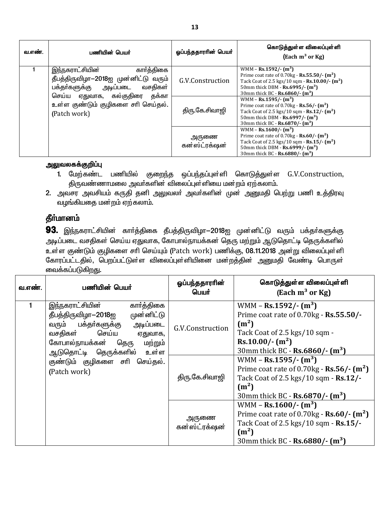| வ.எண். | பணியின் பெயர்                                                                                                                            | ஓப்பந்ததாரரின் பெயர்   | கொடுத்துள்ள விலைப்புள்ளி<br>$\left($ Each m <sup>3</sup> or Kg $\right)$                                                                                                                                                                                  |
|--------|------------------------------------------------------------------------------------------------------------------------------------------|------------------------|-----------------------------------------------------------------------------------------------------------------------------------------------------------------------------------------------------------------------------------------------------------|
|        | கார்த்திகை<br>இந்நகராட்சியின்<br>தீபத்திருவிழா-2018ஐ முன்னிட்டு வரும்<br>பக்தா்களுக்கு அடிப்படை வசதிகள்<br>செய்ய ஏதுவாக, கல்குதிரை தக்கா | G.V.Construction       | WMM – Rs.1592/- $(m^3)$<br>Prime coat rate of $0.70$ kg - <b>Rs.55.50/-</b> $(m^2)$<br>Tack Coat of 2.5 kgs/10 sqm - $\text{Rs}.10.00$ /- $\text{m}^2$ )<br>50mm thick DBM - $\text{Rs.6995}/\text{-} \text{ (m}^3)$<br>30mm thick BC - Rs.6860/- $(m^3)$ |
|        | உள்ள குண்டும் குழிகளை சரி செய்தல்.<br>(Patch work)                                                                                       | திரு.கே.சிவாஜி         | WMM – Rs.1595/- $(m^3)$<br>Prime coat rate of $0.70$ kg - Rs.56/- $(m2)$<br>Tack Coat of 2.5 kgs/10 sqm - $\text{Rs.}12$ /- $\text{m}^2$ )<br>50mm thick DBM - $\text{Rs.6997}/\text{-} \text{ (m}^3)$<br>30mm thick BC - Rs.6870/- $(m^3)$               |
|        |                                                                                                                                          | அருணை<br>கன்ஸ்ட்ரக்ஷன் | WMM – Rs.1600/- $(m^3)$<br>Prime coat rate of $0.70$ kg - <b>Rs.60/-</b> $(m^2)$<br>Tack Coat of 2.5 kgs/10 sqm - $\text{Rs.15}/\text{-} \text{ (m}^2)$<br>50mm thick DBM - $\text{Rs.6999}/\text{-} \text{ (m}^3)$<br>30mm thick BC - Rs.6880/- $(m^3)$  |

- 1. மேற்கண்ட பணியில் குறைந்த ஒப்பந்தப்புள்ளி கொடுத்துள்ள G.V.Construction, .<br>திருவண்ணாமலை அவா்களின் விலைப்புள்ளியை மன்றம் ஏற்கலாம்.
- 2. அவசர அவசியம் கருதி தனி அலுவலர் அவர்களின் முன் அனுமதி பெற்று பணி உத்திரவு .<br>வழங்கியதை மன்றம் ஏற்கலாம்.

# தீர்மானம்

93. இந்நகராட்சியின் கார்த்திகை தீபத்திருவிழா-2018ஐ முன்னிட்டு வரும் பக்தர்களுக்கு அடிப்படை வசதிகள் செய்ய ஏதுவாக, கோபால்நாயக்கன் தெரு மற்றும் ஆடுதொட்டி தெருக்களில் உள்ள குண்டும் குழிகளை சரி செய்யும் (Patch work) பணிக்கு, 08.11.2018 அன்று விலைப்புள்ளி கோரப்பட்டதில், பெறப்பட்டுள்ள விலைப்புள்ளியினை மன்றத்தின் அனுமதி வேண்டி பொருள் வைக்கப்படுகிறது.

| வ.எண். | பணியின் பெயர்                                                                                                                                                                                                                                                  | ஒப்பந்ததாராின்<br>பெயர்            | கொடுத்துள்ள விலைப்புள்ளி<br>(Each $m^3$ or Kg)                                                                                                                                                                                                                                                                                                                                         |
|--------|----------------------------------------------------------------------------------------------------------------------------------------------------------------------------------------------------------------------------------------------------------------|------------------------------------|----------------------------------------------------------------------------------------------------------------------------------------------------------------------------------------------------------------------------------------------------------------------------------------------------------------------------------------------------------------------------------------|
|        | கார்த்திகை<br>இந்நகராட்சியின்<br>முன்னிட்டு<br>தீபத்திருவிழா—2018ஐ<br>அடிப்படை<br>பக்தா்களுக்கு<br>வரும்<br>செய்ய<br>வசதிகள்<br>ஏதுவாக,<br>கோபால்நாயக்கன்<br>தெரு<br>மற்றும்<br>ஆடுதொட்டி தெருக்களில் உள்ள<br>குண்டும் குழிகளை சாி<br>செய்தல்.<br>(Patch work) | G.V.Construction<br>திரு.கே.சிவாஜி | WMM – Rs.1592/- $(m^3)$<br>Prime coat rate of 0.70kg - Rs.55.50/-<br>(m <sup>2</sup> )<br>Tack Coat of 2.5 kgs/10 sqm -<br>$Rs.10.00/- (m2)$<br>30mm thick BC - Rs.6860/- $(m^3)$<br>WMM – Rs.1595/- $(m^3)$<br>Prime coat rate of $0.70$ kg - Rs.56/- $(m2)$<br>Tack Coat of 2.5 kgs/10 sqm - Rs.12/-<br>(m <sup>2</sup> )<br>30mm thick BC - $\text{Rs.6870}/\text{-} \text{ (m}^3)$ |
|        |                                                                                                                                                                                                                                                                | அருணை<br>கன்ஸ்ட்ரக்ஷன்             | WMM – Rs.1600/- $(m^3)$<br>Prime coat rate of $0.70$ kg - Rs.60/- $(m2)$<br>Tack Coat of 2.5 kgs/10 sqm - Rs.15/-<br>(m <sup>2</sup> )<br>30mm thick BC - $\text{Rs.6880}/\text{-} \text{ (m}^3)$                                                                                                                                                                                      |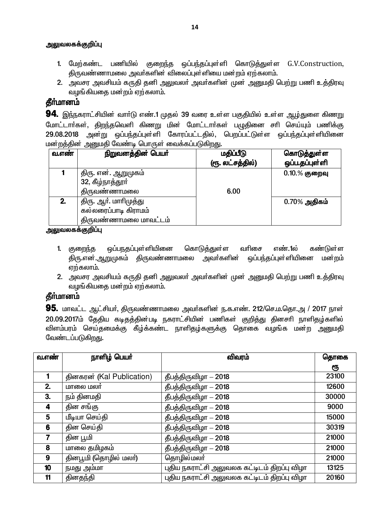- 1. மேற்கண்ட பணியில் குறைந்த ஒப்பந்தப்புள்ளி கொடுத்துள்ள G.V.Construction, திருவண்ணாமலை அவா்களின் விலைப்புள்ளியை மன்றம் ஏற்கலாம்.
- 2. அவசர அவசியம் கருதி தனி அலுவலா் அவா்களின் முன் அனுமதி பெற்று பணி உத்திரவு வழங்கியகை மன்றம் ஏற்கலாம்.

# தீர்மானம்

**94.** இந்நகராட்சியின் வார்டு எண்.1 முதல் 39 வரை உள்ள பகுதியில் உள்ள ஆழ்துளை கிணறு மோட்டார்கள், திறந்தவெளி கிணறு மின் மோட்டார்கள் பழுதினை சரி செய்யும் பணிக்கு 29.08.2018 அன்று ஒப்பந்தப்புள்ளி கோரப்பட்டதில், பெறப்பட்டுள்ள ஒப்பந்தப்புள்ளியினை மன்றத்தின் அனுமதி வேண்டி பொருள் வைக்கப்படுகிறது.

| வ.எண் | நிறுவனத்தின் பெயர்    | மதிப்பீடு        | கொடுத்துள்ள      |
|-------|-----------------------|------------------|------------------|
|       |                       | (ரூ. லட்சத்தில்) | ஒப்ப.தப்புள்ளி   |
|       | திரு. என். ஆறுமுகம்   |                  | $0.10 \%$ குறைவு |
|       | 32, கீழ்நாத்தூர்      |                  |                  |
|       | திருவண்ணாமலை          | 6.00             |                  |
| 2.    | திரு. ஆா். மாாிமுத்து |                  | $0.70\%$ அதிகம்  |
|       | கல்லரைப்பாடி கிராமம்  |                  |                  |
|       | திருவண்ணாமலை மாவட்டம் |                  |                  |

அலுவலகக்குறிப்பு

- 1. குறைந்த ஒப்பநதப்புள்ளியினை கொடுத்துள்ள வரிசை எண்.1ல் கண்டுள்ள <u>ஒப்பந்தப்புள் ளியினை</u> திரு.என்.ஆறுமுகம் திருவண்ணாமலை அவர்களின் மன்றம் எற்கலாம்.
- 2. அவசர அவசியம் கருதி தனி அலுவலா் அவா்களின் முன் அனுமதி பெற்று பணி உத்திரவு வழங்கியதை மன்றம் ஏற்கலாம்.

# தீா்மானம்

95. மாவட்ட ஆட்சியர், திருவண்ணாமலை அவர்களின் ந.க.எண். 212/செ.ம.தொ.அ / 2017 நாள் 20.09.2017ம் தேதிய கடிதத்தின்படி நகராட்சியின் பணிகள் குறித்து தினசரி நாளிதழ்களில் விளம்பரம் செய்தமைக்கு கீழ்க்கண்ட நாளிதழ்களுக்கு தொகை வழங்க மன்ற அனுமதி வேண்டப்படுகிறது.

| வ.எண் | நாளிழ் பெயர்              | விவரம்                                      | தொகை  |
|-------|---------------------------|---------------------------------------------|-------|
|       |                           |                                             | ரூ    |
|       | தினகரன் (Kal Publication) | தீபத்திருவிழா - 2018                        | 23100 |
| 2.    | மாலை மலர்                 | தீபத்திருவிழா - 2018                        | 12600 |
| 3.    | நம் தினமதி                | தீபத்திருவிழா - 2018                        | 30000 |
| 4     | தின சங்கு                 | தீபத்திருவிழா - 2018                        | 9000  |
| 5     | மீடியா செய்தி             | தீபத்திருவிழா - 2018                        | 15000 |
| 6     | தின செய்தி                | தீபத்திருவிழா - 2018                        | 30319 |
| 7     | தின பூமி                  | தீபத்திருவிழா - 2018                        | 21000 |
| 8     | மாலை தமிழகம்              | தீபத்திருவிழா - 2018                        | 21000 |
| 9     | தினபூமி (தொழில் மலா)      | தொழில்மலா்                                  | 21000 |
| 10    | நமது அம்மா                | புதிய நகராட்சி அலுவலக கட்டிடம் திறப்பு விழா | 13125 |
| 11    | தினதந்தி                  | புதிய நகராட்சி அலுவலக கட்டிடம் திறப்பு விழா | 20160 |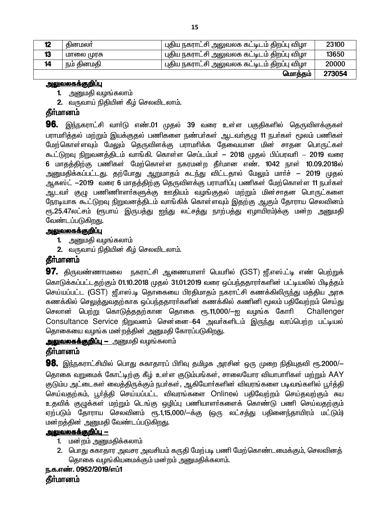| 12 | கினமலா     | புதிய நகராட்சி அலுவலக கட்டிடம் திறப்பு விழா | 23100  |
|----|------------|---------------------------------------------|--------|
| 13 | மாலை முரசு | புதிய நகராட்சி அலுவலக கட்டிடம் திறப்பு விழா | 13650  |
| 14 | நம் தினமதி | புதிய நகராட்சி அலுவலக கட்டிடம் திறப்பு விழா | 20000  |
|    |            | மொத்தம்                                     | 273054 |

#### <u>அலுவலகக்குறிப்பு</u>

1. அனுமதி வழங்கலாம்

2. வருவாய் நிதியின் கீழ் செலவிடலாம்.

### **கீர்மானம்**

**96.** இந்நகராட்சி வாா்டு எண்.01 முதல் 39 வரை உள்ள பகுதிகளில் தெருவிளக்குகள் பராமாித்தல் மற்றும் இயக்குதல் பணிகளை நண்பா்கள் ஆடவா்குழு 11 நபா்கள் மூலம் பணிகள் மேற்கொள்ளவும் மேலும் தெருவிளக்கு பராமரிக்க தேவையான மின் சாதன பொருட்கள் கூட்டுறவு நிறுவனத்திடம் வாங்கி. கொள்ள செப்டம்பர் – 2018 முதல் பிப்பரவரி – 2019 வரை 6 மாதத்திற்கு பணிகள் மேற்கொள்ள நகரமன்ற தீர்மான எண். 1042 நாள் 10.09.2018ல் அனுமதிக்கப்பட்டது. தற்போது ஆறுமாதம் கடந்து விட்டதால் மேலும் மாா்ச் – 2019 முதல் ஆகஸ்ட் —2019 வரை 6 மாதத்திற்கு தெருவிளக்கு பராமரிப்பு பணிகள் மேற்கொள்ள 11 நபர்கள் ஆடவா் குழு பணிணிாளா்களுக்கு ஊதியம் வழங்குதல் மற்றும் மின்சாதன பொருட்களை நேரடியாக கூட்டுறவு நிறுவனத்திடம் வாங்கிக் கொள்ளவும் இதற்கு ஆகும் தோராய செலவினம் ரு.25.47லட்சம் (ரூபாய் இருபத்து ஐந்து லட்சத்து நாற்பத்து ஏழாயிரம்)க்கு மன்ற அனுமதி வேண்டப்படுகிறது.

#### <u>அலுவலகக்குறிப்பு</u>

1. அனுமதி வழங்கலாம்

2. வருவாய் நிதியின் கீழ் செலவிடலாம்.

# கீர்மானம்

 $97.$  திருவண்ணாமலை நகராட்சி ஆணையாளா் பெயாில் (GST) ஜீ.எஸ்.ட்டி எண் பெற்றுக் கொடுக்கப்பட்டதற்கும் 01.10.2018 முதல் 31.01.2019 வரை ஒப்பந்ததாரர்களின் பட்டியலில் பிடித்தம் செய்யப்பட்ட (GST) ஜீ.எஸ்.டி தொகையை பிரதிமாதம் நகராட்சி கணக்கிலிருந்து மத்திய அரசு கணக்கில் செலுத்துவதற்காக ஒப்பந்ததாரா்களின் கணக்கில் கணினி மூலம் பதிவேற்றம் செய்து செலான் பெற்று கொடுத்ததற்கான தொகை ரூ.11,000/—ஐ வழங்க கோரி Challenger Consultance Service நிறுவனம் சென்னை-64 அவர்களிடம் இருந்து வரப்பெற்ற பட்டியல் தொகையை வழங்க மன்றத்தின் அனுமதி கோரப்படுகிறது.

### அலுவலகக்குறிப்பு — அனுமதி வழங்கலாம்

### கீர்மானம்

**98.** இந்நகராட்சியில் பொது சுகாதாரப் பிரிவு தமிழக அரசின் ஒரு முறை நிதியுதவி ரூ.2000/— தொகை வறுமைக் கோட்டிற்கு கீழ் உள்ள குடும்பங்கள், சாலையோர வியாபாரிகள் மற்றும் AAY குடும்ப அட்டைகள் வைத்திருக்கும் நபர்கள், ஆகியோர்களின் விவரங்களை படிவங்களில் பூர்த்தி செய்வதற்கம், பூர்த்தி செய்யப்பட்ட விவரங்களை Onlineல் பதிவேற்றம் செய்தவற்கும் சுய உதவிக் குமுக்கள் மற்றும் டெங்கு ஒழிப்பு பணியாளர்களைக் கொண்டு பணி செய்வதற்கும் ஏற்படும் தோராய செலவினம் ரூ.1,15,000/—க்கு (ஒரு லட்சத்து பதினைந்தாயிரம் மட்டும்) மன்றத்தின் அனுமதி வேண்டப்படுகிறது.

#### <u> அலுவலகக்குறிப்பு —</u>

- 1. மன்றம் அனுமதிக்கலாம்
- 2. பொது சுகாதார அவசர அவசியம் கருதி மேற்படி பணி மேற்கொண்டமைக்கும், செலவினத் தொகை வழங்கியமைக்கும் மன்றம் அனுமகிக்கலாம்.

### ந.க.எண். 0952/2019/எப்1 தீர்மானம்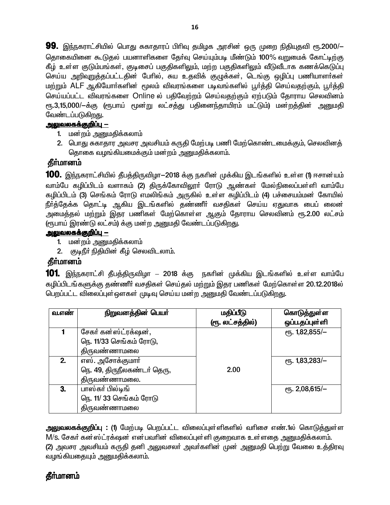**99.** இந்நகராட்சியில் பொது சுகாதாரப் பிரிவு தமிழக அரசின் ஒரு முறை நிதியுதவி ரூ.2000/— தொகையினை கூடுதல் பயனாளிகளை தேர்வு செய்யும்படி மீண்டும் 100% வறுமைக் கோட்டிற்கு கீழ் உள்ள குடும்பங்கள், குடிசைப் பகுதிகளிலும், மற்ற பகுதிகளிலும் வீடுவீடாக கணக்கெடுப்பு செய்ய அறிவறுத்தப்பட்டதின் பேரில், சுய உதவிக் குழுக்கள், டெங்கு ஒழிப்பு பணியாளா்கள் மற்றும் ALF ஆகியோர்களின் மூலம் விவரங்களை படிவங்களில் பூர்த்தி செய்வதற்கும், பூர்த்தி செய்யப்பட்ட விவரங்களை Online ல் பதிவேற்றம் செய்வதற்கும் ஏற்படும் தோராய செலவினம் ரு.3,15,000/—க்கு (ரூபாய் மூன்று லட்சத்து பதினைந்தாயிரம் மட்டும்) மன்றத்தின் அனுமதி வேண்டப்படுகிறது.

# <u> அலுவலகக்குறிப்பு —</u>

- 1. மன்றம் அனுமதிக்கலாம்
- 2. பொது சுகாதார அவசர அவசியம் கருதி மேற்படி பணி மேற்கொண்டமைக்கும், செலவினத் தொகை வழங்கியமைக்கும் மன்றம் அனுமதிக்கலாம்.

# **தீர்மானம்**

**100.** இந்நகராட்சியில் தீபத்திருவிழா—2018 க்கு நகரின் முக்கிய இடங்களில் உள்ள (1) ஈசான்யம் வாம்பே கழிப்பிடம் வளாகம் (2) திருக்கோவிலூா் ரோடு ஆண்கள் மேல்நிலைப்பள்ளி வாம்பே கழிப்பிடம் (3) செங்கம் ரோடு எமலிங்கம் அருகில் உள்ள கழிப்பிடம் (4) பச்சையம்மன் கோயில் நீர்த்தேக்க தொட்டி ஆகிய இடங்களில் தண்ணீர் வசதிகள் செய்ய ஏதுவாக பைப் லைன் அமைத்தல் மற்றும் இதர பணிகள் மேற்கொள்ள ஆகும் தோராய செலவினம் ரூ.2.00 லட்சம் (ரூபாய் இரண்டு லட்சம்) க்கு மன்ற அனுமதி வேண்டப்படுகிறது.

### <u>அலுவலகக்குறிப்பு —</u>

- 1. மன்றம் அனுமதிக்கலாம்
- 2. குடிநீர் நிதியின் கீழ் செலவிடலாம்.

# தீா்மானம்

**101.** இந்நகராட்சி தீபத்திருவிழா – 2018 க்கு நகரின் முக்கிய இடங்களில் உள்ள வாம்பே கழிப்பிடங்களுக்கு தண்ணீர் வசதிகள் செய்தல் மற்றும் இதர பணிகள் மேற்கொள்ள 20.12.2018ல் பெறப்பட்ட விலைப்புள்ஔகள் முடிவு செய்ய மன்ற அனுமதி வேண்டப்படுகிறது.

| வ.எண் | நிறுவனத்தின் பெயர்                                                      | மதிப்பீடு<br>(ரூ. லட்சத்தில்) | கொடுத்துள்ள<br>ஒப்ப.தப்புள்ளி         |
|-------|-------------------------------------------------------------------------|-------------------------------|---------------------------------------|
|       | சேகர் கன்ஸ்ட்ரக்ஷன்,<br>நெ. 11/33 செங்கம் ரோடு,<br>திருவண்ணாமல <u>ை</u> |                               | $\overline{CB}$ . 1,82,855/-          |
| 2.    | எஸ். அசோக்குமார்<br>நெ. 49, திருநீலகண்டர் தெரு,<br>திருவண்ணாமலை.        | 2.00                          | $e$ гд. 1,83,283/-                    |
| 3.    | பாஸ்கர் பில்டிங்<br>நெ. 11/ 33 செங்கம் ரோடு<br>திருவண்ணாமலை             |                               | $\epsilon$ <sup>15</sup> . 2,08,615/- |

அலுவலகக்குறிப்பு : (1) மேற்படி பெறப்பட்ட விலைப்புள்ளிகளில் வரிசை எண்.1ல் கொடுத்துள்ள M/S. சேகர் கன்ஸ்ட்ரக்ஷன் என்பவரின் விலைப்புள்ளி குறைவாக உள்ளதை அனுமதிக்கலாம். (2) அவசர அவசியம் கருதி தனி அலுவசலர் அவர்களின் முன் அனுமதி பெற்று வேலை உத்திரவு வழங்கியதையும் அனுமதிக்கலாம்.

# **கீர்மானம்**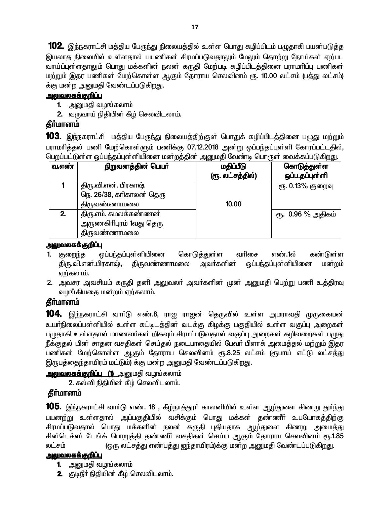102. இந்நகராட்சி மத்திய பேருந்து நிலையத்தில் உள்ள பொது கழிப்பிடம் பழுதாகி பயன்படுத்த இயலாத நிலையில் உள்ளதால் பயணிகள் சிரமப்படுவதாலும் மேலும் தொற்று நோய்கள் ஏற்பட வாய்ப்புள்ளதாலும் பொது மக்களின் நலன் கருதி மேற்படி கழிப்பிடத்தினை பராமாிப்பு பணிகள் ் மற்றும் இதர பணிகள் மேற்கொள்ள ஆகும் தோராய செலவினம் ரூ. 10.00 லட்சம் (பத்து லட்சம்) க்கு மன்ற அனுமதி வேண்டப்படுகிறது.

### <u>அலுவலகக்குறிப்பு</u>

- 1. அனுமதி வழங்கலாம்
- $2.$  வருவாய் நிதியின் கீழ் செலவிடலாம்.

# கீர்மானம்

**103.** இந்நகராட்சி மத்திய பேருந்து நிலையத்திற்குள் பொதுக் கழிப்பிடத்தினை பழுது மற்றும் பராமாித்தல் பணி மேற்கொள்ளும் பணிக்கு 07.12.2018 அன்று ஒப்பந்தப்புள்ளி கோரப்பட்டதில், பெறப்பட்டுள்ள ஒப்பந்தப்பள்ளியினை மன்றக்கின் அமைகி வேண்டி பொருள் வைக்கப்படுகிறது.

| வ.எண் | ---<br>நிறுவனத்தின் பெயர்                                        | மதிப்பீடு<br>(ரூ. லட்சத்தில்) | --<br>கொடுத்துள்ள<br>ஒப்பதப்புள்ளி |
|-------|------------------------------------------------------------------|-------------------------------|------------------------------------|
|       | திரு.வி.என். பிரகாஷ்<br>நெ. 26/38, கரிகாலன் தெரு<br>திருவண்ணாமலை | 10.00                         | ரூ. 0.13% குறைவு                   |
| 2.    | திரு.எம். கமலக்கண்ணன்<br>அருணகிரிபுரம் 1வது தெரு<br>திருவண்ணாமலை |                               | ரூ. 0.96 % அதிகம்                  |

#### <u>அலுவலகக்குறிப்பு</u>

- 1. குறைந்த ஒப்பந்தப்புள்ளியினை கொடுத்துள்ள வரிசை எண்.1ல் கண்டுள்ள கிரு.வி.என்.பிரகாஷ், கிருவண்ணாமலை அவர்களின் ஒப்பந்தப்புள்ளியினை மன்றம் ஏற்கலாம்.
- 2. அவசர அவசியம் கருதி தனி அலுவலா் அவா்களின் முன் அனுமதி பெற்று பணி உத்திரவு வழங்கியகை மன்றம் ஏற்கலாம்.

# தீர்மானம்

**104.** இந்நகராட்சி வார்டு எண்.8, ராஜ ராஜன் தெருவில் உள்ள அமராவதி முருகையன் உயா்நிலைப்பள்ளியில் உள்ள கட்டிடத்தின் வடக்கு கிழக்கு பகுதியில் உள்ள வகுப்பு அறைகள் பமுதாகி உள்ளதால் மாணவர்கள் மிகவும் சிரமப்படுவதால் வகுப்பு அறைகள் கழிவறைகள் ப<u>முத</u>ு நீக்குதல் மின் சாதன வசதிகள் செய்தல் நடைபாதையில் பேவா் பிளாக் அமைத்தல் மற்றும் இதர பணிகள் மேற்கொள்ள ஆகும் தோராய செலவினம் ரூ.8.25 லட்சம் (ரூபாய் எட்டு லட்சத்து இருபத்தைந்தாயிரம் மட்டும்) க்கு மன்ற அனுமதி வேண்டப்படுகிறது.

**அலுவலகக்குறிப்பு (1)** அனுமதி வழங்கலாம்

2. கல்வி நிதியின் கீழ் செலவிடலாம்.

# கீர்மானம்

105. இந்நகராட்சி வார்டு எண். 18 , கீழ்நாத்தூர் காலனியில் உள்ள ஆழ்துளை கிணறு துர்ந்து பயனற்று உள்ளதால் அப்பகுதியில் வசிக்கும் பொது மக்கள் தண்ணீர் உபயோகத்திற்கு சிரமப்படுவதால் பொது மக்களின் நலன் கருதி புதியதாக <u>ஆழ்து</u>ளை கிணறு அமைத்து சின்டெக்ஸ் டேங்க் பொறுத்தி தண்ணீர் வசதிகள் செய்ய ஆகும் தோராய செலவினம் ரூ.1.85 y£r« (xU y£r¤J v©g¤J Iªjhæu«)¡F kd¦w mDk nt©l¥gL»wJ.

### <u>அலுவலகக்குறிப்பு</u>

- **1.** அனுமதி வழங்கலாம்
- **2.** சூடிநீர் நிதியின் கீழ் செலவிடலாம்.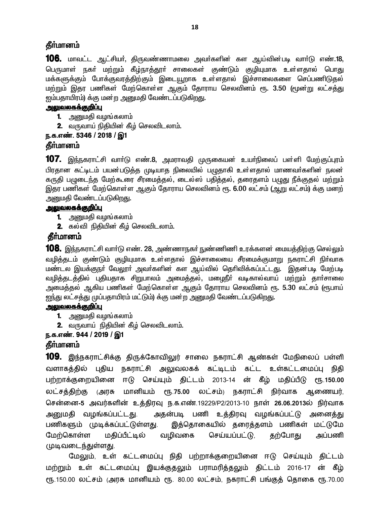### தீா்மானம்

**106.** மாவட்ட ஆட்சியர், திருவண்ணாமலை அவர்களின் கள ஆய்வின்படி வார்டு எண்.18, பெருமாள் நகா் மற்றும் கீழ்நாத்தூா் சாலைகள் குண்டும் குழியுமாக உள்ளதால் பொது மக்களுக்கும் போக்குவரத்திற்கும் இடையூறாக உள்ளதால் இச்சாலைகளை செப்பணிடுதல் மற்றும் இதர பணிகள் மேற்கொள்ள ஆகும் தோராய செலவினம் ரூ. 3.50 (மூன்று லட்சத்து ஐம்பதாயிரம்) க்கு மன்ற அனுமதி வேண்டப்படுகிறது.

#### <u>அலுவலகக்குறிப்பு</u>

- **1.** அனுமதி வழங்கலாம்
- 2. வருவாய் நிதியின் கீழ் செலவிடலாம்.

### ந.க.எண். 5346 / 2018 / இ1

### **கீர்மானம்**

107. இந்நகராட்சி வாா்டு எண்.8, அமராவதி முருகையன் உயா்நிலைப் பள்ளி மேற்குப்புரம் பிரதான கட்டிடம் பயன்படுத்த முடியாத நிலையில் பமுதாகி உள்ளதால் மாணவா்களின் நலன் கருதி பமுடைந்த மேற்கூரை சீரமைத்தல், டைல்ஸ் பதித்தல், தரைதளம் பமுது நீக்குதல் மற்றும் இதர பணிகள் மேற்கொள்ள ஆகும் தோராய செலவினம் ரூ. 6.00 லட்சம் (ஆறு லட்சம்) க்கு மனற் அனுமதி வேண்டப்படுகிறது.

### <u>அலுவலகக்குறிப்பு</u>

- 1. அனுமதி வழங்கலாம்
- 2. கல்வி நிதியின் கீழ் செலவிடலாம்.

# தீர்மானம்

**108.** இந்நகராட்சி வாா்டு எண். 28, அண்ணாநகா் நுண்ணிணி உரக்களன் மையத்திற்கு செல்லும் வழித்தடம் குண்டும் குழியுமாக உள்ளதால் இச்சாலையை சீரமைக்குமாறு நகராட்சி நிா்வாக மண்டல இயக்குநா் வேலூா் அவா்களின் கள ஆய்வில் தொிவிக்கப்பட்டது. இதன்படி மேற்படி வழித்தடத்தில் புதியதாக சிறுபாலம் அமைத்தல், மழைநீா் வடிகால்வாய் மற்றும் தாா்சாலை அமைத்தல் ஆகிய பணிகள் மேற்கொள்ள ஆகும் தோராய செலவினம் ரூ. 5.30 லட்சம் (ரூபாய் <u>ஐந்து</u> லட்சத்து முப்பதாயிரம் மட்டும்) க்கு மன்ற அனுமதி வேண்டப்படுகிறது.

#### <u>அலுவலகக்குறிப்பு</u>

- 1. அனுமதி வழங்கலாம்
- 2. வருவாய் நிதியின் கீழ் செலவிடலாம்.

# ந.க.எண். 944 / 2019 / இ1

# கீர்மானம்

109. இந்நகராட்சிக்கு திருக்கோவிலுர் சாலை நகராட்சி ஆண்கள் மேநிலைப் பள்ளி வளாகத்தில் புதிய நகராட்சி அலுவலகக் கட்டிடம் கட்ட உள்கட்டமைப்பு நிதி பற்றாக்குறையினை ஈடு செய்யும் திட்டம் 2013-14 ன் கீழ் மதிப்பீடு ரூ.150.00 லட்சத்திற்கு அரசு மானியம் ரூ.75.00 லட்சம்) நகராட்சி நிர்வாக ஆணையர், சென்னை-5 அவர்களின் உத்திரவு ந.க.எண்.19229/P2/2013-10 நாள் 26.06.2013ல் நிர்வாக அனுமதி வழங்கப்பட்டது. அதன்படி பணி உத்திரவு வழங்கப்பட்டு அனைத்து பணிகளும் முடிக்கப்பட்டுள்ளது. இத்தொகையில் தரைத்தளம் பணிகள் மட்டுமே மேற்கொள்ள மதிப்பீட்டில் வழிவகை செய்யப்பட்டு, தற்போது அப்பணி முடிவடைந்துள்ளது.

மேலும், உள் கட்டமைப்பு நிதி பற்றாக்குறையினை ஈடு செய்யும் திட்டம் மற்றும் உள் கட்டமைப்பு இயக்குதலும் பராமரித்தலும் திட்டம் 2016-17 ன் கீழ் ரூ.150.00 லட்சம் (அரசு மானியம் ரூ. 80.00 லட்சம், நகராட்சி பங்குத் தொகை ரூ.70.00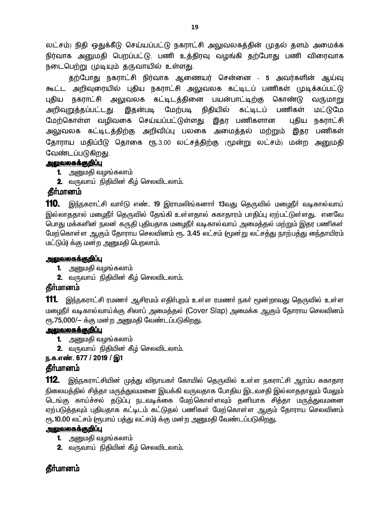லட்சம்) நிதி ஒதுக்கீடு செய்யப்பட்டு நகராட்சி அலுவலகத்தின் முதல் தளம் அமைக்க நிர்வாக அனுமதி பெறப்பட்டு, பணி உத்திரவு வழங்கி தற்போது பணி விரைவாக நடைபெற்று முடியும் தருவாயில் உள்ளது.

தற்போது நகராட்சி நிர்வாக ஆணையர் சென்னை - 5 அவர்களின் ஆய்வு கூட்ட அறிவுரையில் புதிய நகராட்சி அலுவலக கட்டிடப் பணிகள் முடிக்கப்பட்டு புதிய நகராட்சி அலுவலக கட்டிடத்தினை பயன்பாட்டிற்கு கொண்டு வருமாறு அறிவுறுத்தப்பட்டது. இதன்படி மேற்படி நிதியில் கட்டிடப் பணிகள் மட்டுமே மேற்கொள்ள வழிவகை செய்யப்பட்டுள்ளது. இதர பணிகளான புதிய நகராட்சி அலுவலக கட்டிடத்திற்கு அறிவிப்பு பலகை அமைத்தல் மற்றும் இதர பணிகள் தோராய மதிப்பீடு தொகை ரூ.3.00 லட்சத்திற்கு மூன்று லட்சம்) மன்ற அனுமதி வேண்டப்படுகிறது.

#### <u>அலுவலகக்குறிப்பு</u>

- **1.** அறுமதி வழங்கலாம்
- 2. வருவாய் நிதியின் கீழ் செலவிடலாம்.

#### கீர்மானம்

110. இந்நகராட்சி வாா்டு எண். 19 இராமலிங்கனாா் 13வது தெருவில் மழைநீா் வடிகால்வாய் இல்லாததால் மழைநீர் தெருவில் தேங்கி உள்ளதால் சுகாதாரம் பாதிப்பு ஏற்பட்டுள்ளது. எனவே பொது மக்களின் நலன் கருதி புதியதாக மழைநீா் வடிகால்வாய் அமைத்தல் மற்றும் இதர பணிகள் மேற்கொள்ள ஆகும் தோராய செலவினம் ரூ. 3.45 லட்சம் (மூன்று லட்சத்து நாற்பத்து நை்தாயிரம் மட்டும்) க்கு மன்ற அனுமதி பெறலாம்.

#### <u>அலுவலகக்குறிப்பு</u>

- **1.** அனுமதி வழங்கலாம்
- 2. வருவாய் நிதியின் கீழ் செலவிடலாம்.

# தீர்மானம்

**111.** இந்நகராட்சி ரமணர் ஆசிரமம் எதிர்புறம் உள்ள ரமணர் நகர் மூன்றாவது தெருவில் உள்ள மழைநீா் வடிகால்வாய்க்கு சிலாப் அமைத்தல் (Cover Slap) அமைக்க ஆகும் தோராய செலவினம் ரூ.75,000/- க்கு மன்ற அனுமதி வேண்டப்படுகிறது.

#### <u>அலுவலகக்குறிப்பு</u>

- **1.** அனுமதி வழங்கலாம்
- 2. வருவாய் நிதியின் கீழ் செலவிடலாம்.

#### ந.க.எண். 677 / 2019 / இ1

#### தீா்மானம்

112. இந்நகராட்சியின் முத்து விநாயகா் கோயில் தெருவில் உள்ள நகராட்சி ஆரம்ப சுகாதார நிலையத்தில் சித்தா மருத்துவமனை இயக்கி வருவதாக போதிய இடவசதி இல்லாததாலும் மேலும் டெங்கு காய்ச்சல் கடுப்பு நடவடிக்கை மேற்கொள்ளவும் கனியாக சிக்கா மருக்துவமனை ஏற்படுத்தவும் புதியதாக கட்டிடம் கட்டுதல் பணிகள் மேற்கொள்ள ஆகும் தோராய செலவினம் ரூ.10.00 லட்சம் (ரூபாய் பத்து லட்சம்) க்கு மன்ற அனுமதி வேண்டப்படுகிறது.

#### <u>அலுவலகக்குறிப்பு</u>

- 1. அனுமதி வழங்கலாம்
- 2. வருவாய் நிதியின் கீழ் செலவிடலாம்.

# தீா்மானம்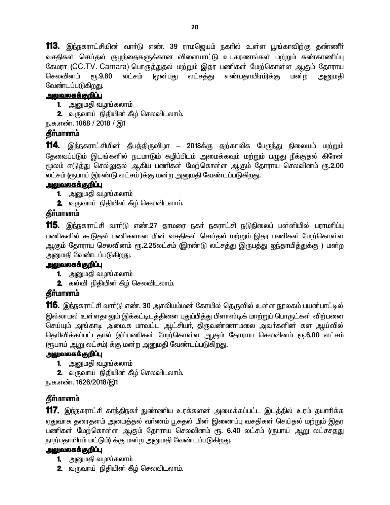113. இந்நகராட்சியின் வார்டு எண். 39 ராமஜெயம் நகரில் உள்ள பூங்காவிற்கு தண்ணீர் வசதிகள் செய்தல் குழந்தைகளுக்கான விளையாட்டு உபகரணங்கள் மற்றும் கண்காணிப்பு கேமரா (CC.TV. Camara) பொருத்துதல் மற்றும் இதர பணிகள் மேற்கொள்ள ஆகும் தோராய செலவினம் ரூ.9.80 லட்சம் (ஒன்பது லட்சத்து எண்பதாயிரம்)க்கு மன்ற <u>அனு</u>மதி வேண்டப்படுகிறது.

### <u>அலுவலகக்குறிப்பு</u>

- **1.** அனுமதி வழங்கலாம்
- **2.** வருவாய் நிதியின் கீழ் செலவிடலாம்.
- ந.க.எண். 1068 / 2018 / இ1

### தீர்மானம்

**114.** இந்நகராட்சியின் தீபத்திருவிழா – 2018க்கு தற்காலிக பேருந்து நிலையம் மற்றும் தேவைப்படும் இடங்களில் நடமாடும் கழிப்பிடம் அமைக்கவும் மற்றும் பழுது நீக்குதல் கிரேன  $\epsilon$ மூலம் எடுத்து செல்லுதல் ஆகிய பணிகள் மேற்கொள்ள ஆகும் தோராய செலவினம் ரூ.2.00 லட்சம் (ரூபாய் இரண்டு லட்சம் )க்கு மன்ற அனுமதி வேண்டப்படுகிறது.

### <u>அலுவலகக்குறிப்பு</u>

- 1. அனுமதி வழங்கலாம்
- **2.** வருவாய் நிதியின் கீழ் செலவிடலாம்.

### **தீர்மானம்**

**115.** இந்நகராட்சி வாா்டு எண்.27 தாமரை நகா் நகராட்சி நடுநிலைப் பள்ளியில் பராமாிப்பு பணிகளில் கூடுதல் பணிகளான மின் வசதிகள் செய்தல் மற்றும் இதர பணிகள் மேற்கொள்ள ஆகும் தோராய செலவினம் ரூ.2.25லட்சம் (இரண்டு லட்சத்து இருபத்து ஐந்தாயித்துக்கு ) மன்ற அனுமதி வேண்டப்படுகி<u>றது</u>.

#### <u>அலுவலகக்குறிப்பு</u>

- 1. அனுமதி வழங்கலாம்
- **2.** கல்வி நிதியின் கீழ் செலவிடலாம்.

# தீர்மானம்

**116.** இந்நகராட்சி வாா்டு எண். 30 அசலியம்மன் கோயில் தெருவில் உள்ள நூலகம் பயன்பாட்டில் இல்லாமல் உள்ளதாலும் இக்கட்டிடத்தினை புதுப்பித்து பிளாஸ்டிக் மாற்றுப் பொருட்கள் விற்பனை செய்யும் அங்காடி அமை.க மாவட்ட ஆட்சியா், திருவண்ணாமலை அவா்களின் கள ஆய்வில் தெரிவிக்கப்பட்டதால் இப்பணிகள் மேற்கொள்ள ஆகும் தோராய செலவினம் ரூ.6.00 லட்சம் (ரூபாய் ஆறு லட்சம்) க்கு மன்ற அனுமதி வேண்டப்படுகிறது.

#### <u>அலுவலகக்குறிப்பு</u>

- **1.** அனுமதி வழங்கலாம்
- **2.** வருவாய் நிதியின் கீழ் செலவிடலாம்.

ந.க.எண். 1626/2018/இ1

# தீா்மானம்

117. இந்நகராட்சி காந்திநகர் நுண்ணிய உரக்களன் அமைக்கப்பட்ட இடத்தில் உரம் தயாரிக்க ஏதுவாக தரைதளம் அமைத்தல் வா்ணம் பூசுதல் மின் இணைப்பு வசதிகள் செய்தல் மற்றும் இதர பணிகள் மேற்கொள்ள ஆகும் தோராய செலவினம் ரூ. 6.40 லட்சம் (ரூபாய் ஆறு லட்சசதது நாற்பதாயிரம் மட்டும்) க்கு மன்ற அனுமதி வேண்டப்படுகிறது.

#### <u>அலுவலகக்குறிப்பு</u>

- **1.** அனுமதி வழங்கலாம்
- **2.** வருவாய் நிதியின் கீழ் செலவிடலாம்.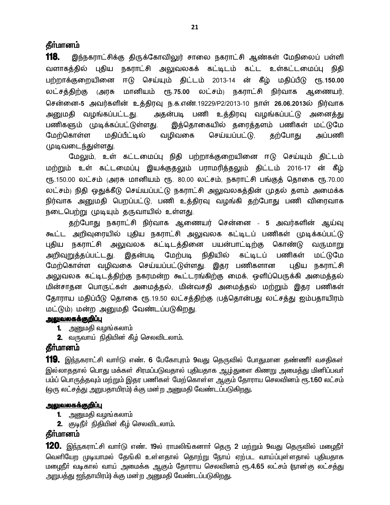#### **கீர்மானம்**

118. இந்நகராட்சிக்கு திருக்கோவிலுர் சாலை நகராட்சி ஆண்கள் மேநிலைப் பள்ளி வளாகத்தில் புதிய நகராட்சி அலுவலகக் கட்டிடம் கட்ட உள்கட்டமைப்பு நிதி பற்றாக்குறையினை ஈடு செய்யும் திட்டம் 2013-14 ன் கீழ் மதிப்பீடு ரூ.150.00 லட்சத்திற்கு அரசு மானியம் ரூ.75.00 லட்சம்) நகராட்சி நிர்வாக ஆணையர், சென்னை-5 அவர்களின் உத்திரவு ந.க.எண்.19229/P2/2013-10 நாள் 26.06.2013ல் நிர்வாக அனுமதி வழங்கப்பட்டது. அதன்படி பணி உத்திரவு வழங்கப்பட்டு அனைத்து பணிகளும் முடிக்கப்பட்டுள்ளது. இத்தொகையில் தரைத்தளம் பணிகள் மட்டுமே மேற்கொள்ள மதிப்பீட்டில் வழிவகை செய்யப்பட்டு, தற்போது அப்பணி முடிவடைந்துள்ளது.

மேலும், உள் கட்டமைப்பு நிதி பற்றாக்குறையினை ஈடு செய்யும் திட்டம் மற்றும் உள் கட்டமைப்பு இயக்குதலும் பராமரித்தலும் திட்டம் 2016-17 ன் கீழ் ரூ.150.00 லட்சம் (அரசு மானியம் ரூ. 80.00 லட்சம், நகராட்சி பங்குத் தொகை ரூ.70.00 லட்சம்) நிதி ஒதுக்கீடு செய்யப்பட்டு நகராட்சி அலுவலகத்தின் முதல் தளம் அமைக்க நிர்வாக அனுமதி பெறப்பட்டு, பணி உத்திரவு வழங்கி தற்போது பணி விரைவாக நடைபெற்று முடியும் தருவாயில் உள்ளது.

தற்போது நகராட்சி நிர்வாக ஆணையர் சென்னை - 5 அவர்களின் ஆய்வு கூட்ட அறிவுரையில் புதிய நகராட்சி அலுவலக கட்டிடப் பணிகள் முடிக்கப்பட்டு புதிய நகராட்சி அலுவலக கட்டிடத்தினை பயன்பாட்டிற்கு கொண்டு வருமாறு அறிவுறுத்தப்பட்டது. இதன்படி மேற்படி நிதியில் கட்டிடப் பணிகள் மட்டுமே மேற்கொள்ள வழிவகை செய்யப்பட்டுள்ளது. இதர பணிகளான புதிய நகராட்சி அலுவலக கட்டிடத்திற்கு நகரமன்ற கூட்டரங்கிற்கு மைக், ஒளிப்பெருக்கி அமைத்தல் மின்சாதன பொருட்கள் அமைத்தல், மின்வசதி அமைத்தல் மற்றும் இதர பணிகள் தோராய மதிப்பீடு தொகை ரூ.19.50 லட்சத்திற்கு புத்தொன்பது லட்சத்து ஐம்பதாயிரம் மட்டும்) மன்ற அனுமதி வேண்டப்படுகிறது.

#### <u>அலுவலகக்குறிப்பு</u>

- **1.** அனுமதி வழங்கலாம்
- 2. வருவாய் நிதியின் கீழ் செலவிடலாம்.

#### **தீர்மானம்**

**119.** இந்நகராட்சி வாா்டு எண். 6 பேகோபுரம் 9வது தெருவில் போதுமான தண்ணீா் வசதிகள் இல்லாததால் பொது மக்கள் சிரமப்படுவதால் புதியதாக ஆழ்துளை கிணறு அமைத்து மினிப்பவா் பம்ப் பொருத்தவும் மற்றும் இதர பணிகள் மேற்கொள்ள ஆகும் தோராய செலவினம் ரூ.1.60 லட்சம் (ஒரு லட்சத்து அறுபதாயிரம்) க்கு மன்ற அனுமதி வேண்டப்படுகிறது.

#### <u>அலுவலகக்குறிப்பு</u>

- **1.** அனுமதி வழங்கலாம்
- **2.** குடிநீா் நிதியின் கீழ் செலவிடலாம்.

#### தீா்மானம்

**120.** இந்நகராட்சி வாா்டு எண். 19ல் ராமலிங்கனாா் தெரு 2 மற்றும் 9வது தெருவில் மழைநீா் <u>வெளியேற முடியாமல் தேங்கி உள்ளதால் தொற்று நோய் ஏற்பட வாய்ப்புள்ளதால் புதியதாக</u> மழைநீா் வடிகால் வாய் அமைக்க ஆகும் தோராய செலவினம் ரூ.4.65 லட்சம் (நான்கு லட்சத்து அறுபத்து ஐந்தாயிரம்) க்கு மன ற அனுமதி வேண்டப்படுகிறது.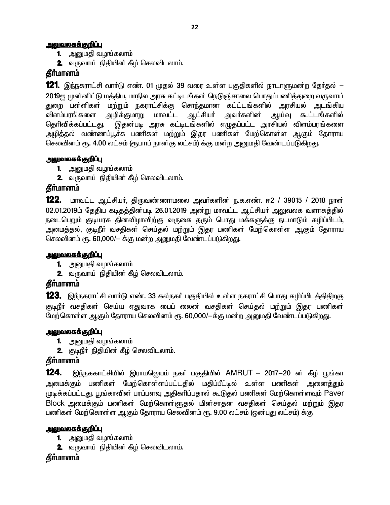#### <u>அலுவலகக்குறிப்பு</u>

- **1.** அனுமதி வழங்கலாம்
- **2.** வருவாய் நிதியின் கீழ் செலவிடலாம்.

# **தீர்மானம்**

**121.** இந்நகராட்சி வார்டு எண். 01 முதல் 39 வரை உள்ள பகுதிகளில் நாடாளுமன்ற தேர்தல் — 2019ஐ முன்னிட்டு மத்திய, மாநில அரசு கட்டிடங்கள் நெடுஞ்சாலை பொதுப்பணித்துறை வருவாய் துறை பள்ளிகள் மற்றும் நகராட்சிக்கு சொந்தமான கட்ட்டங்களில் அரசியல் அடங்கிய <u>விளம்பரங்களை அழிக்குமாறு மாவட்ட ஆட்</u>சியர் அவர்களின் ஆய்வு கூட்டங்களில் தெரிவிக்கப்பட்டது. இதன்படி அரசு கட்டிடங்களில் எழுதப்பட்ட அரசியல் விளம்பரங்களை அழித்தல் வண்ணப்பூச்சு பணிகள் மற்றும் இதர பணிகள் மேற்கொள்ள <u>ஆகு</u>ம் தோராய செலவினம் ரூ. 4.00 லட்சம் (ரூபாய் நான்கு லட்சம்) க்கு மன்ற அனுமதி வேண்டப்படுகிறது.

### <u>அலுவலகக்குறிப்பு</u>

- **1.** அனுமதி வழங்கலாம்
- **2.** வருவாய் நிதியின் கீழ் செலவிடலாம்.

### தீா்மானம்

122. மாவட்ட ஆட்சியர், திருவண்ணாமலை அவர்களின் ந.க.எண். ஈ2 / 39015 / 2018 நாள் 02.01.2019ம் தேதிய கடிதத்தின்படி 26.01.2019 அன்று மாவட்ட ஆட்சியர் அலுவலக வளாகத்தில் நடைபெறும் குடியரசு தினவிழாவிற்கு வருகை தரும் பொது மக்களுக்கு நடமாடும் கழிப்பிடம், அமைத்தல், குடிநீா் வசதிகள் செய்தல் மற்றும் இதர பணிகள் மேற்கொள்ள ஆகும் தோராய செலவினம் ரூ. 60,000/- க்கு மன்ற அனுமதி வேண்டப்படுகிறது.

#### <u>அலுவலகக்குறிப்பு</u>

- 1. அனுமதி வழங்கலாம்
- 2. வருவாய் நிதியின் கீழ் செலவிடலாம்.

# **தீர்மானம்**

1**23.** இந்நகராட்சி வார்டு எண். 33 கல்நகர் பகுதியில் உள்ள நகராட்சி பொது கழிப்பிடத்திதிறகு குடிநீா் வசதிகள் செய்ய ஏதுவாக பைப் லைன் வசதிகள் செய்தல் மற்றும் இதர பணிகள<mark>்</mark> மேற்கொள்ள ஆகும் தோராய செலவினம் ரூ. 60,000/—க்கு மன்ற அனுமதி வேண்டப்படுகிறது.

#### <u>அலுவலகக்குறிப்பு</u>

- 1. அனுமதி வழங்கலாம்
- **2.** குடிநீா் நிதியின் கீழ் செலவிடலாம்.

### தீா்மானம்

**124.** இந்நககாட்சியில் இராமஜெயம் நகா் பகுதியில் AMRUT – 2017-20 ன் கீழ் பூங்கா அமைக்கும் பணிகள் மேற்கொள்ளப்பட்டதில் மதிப்பீட்டில் உள்ள பணிகள் அனைக<u>்த</u>ும் முடிக்கப்பட்டது. பூங்காவின் பரப்பளவு அதிகரிப்பதால் கூடுதல் பணிகள் மேற்கொள்ளவும் Paver Block அமைக்கும் பணிகள் மேற்கொள்ளுதல் மின்சாதன வசதிகள் செய்தல் மற்றும் இதர பணிகள் மேற்கொள்ள ஆகும் தோராய செலவினம் ரூ. 9.00 லட்சம் (ஒன்பது லட்சம்) க்கு

#### <u>அலுவலகக்குறிப்பு</u>

- **1.** அனுமதி வழங்கலாம்
- **2.** வருவாய் நிதியின் கீழ் செலவிடலாம்.

# **கீர்மானம்**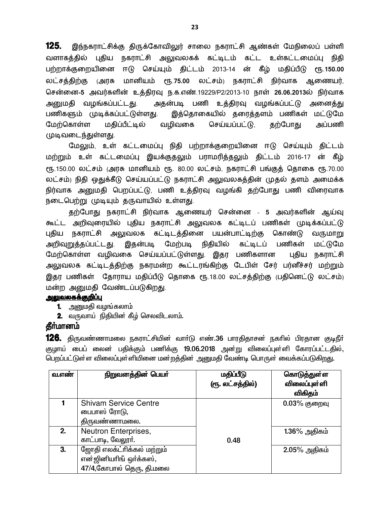**125.** இந்நகராட்சிக்கு திருக்கோவிலுர் சாலை நகராட்சி ஆண்கள் மேநிலைப் பள்ளி வளாகத்தில் புதிய நகராட்சி அலுவலகக் கட்டிடம் கட்ட உள்கட்டமைப்பு நிதி பற்றாக்குறையினை ஈடு செய்யும் திட்டம் 2013-14 ன் கீழ் மதிப்பீடு ரூ.1**50.00** லட்சத்திற்கு குரசு மானியம் ரூ.75.00 லட்சம்<sub>)</sub> நகராட்சி நிர்வாக ஆணையர், சென்னை-5 அவர்களின் உத்திரவு ந.க.எண்.19229/P2/2013-10 நாள் 26.06.2013ல் நிர்வாக அனுமதி வழங்கப்பட்டது. அதன்படி பணி உத்திரவு வழங்கப்பட்டு அனைத்து பணிகளும் முடிக்கப்பட்டுள்ளது. இத்தொகையில் தரைத்தளம் பணிகள் மட்டுமே மேற்கொள்ள மதிப்பீட்டில் வழிவகை செய்யப்பட்டு, தற்போது அப்பணி முடிவடைந்துள்ளது.

மேலும், உள் கட்டமைப்பு நிதி பற்றாக்குறையினை ஈடு செய்யும் திட்டம் மற்றும் உள் கட்டமைப்பு இயக்குதலும் பராமரித்தலும் திட்டம் 2016-17 ன் கீழ் ரூ.150.00 லட்சம் (அரசு மானியம் ரூ. 80.00 லட்சம், நகராட்சி பங்குத் தொகை ரூ.70.00 லட்சம்) நிதி ஒதுக்கீடு செய்யப்பட்டு நகராட்சி அலுவலகத்தின் முதல் தளம் அமைக்க நிர்வாக அனுமதி பெறப்பட்டு, பணி உத்திரவு வழங்கி தற்போது பணி விரைவாக நடைபெற்று முடியும் தருவாயில் உள்ளது.

தற்போது நகராட்சி நிர்வாக ஆணையர் சென்னை - 5 அவர்களின் ஆய்வு கூட்ட அறிவுரையில் புதிய நகராட்சி அலுவலக கட்டிடப் பணிகள் முடிக்கப்பட்டு புதிய நகராட்சி அலுவலக கட்டிடத்தினை பயன்பாட்டிற்கு கொண்டு வருமாறு அறிவுறுத்தப்பட்டது. இதன்படி மேற்படி நிதியில் கட்டிடப் பணிகள் மட்டுமே மேற்கொள்ள வழிவகை செய்யப்பட்டுள்ளது. இதர பணிகளான புதிய நகராட்சி அலுவலக கட்டிடத்திற்கு நகரமன்ற கூட்டரங்கிற்கு டேபிள் சேர் பர்னீச்சர் மற்றும் இதர பணிகள் தோராய மதிப்பீடு தொகை ரூ.18.00 லட்சத்திற்கு (பதினெட்டு லட்சம்) மன்ற அனுமதி வேண்டப்படுகிறது.

#### <u>அலுவலகக்குறிப்பு</u>

- **1.** அனுமதி வழங்கலாம்
- 2. வருவாய் நிதியின் கீழ் செலவிடலாம்.

#### தீா்மானம்

**126.** திருவண்ணாமலை நகராட்சியின் வாா்டு எண்.36 பாரதிதாசன் நகாில் பிரதான குடிநீா் சூழாய் பைப் லைன் பதிக்கும் பணிக்கு 19.06.2018 அன்று விலைப்புள்ளி கோரப்பட்டதில், பெறப்பட்டுள்ள விலைப்புள்ளியினை மன்றத்தின் அறுமதி வேண்டி பொருள் வைக்கப்படுகிறது.

| வ.எண் | நிறுவனத்தின் பெயர்                                                               | மதிப்பீடு<br>(ரூ. லட்சத்தில்) | கொடுத்துள்ள<br>விலைப்புள்ளி<br>விகிதம் |
|-------|----------------------------------------------------------------------------------|-------------------------------|----------------------------------------|
|       | <b>Shivam Service Centre</b><br>பைபாஸ் ரோடு,<br>திருவண்ணாமலை.                    |                               | $0.03\%$ குறைவு                        |
| 2.    | Neutron Enterprises,<br>காட்பாடி, வேலூர்.                                        | 0.48                          | $1.36\%$ அதிகம்                        |
| 3.    | ஜோதி எலக்ட்ரிக்கல் மற்றும்<br>என்ஜினியரிங் ஒர்க்கஸ்,<br>47/4,கோபால் தெரு, தி.மலை |                               | $2.05\%$ அதிகம்                        |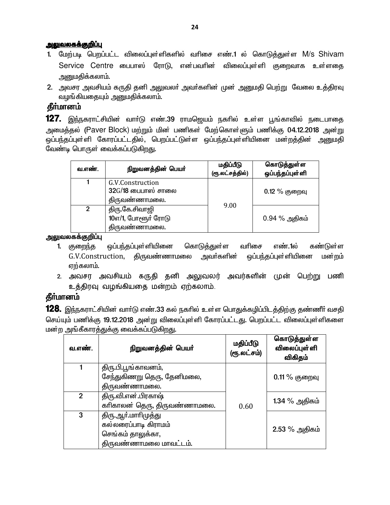#### <u>அலுவலகக்குறிப்பு</u>

- 1. மேற்படி பெறப்பட்ட விலைப்புள்ளிகளில் வரிசை எண்.1 ல் கொடுத்துள்ள M/s Shivam Service Centre பைபாஸ் ரோடு, என்பவரின் விலைப்புள்ளி குறைவாக உள்ளதை அனுமகிக்கலாம்.
- 2. அவசர அவசியம் கருதி தனி அலுவலா் அவா்களின் முன் அனுமதி பெற்று வேலை உத்திரவு வழங்கியதையும் அனுமதிக்கலாம்.

### **கீர்மானம்**

**127.** இந்நகராட்சியின் வாா்டு எண்.39 ராமஜெயம் நகாில் உள்ள பூங்காவில் நடைபாதை அமைத்தல் (Paver Block) மற்றும் மின் பணிகள் மேற்கொள்ளும் பணிக்கு 04.12.2018 அன்று ஒப்பந்தப்புள்ளி கோரப்பட்டதில், பெறப்பட்டுள்ள ஒப்பந்தப்புள்ளியினை மன்றத்தின் அனுமதி வேண்டி பொருள் வைக்கப்படுகிறது.

| வ.எண்.         | நிறுவனத்தின் பெயர்                                        | மதிப்பீடு<br>(ரூ.லட்சத்தில்) | கொடுத்துள்ள<br>ஒப்பந்தப்புள்ளி |
|----------------|-----------------------------------------------------------|------------------------------|--------------------------------|
|                | G.V.Construction<br>$32G/18$ பைபாஸ் சாலை<br>திருவண்ணாமலை. |                              | $0.12\%$ குறைவு                |
| $\mathfrak{p}$ | திரு.கே.சிவாஜி<br>$10$ எ/1, போளூர் ரோடு<br>திருவண்ணாமலை.  | 9.00                         | $0.94\%$ அதிகம்                |

அலுவலகக்குறிப்பு

- ஒப்பந்தப்புள்ளியினை கொடுத்துள்ள எண்.1ல் 1. குறைந்த வரிசை கண்டுள்ள G.V.Construction, திருவண்ணாமலை அவா்களின் ஒப்பந்தப்புள்ளியினை மன்றம் <u>ஏற்கலாம்.</u>
- 2. அவசர அவசியம் கருதி தனி அலுவலர் அவர்களின் முன் பெற்று பணி உத்திரவு வழங்கியதை மன்றம் ஏற்கலாம்.

# **கீர்மானம்**

**128.** இந்நகராட்சியின் வார்டு எண்.33 கல் நகரில் உள்ள பொதுக்கழிப்பிடத்திற்கு தண்ணீர் வசதி செய்யும் பணிக்கு 19.12.2018 அன்று விலைப்புள்ளி கோரப்பட்டது. பெறப்பட்ட விலைப்புள்ளிகளை மன்ற அங்கீகாரத்துக்கு வைக்கப்படுகிறது.

| வ.எண்.         | நிறுவனத்தின் பெயர்           | மதிப்பீடு<br>(ரூ.லட்சம்) | கொடுத்துள்ள<br><b>விலைப்புள்</b> ளி<br>விகிதம் |
|----------------|------------------------------|--------------------------|------------------------------------------------|
|                | திரு.பி.பூங்காவனம்,          |                          |                                                |
|                | சேந்துகிணறு தெரு, தேனிமலை,   |                          | $0.11\%$ குறைவு                                |
|                | திருவண்ணாமலை.                |                          |                                                |
| 2 <sup>1</sup> | திரு.வி.என்.பிரகாஷ்          |                          | 1.34 % அதிகம்                                  |
|                | காிகாலன் தெரு, திருவண்ணாமலை. | 0.60                     |                                                |
| 3              | திரு.ஆா்.மாாிமுத்து          |                          |                                                |
|                | கல்லரைப்பாடி கிராமம்         |                          | $2.53\%$ அதிகம்                                |
|                | செங்கம் தாலுக்கா,            |                          |                                                |
|                | திருவண்ணாமலை மாவட்டம்.       |                          |                                                |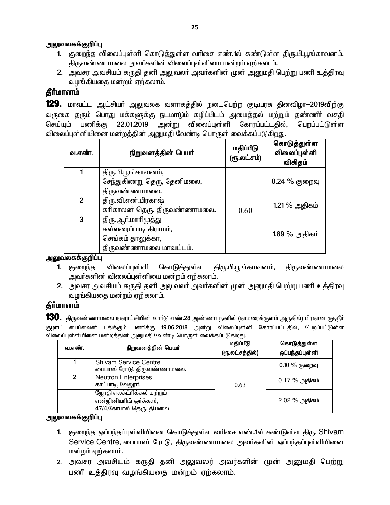- 1. குறைந்த விலைப்புள்ளி கொடுத்துள்ள வரிசை எண்.1ல் கண்டுள்ள திரு.பி.பூங்காவனம். திருவண்ணாமலை அவர்களின் விலைப்புள்ளியை மன்றம் ஏற்கலாம்.
- 2. அவசர அவசியம் கருதி தனி அலுவலா் அவா்களின் முன் அனுமதி பெற்று பணி உத்திரவு வமங்கியகை மன்றம் ஏற்கலாம்.

# தீா்மானம்

129. மாவட்ட ஆட்சியா் அலுவலக வளாகத்தில் நடைபெற்ற குடியரசு தினவிழா-2019விற்கு வருகை தரும் பொது மக்களுக்கு நடமாடும் கழிப்பிடம் அமைத்தல் மற்றும் தண்ணீர் வசதி அன்று விலைப்புள்ளி கோரப்பட்டதில், பெறப்பட்டுள்ள 22.01.2019 செய்யும் பணிக்கு விலைப்புள்ளியினை மன்றத்தின் அனுமதி வேண்டி பொருள் வைக்கப்படுகிறது.

| வ.எண்.         | நிறுவனத்தின் பெயர்           | மதிப்பீடு<br>(ரூ.லட்சம்) | கொடுத்துள்ள<br>விலைப்புள் ளி<br>விகிதம் |
|----------------|------------------------------|--------------------------|-----------------------------------------|
|                | திரு.பி.பூங்காவனம்,          |                          |                                         |
|                | சேந்துகிணறு தெரு, தேனிமலை,   |                          | $0.24\%$ குறைவு                         |
|                | திருவண்ணாமலை.                |                          |                                         |
| $\overline{2}$ | திரு.வி.என்.பிரகாஷ்          |                          | 1.21 % அதிகம்                           |
|                | காிகாலன் தெரு, திருவண்ணாமலை. | 0.60                     |                                         |
| 3              | திரு.ஆா்.மாாிமுத்து          |                          |                                         |
|                | கல்லரைப்பாடி கிராமம்,        |                          | 1.89 % அதிகம்                           |
|                | செங்கம் தாலுக்கா,            |                          |                                         |
|                | திருவண்ணாமலை மாவட்டம்.       |                          |                                         |

அலுவலகக்குறிப்பு

- திரு.பி.பூங்காவனம், திருவண்ணாமலை விலைப்புள்ளி கொடுத்துள்ள 1. குறைந்த அவா்களின் விலைப்புள்ளியை மன்றம் ஏற்கலாம்.
- 2. அவசர அவசியம் கருதி தனி அலுவலா் அவா்களின் முன் அனுமதி பெற்று பணி உத்திரவு வழங்கியதை மன்றம் ஏற்கலாம்.

# தீர்மானம்

**130.** திருவண்ணாமலை நகராட்சியின் வார்டு எண்.28 அண்ணா நகரில் (தாமரைக்குளம் அருகில்) பிரதான குடிநீர் குழாய் பைப்லைன் பதிக்கும் பணிக்கு 19.06.2018 அன்று விலைப்புள்ளி கோரப்பட்டதில், பெறப்பட்டுள்ள விலைப்புள்ளியினை மன்றத்தின் அறுமதி வேண்டி பொருள் வைக்கப்படுகிறது.

| வ.எண். | நிறுவனத்தின் பெயர்                                                               | மதிப்பீடு<br>(ரூ.லட்சத்தில்) | கொடுத்துள்ள<br>ஒப்பந்தப்புள்ளி |
|--------|----------------------------------------------------------------------------------|------------------------------|--------------------------------|
|        | <b>Shivam Service Centre</b><br>பைபாஸ் ரோடு, திருவண்ணாமலை.                       |                              | $0.10\%$ குறைவு                |
| 2      | Neutron Enterprises,<br>காட்பாடி, வேலூர்.                                        | 0.63                         | 0.17 % அதிகம்                  |
|        | ஜோதி எலக்ட்ரிக்கல் மற்றும்<br>என்ஜினியரிங் ஒர்க்கஸ்,<br>47/4,கோபால் தெரு, தி.மலை |                              | $2.02\%$ அதிகம்                |

#### அலுவலகக்குறிப்பு

- 1. குறைந்த ஒப்பந்தப்புள்ளியினை கொடுத்துள்ள வரிசை எண்.1ல் கண்டுள்ள திரு. Shivam Service Centre, பைபாஸ் ரோடு, திருவண்ணாமலை அவர்களின் ஒப்பந்தப்புள்ளியினை மன்றம் ஏற்கலாம்.
- 2. அவசர அவசியம் கருதி தனி அலுவலர் அவர்களின் முன் அனுமதி பெற்று பணி உத்திரவு வழங்கியதை மன்றம் ஏற்கலாம்.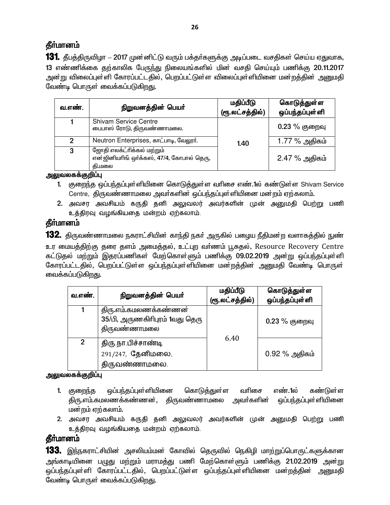# கீர்மானம்

**131.** தீபத்திருவிழா – 2017 முன்னிட்டு வரும் பக்தா்களுக்கு அடிப்படை வசதிகள் செய்ய ஏதுவாக, 13 எண்ணிக்கை தற்காலிக பேருந்து நிலையங்களில் மின் வசதி செய்யும் பணிக்கு 20.11.2017 அன்று விலைப்புள்ளி கோரப்பட்டதில், பெறப்பட்டுள்ள விலைப்புள்ளியினை மன்றத்தின் அனுமதி வேண்டி பொருள் வைக்கப்படுகிறது.

| வ.எண். | நிறுவனத்தின் பெயர்                                                                | மதிப்பீடு<br>(ரூ.லட்சத்தில்) | கொடுத்துள்ள<br>ஒப்பந்தப்புள்ளி |
|--------|-----------------------------------------------------------------------------------|------------------------------|--------------------------------|
|        | <b>Shivam Service Centre</b><br>பைபாஸ் ரோடு, திருவண்ணாமலை.                        |                              | $0.23\ \%$ குறைவு              |
| 2      | Neutron Enterprises, காட்பாடி, வேலூர்.                                            | 1.40                         | 1.77 % அதிகம்                  |
| 3      | ஜோதி எலக்ட்ரிக்கல் மற்றும்<br>என்ஜினியரிங் ஒர்க்கஸ், 47/4, கோபால் தெரு,<br>கி.மலை |                              | 2.47 % அதிகம்                  |

அலுவலகக்குறிப்பு

- 1. குறைந்த ஒப்பந்தப்புள்ளியினை கொடுத்துள்ள வரிசை எண்.1ல் கண்டுள்ள Shivam Service Centre, திருவண்ணாமலை அவர்களின் ஒப்பந்தப்புள்ளியினை மன்றம் ஏற்கலாம்.
- 2. அவசர அவசியம் கருதி தனி அலுவலர் அவர்களின் முன் அனுமதி பெற்று பணி உத்திரவு வழங்கியதை மன்றம் ஏற்கலாம்.

### **கீர்மானம்**

**132.** திருவண்ணாமலை நகராட்சியின் காந்தி நகர் அருகில் பழைய நீதிமன்ற வளாகத்தில் நுண் உர மையத்திற்கு தரை தளம் அமைத்தல், உட்புற வர்ணம் பூசுதல், Resource Recovery Centre கட்டுதல் மற்றும் இதரப்பணிகள் மேற்கொள்ளும் பணிக்கு 09.02.2019 அன்று ஒப்பந்தப்புள்ளி கோரப்பட்டதில், பெறப்பட்டுள்ள ஒப்பந்தப்புள்ளியினை மன்றத்தின் அனுமதி வேண்டி பொருள் வைக்கப்படுகிறது.

| வ.எண்.         | நிறுவனத்தின் பெயர்                                                      | மதிப்பீடு<br>(ரூ.லட்சத்தில்) | கொடுத்துள்ள<br>ஒப்பந்தப்புள்ளி |
|----------------|-------------------------------------------------------------------------|------------------------------|--------------------------------|
|                | திரு.எம்.கமலணக்கண்ணன்<br>35/பி, அருணகிரிபுரம் 1வது தெரு<br>திருவண்ணாமலை |                              | $0.23\%$ குறைவு                |
| $\overline{2}$ | திரு.நா.பிச்சாண்டி<br>291/247, தேனிமலை,<br>திருவண்ணாமலை.                | 6.40                         | $0.92\%$ அதிகம்                |

### அலுவலகக்குறிப்பு

- 1. குறைந்த ஒப்பந்தப்புள்ளியினை கொடுத்துள்ள வரிசை எண்.1ல் கண்டுள்ள திரு.எம்.கமலணக்கண்ணன், திருவண்ணாமலை அவர்களின் ஒப்பந்தப்புள்ளியினை மன்றம் ஏற்கலாம்.
- 2. அவசர அவசியம் கருதி தனி அலுவலர் அவர்களின் முன் அனுமதி பெற்று பணி உத்திரவு வழங்கியதை மன்றம் ஏற்கலாம்.

# **தீர்மானம்**

**133.** இந்நகராட்சியின் அசலியம்மன் கோவில் தெருவில் நெகிழி மாற்றுப்பொருட்களுக்கான அங்காடியினை பழுது மற்றும் மராமத்து பணி மேற்கொள்ளும் பணிக்கு 21.02.2019 அன்று ஒப்பந்தப்புள்ளி கோரப்பட்டதில், பெறப்பட்டுள்ள ஒப்பந்தப்புள்ளியினை மன்றத்தின் அனுமதி வேண்டி பொருள் வைக்கப்படுகிறது.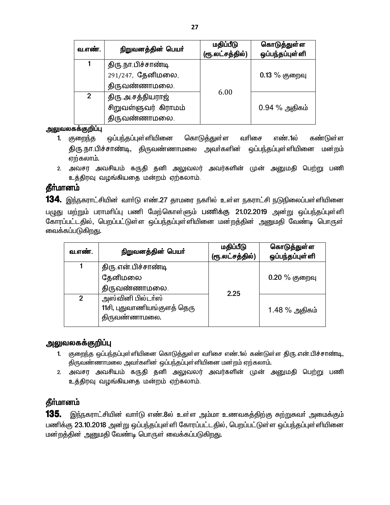| வ.எண்.         | நிறுவனத்தின் பெயர்   | மதிப்பீடு<br>(ரூ.லட்சத்தில்) | கொடுத்துள்ள<br>ஒப்பந்தப்புள்ளி |
|----------------|----------------------|------------------------------|--------------------------------|
| 1              | திரு.நா.பிச்சாண்டி   |                              |                                |
|                | 291/247, தேனிமலை,    |                              | $0.13\%$ குறைவு                |
|                | திருவண்ணாமலை.        |                              |                                |
| $\overline{2}$ | திரு அசத்தியராஜ்     | 6.00                         |                                |
|                | சிறுவள்ளுவர் கிராமம் |                              | $0.94\%$ அதிகம்                |
|                | திருவண்ணாமலை.        |                              |                                |

- 1. குறைந்த ஒப்பந்தப்புள்ளியினை கொடுத்துள்ள வரிசை எண்.1ல் கண்டுள்ள திரு.நா.பிச்சாண்டி, திருவண்ணாமலை அவர்களின் ஒப்பந்தப்புள்ளியினை மன்றம் எற்கலாம்.
- 2. அவசர அவசியம் கருதி தனி அலுவலர் அவர்களின் முன் அனுமதி பெற்று பணி உத்திரவு வழங்கியதை மன்றம் ஏற்கலாம்.

# தீா்மானம்

134. இந்நகராட்சியின் வார்டு எண்.27 தாமரை நகரில் உள்ள நகராட்சி நடுநிலைப்பள்ளியினை பழுது மற்றும் பராமரிப்பு பணி மேற்கொள்ளும் பணிக்கு 21.02.2019 அன்று ஒப்பந்தப்புள்ளி கோரப்பட்டதில், பெறப்பட்டுள்ள ஒப்பந்தப்புள்ளியினை மன்றத்தின் அனுமதி வேண்டி பொருள் வைக்கப்படுகிறது.

| வ.எண்.         | நிறுவனத்தின் பெயர்                                                | மதிப்பீடு<br>(ரூ.லட்சத்தில்) | கொடுத்துள்ள<br>ஒப்பந்தப்புள்ளி |
|----------------|-------------------------------------------------------------------|------------------------------|--------------------------------|
|                | திரு என் பிச்சாண்டி<br>தேனிமலை<br>திருவண்ணாமலை.                   | 2.25                         | $0.20\%$ குறைவு                |
| $\overline{2}$ | அஸ்வினி பில்டா்ஸ்<br>11சி, புதுவாணியங்குளத் தெரு<br>திருவண்ணாமலை. |                              | 1.48 % அதிகம்                  |

### <u>அலுவலகக்குறிப்பு</u>

- 1. குறைந்த ஒப்பந்தப்புள்ளியினை கொடுத்துள்ள வரிசை எண்.1ல் கண்டுள்ள திரு.என்.பிச்சாண்டி, திருவண்ணாமலை அவா்களின் ஒப்பந்தப்புள்ளியினை மன்றம் ஏற்கலாம்.
- 2. அவசர அவசியம் கருதி தனி அலுவலர் அவர்களின் முன் அனுமதி பெற்று பணி உத்திரவு வழங்கியதை மன்றம் ஏற்கலாம்.

# தீர்மானம்

**135.** இந்நகராட்சியின் வார்டு எண்.8ல் உள்ள அம்மா உணவகத்திற்கு சுற்றுசுவர் அமைக்கும் பணிக்கு 23.10.2018 அன்று ஒப்பந்தப்புள்ளி கோரப்பட்டதில், பெறப்பட்டுள்ள ஒப்பந்தப்புள்ளியினை மன்றத்தின் அனுமதி வேண்டி பொருள் வைக்கப்படுகிறது.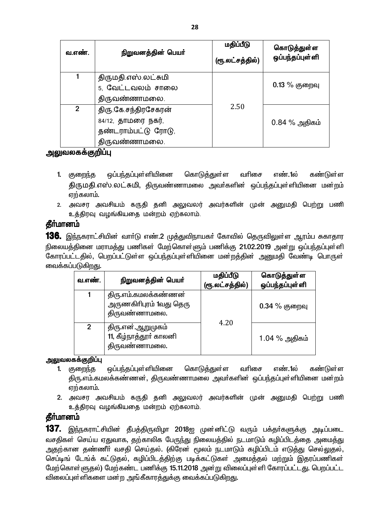| வ.எண்.         | நிறுவனத்தின் பெயர்   | மதிப்பீடு       | கொடுத்துள்ள     |
|----------------|----------------------|-----------------|-----------------|
|                |                      | (ரூ.லட்சத்தில்) | ஒப்பந்தப்புள்ளி |
|                | திருமதி.எஸ்.லட்சுமி  |                 |                 |
|                | 5, வேட்டவலம் சாலை    |                 | $0.13\%$ குறைவு |
|                | திருவண்ணாமலை.        |                 |                 |
| $\overline{2}$ | திரு.கே.சந்திரசேகரன் | 2.50            |                 |
|                | 84/12, தாமரை நகர்,   |                 | $0.84\%$ அதிகம் |
|                | தண்டராம்பட்டு ரோடு,  |                 |                 |
|                | திருவண்ணாமலை.        |                 |                 |

### <u>அலுவலகக்குறிப்பு</u>

- 1. குறைந்த ஒப்பந்தப்புள்ளியினை கொடுத்துள்ள வரிசை எண்.1ல் கண்டுள்ள திருமதி.எஸ்.லட்சுமி, திருவண்ணாமலை அவர்களின் ஒப்பந்தப்புள்ளியினை மன்றம்  $\sigma$ ற்கலாம்.
- 2. அவசர அவசியம் கருதி தனி அலுவலர் அவர்களின் முன் அனுமதி பெற்று பணி உத்திரவு வழங்கியதை மன்றம் ஏற்கலாம்.

# தீர்மானம்

**136.** இந்நகராட்சியின் வாா்டு எண்.2 முத்துவிநாயகா் கோவில் தெருவிலுள்ள ஆரம்ப சுகாதார நிலையத்தினை மராமத்து பணிகள் மேற்கொள்ளும் பணிக்கு 21.02.2019 அன்று ஒப்பந்தப்புள்ளி .<br>கோரப்பட்டதில், பெறப்பட்டுள்ள ஒப்பந்தப்புள்ளியினை மன்றத்தின் அனுமதி வேண்டி பொருள் வைக்கப்படுகி<u>றத</u>ு.

| வ.எண்.         | நிறுவனத்தின் பெயர்                                               | மதிப்பீடு<br>(ரூ.லட்சத்தில்) | கொடுத்துள்ள<br>ஒப்பந்தப்புள்ளி |
|----------------|------------------------------------------------------------------|------------------------------|--------------------------------|
|                | திரு.எம்.கமலக்கண்ணன்<br>அருணகிரிபுரம் 1வது தெரு<br>திருவண்ணாமலை. |                              | $0.34\%$ குறைவு                |
| $\mathfrak{p}$ | திரு.என்.ஆறுமுகம்<br>11, கீழ்நாத்தூர் காலனி<br>திருவண்ணாமலை.     | 4.20                         | 1.04 % அதிகம்                  |

### <u>அலு</u>வலகக்குறிப்பு

- 1. குறைந்த ஒப்பந்தப்புள்ளியினை கொடுத்துள்ள வரிசை எண்.1ல் கண்டுள்ள திரு.எம்.கமலக்கண்ணன், திருவண்ணாமலை அவர்களின் ஒப்பந்தப்புள்ளியினை மன்றம் ஏற்கலாம்.
- 2. அவசர அவசியம் கருதி தனி அலுவலர் அவர்களின் முன் அனுமதி பெற்று பணி உத்திரவு வழங்கியதை மன்றம் ஏற்கலாம்.

# தீா்மானம்

137. இந்நகராட்சியின் தீபத்திருவிழா 2018ஐ முன்னிட்டு வரும் பக்தா்களுக்கு அடிப்படை வசதிகள் செய்ய ஏதுவாக, தற்காலிக பேருந்து நிலையத்தில் நடமாடும் கழிப்பிடத்தை அமைத்து அதற்கான தண்ணீர் வசதி செய்தல். (கிரேன் மூலம் நடமாடும் கழிப்பிடம் எடுத்து செல்லுதல், செப்டிங் டேங்க் கட்டுதல், கழிப்பிடத்திற்கு படிக்கட்டுகள் அமைத்தல் மற்றும் இதரப்பணிகள் மேற்கொள்ளுதல்) மேற்கண்ட பணிக்கு 15.11.2018 அன்று விலைப்புள்ளி கோரப்பட்டது. பெறப்பட்ட <u>விலைப்புள்ளிகளை மன்ற அங்கீகாரத்துக்கு</u> வைக்கப்படுகிறது.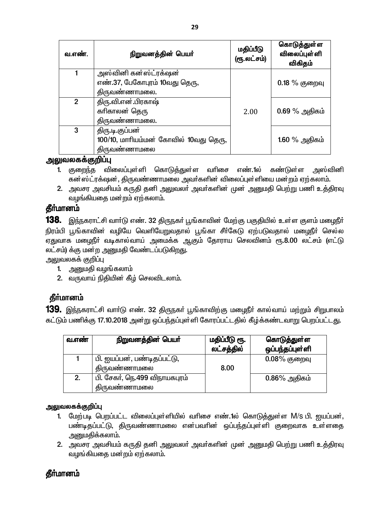| வ.எண்.         | நிறுவனத்தின் பெயர்                    | மதிப்பீடு<br>(ரூ.லட்சம்) | கொடுத்துள்ள<br>விலைப்புள் ளி<br>விகிதம் |
|----------------|---------------------------------------|--------------------------|-----------------------------------------|
| 1              | அஸ்வினி கன்ஸ்ட்ரக்ஷன்                 |                          |                                         |
|                | எண்.37, பேகோபுரம் 10வது தெரு,         |                          | $0.18\%$ குறைவு                         |
|                | திருவண்ணாமலை.                         |                          |                                         |
| $\overline{2}$ | திரு.வி.என்.பிரகாஷ்                   |                          |                                         |
|                | காிகாலன் தெரு                         | 2.00                     | 0.69 % அதிகம்                           |
|                | திருவண்ணாமலை.                         |                          |                                         |
| 3              | திரு.டி.குப்பன்                       |                          |                                         |
|                | 100/10, மாரியம்மன் கோவில் 10வது தெரு, |                          | $1.60\%$ அதிகம்                         |
|                | திருவண்ணாமலை                          |                          |                                         |

- 1. குறைந்த விலைப்புள்ளி கொடுத்துள்ள வரிசை எண்.1ல் கண்டுள்ள <u>அஸ்வினி</u> கன்ஸ்ட்ரக்ஷன், திருவண்ணாமலை அவர்களின் விலைப்புள்ளியை மன்றம் ஏற்கலாம்.
- 2. அவசர அவசியம் கருதி தனி அலுவலா் அவா்களின் முன் அனுமதி பெற்று பணி உத்திரவு வழங்கியதை மன்றம் ஏற்கலாம்.

### தீர்மானம்

138. இந்நகராட்சி வார்டு எண். 32 திருநகர் பூங்காவின் மேற்கு பகுதியில் உள்ள குளம் மழைநீர் நிரம்பி பூங்காவின் வழியே வெளியேறுவதால் பூங்கா சீா்கேடு ஏற்படுவதால் மழைநீா் செல்ல ஏதுவாக மழைநீா் வடிகால்வாய் அமைக்க ஆகும் தோராய செலவினம் ரூ.8.00 லட்சம் (எட்டு லட்சம்) க்கு மன்ற அனுமதி வேண்டப்படுகிறது.

அலுவலகக் குறிப்பு

- 1. அனுமதி வழங்கலாம்
- 2. வருவாய் நிதியின் கீழ் செலவிடலாம்.

# தீா்மானம்

**139.** இந்நகராட்சி வார்டு எண். 32 திருநகர் பூங்காவிற்கு மழைநீர் கால்வாய் மற்றும் சிறுபாலம் கட்டும் பணிக்கு 17.10.2018 அன்று ஒப்பந்தப்புள்ளி கோரப்பட்டதில் கீழ்க்கண்டவாறு பெறப்பட்டது.

| வ.எண் | நிறுவனத்தின் பெயர்            | மதிப்பீடு ரூ.<br>லட்சத்தில் | கொடுத்துள்ள<br>ஒப்பந்தப்புள்ளி |
|-------|-------------------------------|-----------------------------|--------------------------------|
|       | பி. ஐயப்பன், பண்டிதப்பட்டு,   |                             | $0.08\%$ குறைவு                |
|       | திருவண்ணாமலை                  | 8.00                        |                                |
| 2.    | பி. சேகா், நெ.499 விநாயகபுரம் |                             | $0.86\%$ அதிகம்                |
|       | திருவண்ணாமலை                  |                             |                                |

#### அலுவலகக்குறிப்பு

- 1. மேற்படி பெறப்பட்ட விலைப்புள்ளியில் வரிசை எண்.1ல் கொடுத்துள்ள M/s பி. ஐயப்பன், பண்டிதப்பட்டு, திருவண்ணாமலை என்பவரின் ஒப்பந்தப்புள்ளி குறைவாக உள்ளதை அனுமகிக்கலாம்.
- 2. அவசர அவசியம் கருதி தனி அலுவலா் அவா்களின் முன் அனுமதி பெற்று பணி உத்திரவு வழங்கியதை மன்றம் ஏற்கலாம்.

# கீர்மானம்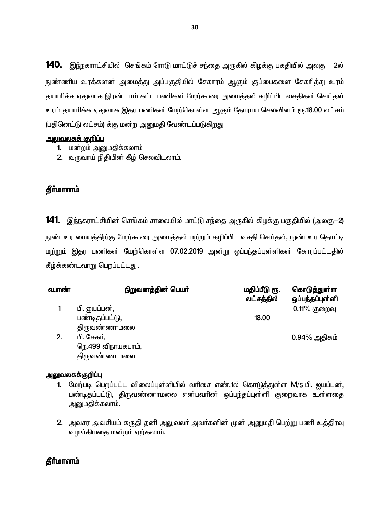140. இந்நகராட்சியில் செங்கம் ரோடு மாட்டுச் சந்தை அருகில் கிழக்கு பகதியில் அலகு – 2ல் <u>ந</u>ுண்ணிய உரக்களன் அமைத்து அப்பகுதியில் சேகாரம் ஆகும் குப்பைகளை சேகரித்து உரம் தயாரிக்க ஏதுவாக இரண்டாம் கட்ட பணிகள் மேற்கூரை அமைத்தல் கழிப்பிட வசதிகள் செய்தல் உரம் தயாரிக்க ஏதுவாக இதர பணிகள் மேற்கொள்ள ஆகும் தோராய செலவினம் ரூ.18.00 லட்சம் (பதினெட்டு லட்சம்) க்கு மன்ற அனுமதி வேண்டப்படுகிறது

#### <u>அலுவலகக் குறிப்பு</u>

- 1. மன்றம் அனுமதிக்கலாம்
- 2. வருவாய் நிதியின் கீழ் செலவிடலாம்.

### **தீர்மானம்**

 $141$ . இந்நகராட்சியின் செங்கம் சாலையில் மாட்டு சந்தை அருகில் கிழக்கு பகுதியில் (அலகு $-2$ ) நுண் உர மையத்திற்கு மேற்கூரை அமைத்தல் மற்றும் கழிப்பிட வசதி செய்தல், நுண் உர தொட்டி ் மற்றும் இதர பணிகள் மேற்கொள்ள 07.02.2019 அன்று ஒப்பந்தப்புள்ளிகள் கோரப்பட்டதில் கீழ்க்கண்டவாறு பெறப்பட்டது.

| வ.எண் | நிறுவனத்தின் பெயா   | மதிப்பீடு ரூ. | கொடுத்துள்ள     |
|-------|---------------------|---------------|-----------------|
|       |                     | லட்சத்தில்    | ஒப்பந்தப்புள்ளி |
|       | பி. ஐயப்பன்,        |               | $0.11\%$ குறைவு |
|       | பண்டிதப்பட்டு,      | 18.00         |                 |
|       | திருவண்ணாமலை        |               |                 |
|       | பி. சேகர்,          |               | $0.94\%$ அதிகம் |
|       | நெ.499 விநாயகபுரம், |               |                 |
|       | திருவண்ணாமலை        |               |                 |

#### அலுவலகக்குறிப்பு

- 1. மேற்படி பெறப்பட்ட விலைப்புள்ளியில் வரிசை எண்.1ல் கொடுத்துள்ள M/s பி. ஐயப்பன், பண்டிதப்பட்டு, திருவண்ணாமலை என்பவரின் ஒப்பந்தப்புள்ளி குறைவாக உள்ளதை அறுமதிக்கலாம்**.**
- 2. அவசர அவசியம் கருதி தனி அலுவலா் அவா்களின் முன் அனுமதி பெற்று பணி உத்திரவு வழங்கியகை மன்றம் ஏற்கலாம்.

### **கீர்மானம்**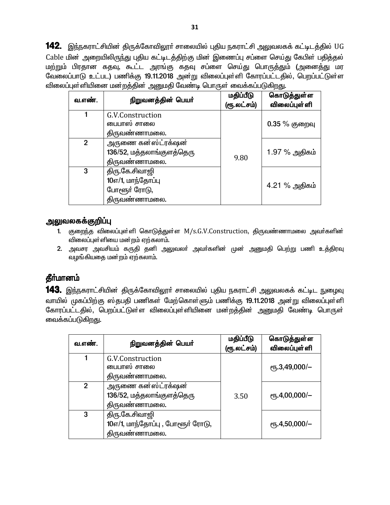142. இந்நகராட்சியின் திருக்கோவிலூா் சாலையில் புதிய நகராட்சி அலுவலகக் கட்டிடத்தில் UG Cable மின் அறையிலிருந்து புதிய கட்டிடத்திற்கு மின் இணைப்பு சப்ளை செய்து கேபிள் பதித்தல் மற்றும் பிரதான கதவு, கூட்ட அரங்கு கதவு சப்ளை செய்து பொருத்தும் (அனைத்து மர வேலைப்பாடு உட்பட) பணிக்கு 19.11.2018 அன்று விலைப்புள்ளி கோரப்பட்டதில், பெறப்பட்டுள்ள <u>விலைப்புள்ளியினை மன்றத்தின் அனுமதி வேண்டி பொருள் வைக்கப்படுகிறது.</u>

| வ.எண்.         | நிறுவனத்தின் பெயர்                                                   | மதிப்பீடு<br>(ரூ.லட்சம்) | கொடுத்துள்ள<br>விலைப்புள் ளி |
|----------------|----------------------------------------------------------------------|--------------------------|------------------------------|
|                | G.V.Construction<br>பைபாஸ் சாலை<br>திருவண்ணாமலை.                     | 9.80                     | $0.35%$ குறைவு               |
| 2 <sup>1</sup> | அருணை கன்ஸ்ட்ரக்ஷன்<br>136/52, மத்தலாங்குளத்தெரு<br>திருவண்ணாமலை.    |                          | 1.97 % அதிகம்                |
| 3              | திரு.கே.சிவாஜி<br>10எ/1, மாந்தோப்பு<br>போளூர் ரோடு,<br>திருவண்ணாமலை. |                          | 4.21 % அதிகம்                |

### <u>அலுவலகக்குறிப்பு</u>

- 1. குறைந்த விலைப்புள்ளி கொடுத்துள்ள M/s.G.V.Construction, திருவண்ணாமலை அவர்களின் விலைப்புள்ளியை மன்றம் எற்கலாம்.
- 2. அவசர அவசியம் கருதி தனி அலுவலா் அவா்களின் முன் அனுமதி பெற்று பணி உத்திரவு வழங்கியகை மன்றம் ஏற்கலாம்.

# **கீர்மானம்**

143. இந்நகராட்சியின் திருக்கோவிலூா் சாலையில் புதிய நகராட்சி அலுவலகக் கட்டிட நுழைவு வாயில் முகப்பிற்கு ஸ்தபதி பணிகள் மேற்கொள்ளும் பணிக்கு 19.11.2018 அன்று விலைப்புள்ளி கோரப்பட்டதில், பெறப்பட்டுள்ள விலைப்புள்ளியினை மன்றத்தின் அனுமதி வேண்டி பொருள் வைக்கப்படுகிறது.

| வ.எண்.         | நிறுவனத்தின் பெயர்                                                 | மதிப்பீடு<br>(ரூ.லட்சம்) | கொடுத்துள்ள<br><b>விலைப்புள்</b> ளி |
|----------------|--------------------------------------------------------------------|--------------------------|-------------------------------------|
|                | G.V.Construction<br>பைபாஸ் சாலை<br>திருவண்ணாமலை.                   |                          | $\rm (F, 3, 49, 000/-$              |
| $\overline{2}$ | அருணை கன்ஸ்ட்ரக்ஷன்<br>136/52, மத்தலாங்குளத்தெரு<br>திருவண்ணாமலை.  | 3.50                     | $\rm (CF, 4,00,000/-)$              |
| 3              | திரு.கே.சிவாஜி<br>10எ/1, மாந்தோப்பு, போளூர் ரோடு,<br>திருவண்ணாமலை. |                          | $\rm (Fb.4, 50, 000/-$              |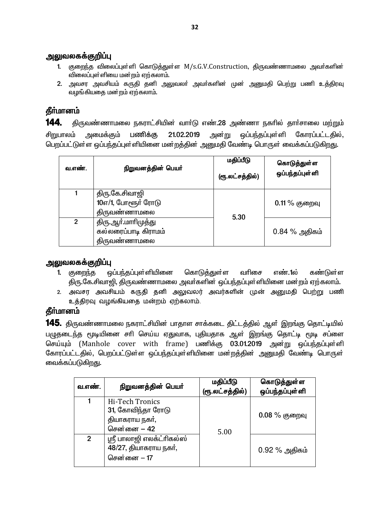#### <u>அலுவலகக்குறிப்பு</u>

- 1. குறைந்த விலைப்புள்ளி கொடுத்துள்ள M/s.G.V.Construction, திருவண்ணாமலை அவர்களின் விலைப்புள்ளியை மன்றம் ஏற்கலாம்.
- 2. அவசர அவசியம் கருதி தனி அலுவலா் அவா்களின் முன் அனுமதி பெற்று பணி உத்திரவு வழங்கியதை மன்றம் ஏற்கலாம்.

# தீர்மானம்

144. திருவண்ணாமலை நகராட்சியின் வார்டு எண்.28 அண்ணா நகரில் தார்சாலை மற்றும் அன்று ஒப்பந்தப்புள்*ளி* சிறுபாலம் அமைக்கும் பணிக்கு 21.02.2019 கோாப்பட்டகில். பெறப்பட்டுள்ள ஒப்பந்தப்புள்ளியினை மன்றத்தின் அனுமதி வேண்டி பொருள் வைக்கப்படுகிறது.

| வ.எண்.         | நிறுவனத்தின் பெயர்                                          | மதிப்பீடு<br>(ரூ.லட்சத்தில்) | கொடுத்துள்ள<br>ஒப்பந்தப்புள்ளி |
|----------------|-------------------------------------------------------------|------------------------------|--------------------------------|
|                | திரு.கே.சிவாஜி<br>10எ/1, போளூர் ரோடு<br>திருவண்ணாமலை        | 5.30                         | $0.11\%$ குறைவு                |
| $\overline{2}$ | திரு.ஆா்.மாாிமுத்து<br>கல்லரைப்பாடி கிராமம்<br>திருவண்ணாமலை |                              | $0.84\%$ அதிகம்                |

# அலுவலகக்குறிப்பு

- 1. குறைந்த ஒப்பந்தப்புள்ளியினை கொடுத்துள்ள வரிசை எண். ல கண்டுள்ள திரு.கே.சிவாஜி, திருவண்ணாமலை அவா்களின் ஒப்பந்தப்புள்ளியினை மன்றம் ஏற்கலாம்.
- 2. அவசர அவசியம் கருதி தனி அலுவலர் அவர்களின் முன் அனுமதி பெற்று பணி உத்திரவு வழங்கியதை மன்றம் ஏற்கலாம்.

# தீர்மானம்

**145.** திருவண்ணாமலை நகராட்சியின் பாதாள சாக்கடை திட்டத்தில் ஆள் இறங்கு தொட்டியில் பழுதடைந்த மூடியினை சரி செய்ய ஏதுவாக, புதியதாக ஆள் இறங்கு தொட்டி மூடி சப்ளை செய்யும் (Manhole cover with frame) பணிக்கு 03.01.2019 அன்று ஒப்பந்தப்புள்ளி கோரப்பட்டதில், பெறப்பட்டுள்ள ஒப்பந்தப்புள்ளியினை மன்றத்தின் அனுமதி வேண்டி பொருள் வைக்கப்படுகி<u>றத</u>ு.

| வ.எண்.         | நிறுவனத்தின் பெயர்                                                    | மதிப்பீடு<br>(ரூ.லட்சத்தில்) | கொடுத்துள்ள<br>ஒப்பந்தப்புள்ளி |
|----------------|-----------------------------------------------------------------------|------------------------------|--------------------------------|
| 1              | Hi-Tech Tronics<br>31, கோவிந்தா ரோடு<br>தியாகராய நகர்,<br>சென்னை – 42 | 5.00                         | $0.08\%$ குறைவு                |
| $\overline{2}$ | ஸ்ரீ பாலாஜி எலக்ட்ரிகல்ஸ்<br>48/27, தியாகராய நகர்,<br>சென்னை $-17$    |                              | $0.92\%$ அதிகம்                |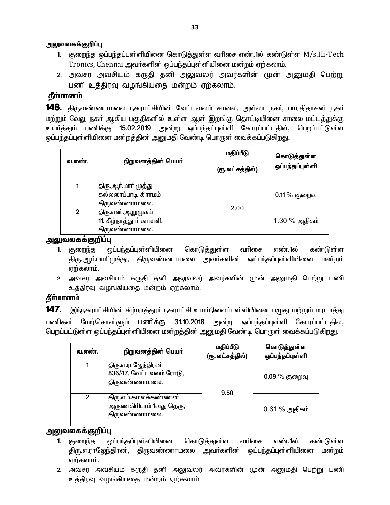#### <u>அலு</u>வலகக்குறிப்பு

- 1. குறைந்த ஒப்பந்தப்புள்ளியினை கொடுத்துள்ள வரிசை எண்.1ல் கண்டுள்ள M/s.Hi-Tech Tronics, Chennai அவர்களின் ஒப்பந்தப்புள்ளியினை மன்றம் ஏற்கலாம்.
- 2. அவசர அவசியம் கருதி தனி அலுவலர் அவர்களின் முன் அனுமதி பெற்று பணி உத்திரவு வழங்கியதை மன்றம் ஏற்கலாம்.

# **கீர்மானம்**

**146.** திருவண்ணாமலை நகராட்சியின் வேட்டவலம் சாலை, அல்லா நகர், பாரதிதாசன் நகர் மற்றும் வேலு நகா் ஆகிய பகுதிகளில் உள்ள ஆள் இறங்கு தொட்டியினை சாலை மட்டத்துக்கு ் உயர்த்தும் பணிக்கு 15.02.2019 அன்று ஒப்பந்தப்புள்ளி கோரப்பட்டதில், பெறப்பட்டுள்ள ஒப்பந்தப்புள்ளியினை மன்றத்தின் அனுமதி வேண்டி பொருள் வைக்கப்படுகி<u>றது</u>.

| வ.எண்.         | நிறுவனத்தின் பெயர்                                            | மதிப்பீடு<br>(ரூ.லட்சத்தில்) | கொடுத்துள்ள<br>ஒப்பந்தப்புள்ளி |
|----------------|---------------------------------------------------------------|------------------------------|--------------------------------|
|                | திரு.ஆா்.மாாிமுத்து<br>கல்லரைப்பாடி கிராமம்<br>திருவண்ணாமலை.  |                              | $0.11\%$ குறைவு                |
| $\overline{2}$ | திரு.என்.ஆறுமுகம்<br>11, கீழ்நாத்தூர் காலனி,<br>திருவண்ணாமலை. | 2.00                         | 1.30 % அதிகம்                  |

அலுவலகக்குறிப்பு

- 1. குறைந்த ஒப்பந்தப்புள்ளியினை கொடுத்துள்ள வரிசை எண்.1ல் கண்டுள்ள திரு.ஆர்.மாரிமுத்து, திருவண்ணாமலை அவர்களின் ஒப்பந்தப்புள்ளியினை மன்றம் ஏற்கலாம்.
- 2. அவசர அவசியம் கருதி தனி அலுவலர் அவர்களின் முன் அனுமதி பெற்று பணி உத்திரவு வழங்கியதை மன்றம் ஏற்கலாம்.

# தீா்மானம்

**147.** இந்நகராட்சியின் கீழ்நாத்தூா் நகராட்சி உயா்நிலைப்பள்ளியினை பழுது மற்றும் மராமத்து பணிகள் மேற்கொள்ளும் பணிக்கு 31.10.2018 அன்று ஒப்பந்தப்புள்ளி கோரப்பட்டதில், பெறப்பட்டுள்ள ஒப்பந்தப்புள்ளியினை மன்றத்தின் அனுமதி வேண்டி பொருள் வைக்கப்படுகிறது.

| வ.எண்.         | நிறுவனத்தின் பெயர்                                                | மதிப்பீடு<br>(ரூ.லட்சத்தில்) | கொடுத்துள்ள<br>ஒப்பந்தப்புள்ளி |
|----------------|-------------------------------------------------------------------|------------------------------|--------------------------------|
|                | திரு.எ.ராஜேந்திரன்<br>836/47, வேட்டவலம் ரோடு,<br>திருவண்ணாமலை.    | 9.50                         | $0.09\%$ குறைவு                |
| $\mathfrak{p}$ | திரு.எம்.கமலக்கண்ணன்<br>அருணகிரிபுரம் 1வது தெரு,<br>திருவண்ணாமலை. |                              | $0.61\%$ அதிகம்                |

### அலுவலகக்குறிப்பு

- 1. குறைந்த ஒப்பந்தப்புள்ளியினை கொடுத்துள்ள வரிசை எண்.1ல் கண்டுள்ள திரு.எ.ராஜேந்திரன், திருவண்ணாமலை அவர்களின் ஒப்பந்தப்புள்ளியினை மன்றம் ஏற்கலாம்.
- 2. அவசர அவசியம் கருதி தனி அலுவலர் அவர்களின் முன் அனுமதி பெற்று பணி உத்திரவு வழங்கியதை மன்றம் ஏற்கலாம்.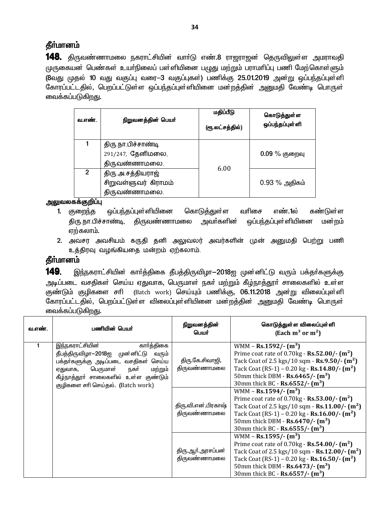# தீர்மானம்

**148.** திருவண்ணாமலை நகராட்சியின் வாா்டு எண்.8 ராஜராஜன் தெருவிலுள்ள அமராவதி முருகையன் பெண்கள் உயா்நிலைப் பள்ளியினை பழுது மற்றும் பராமாிப்பு பணி மேற்கொள்ளும் (8வது முதல் 10 வது வகுப்பு வரை—3 வகுப்புகள்) பணிக்கு 25.01.2019 அன்று ஒப்பந்தப்புள்ளி கோரப்பட்டதில், பெறப்பட்டுள்ள ஒப்பந்தப்புள்ளியினை மன்றத்தின் அனுமதி வேண்டி பொருள் வைக்கப்படுகிறது.

| வ.எண்.       | நிறுவனத்தின் பெயர்                                        | மதிப்பீடு<br>(ரூ.லட்சத்தில்) | கொடுத்துள்ள<br>ஒப்பந்தப்புள்ளி |
|--------------|-----------------------------------------------------------|------------------------------|--------------------------------|
|              | திரு நா பிச்சாண்டி<br>291/247, தேனிமலை,<br>திருவண்ணாமலை.  |                              | $0.09\%$ குறைவு                |
| $\mathbf{2}$ | திரு அசத்தியராஜ்<br>சிறுவள்ளுவர் கிராமம்<br>திருவண்ணாமலை. | 6.00                         | $0.93\%$ அதிகம்                |

#### அலுவலகக்குறிப்பு

- ஒப்பந்தப்புள்ளியினை கொடுத்துள்ள வரிசை 1. குறைந்த எண்.1ல் கண்டுள்ள திரு நா பிச்சாண்டி, திருவண்ணாமலை அவா்களின் ஒப்பந்தப்புள்ளியினை மன்றம் ஏற்கலாம்.
- 2. அவசர அவசியம் கருதி தனி அலுவலர் அவர்களின் முன் அனுமதி பெற்று பணி உத்திரவு வழங்கியதை மன்றம் ஏற்கலாம்.

# தீர்மானம்

149. இந்நகராட்சியின் கார்த்திகை தீபத்திருவிழா—2018ஐ முன்னிட்டு வரும் பக்தர்களுக்கு அடிப்படை வசதிகள் செய்ய ஏதுவாக, பெருமாள் நகா் மற்றும் கீழ்நாத்தூா் சாலைகளில் உள்ள குண்டும் குழிகளை சரி (Batch work) செய்யும் பணிக்கு, 06.11.2018 அன்று விலைப்புள்ளி கோரப்பட்டதில், பெறப்பட்டுள்ள விலைப்புள்ளியினை மன்றத்தின் அனுமதி வேண்டி பொருள் வைக்கப்படுகிறது.

| வ.எண். | பணியின் பெயர்                                                                                                                                                                                                                           | நிறுவனத்தின்<br>பெயர்               | கொடுத்துள்ள விலைப்புள்ளி<br>(Each $m^3$ or $m^2$ )                                                                                                                                                                                                                                                                                 |
|--------|-----------------------------------------------------------------------------------------------------------------------------------------------------------------------------------------------------------------------------------------|-------------------------------------|------------------------------------------------------------------------------------------------------------------------------------------------------------------------------------------------------------------------------------------------------------------------------------------------------------------------------------|
|        | இந்நகராட்சியின்<br>கார்த்திகை<br>தீபத்திருவிழா-2018ஐ முன்னிட்டு<br>வரும்<br>பக்தா்களுக்கு அடிப்படை வசதிகள் செய்ய<br>பெருமாள்<br>நகர்<br>மற்றும்<br>ஏதுவாக,<br>கீழ்நாத்தூா் சாலைகளில் உள்ள குண்டும்<br>குழிகளை சரி செய்தல். (Batch work) | திரு.கே.சிவாஜி,<br>திருவண்ணாமலை     | WMM – Rs.1592/- $(m^3)$<br>Prime coat rate of $0.70$ kg - <b>Rs.52.00/-</b> $(m^2)$<br>Tack Coat of 2.5 kgs/10 sqm - Rs.9.50/- (m <sup>2</sup> )<br>Tack Coat (RS-1) – 0.20 kg - Rs.14.80/- $(m^2)$<br>50mm thick DBM - $\text{Rs.}6465/-$ (m <sup>3</sup> )<br>30mm thick BC - Rs.6552/- $(m^3)$                                  |
|        |                                                                                                                                                                                                                                         | திரு.வி.என்.பிரகாஷ்<br>திருவண்ணாமலை | WMM - Rs.1594/- $(m^3)$<br>Prime coat rate of $0.70$ kg - Rs.53.00/- $(m^2)$<br>Tack Coat of 2.5 kgs/10 sqm - $\text{Rs}.11.00/ \text{m}^2$ )<br>Tack Coat (RS-1) – 0.20 kg - $\text{Rs.16.00}/\text{-} \text{ (m}^2)$<br>50mm thick DBM - $\text{Rs.6470}/\cdot \text{ (m}^3)$<br>30mm thick BC - Rs.6555/- $(m^3)$               |
|        |                                                                                                                                                                                                                                         | திரு.ஆா்.அரசப்பன்<br>திருவண்ணாமலை   | WMM – Rs.1595/- $(m^3)$<br>Prime coat rate of $0.70$ kg - <b>Rs.54.00/-</b> (m <sup>2</sup> )<br>Tack Coat of 2.5 kgs/10 sqm - Rs.12.00/- (m <sup>2</sup> )<br>Tack Coat (RS-1) – 0.20 kg - Rs.16.50/- $(m^2)$<br>50mm thick DBM - $\text{Rs.6473}/\cdot \text{ (m}^3)$<br>30mm thick BC - $\text{Rs.6557}/\text{-} \text{ (m}^3)$ |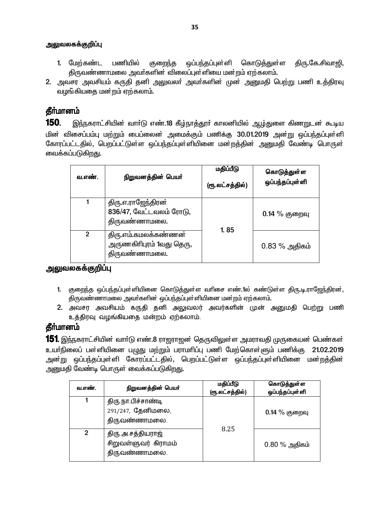- 1. மேற்கண்ட பணியில் ஒப்பந்தப்புள்ளி கொடுத்துள்ள திரு.கே.சிவாஜி, குறைந்த திருவண்ணாமலை அவர்களின் விலைப்புள்ளியை மன்றம் ஏற்கலாம்.
- 2. அவசா அவசியம் கருதி தனி அலுவலர் அவர்களின் முன் அறுமதி பெற்று பணி உத்திரவு வழங்கியதை மன்றம் ஏற்கலாம்.

# தீர்மானம்

150. இந்நகராட்சியின் வார்டு எண்.18 கீழ்நாத்தூர் காலனியில் ஆழ்துளை கிணறுடன் கூடிய மின் விசைப்பம்பு மற்றும் பைப்லைன் அமைக்கும் பணிக்கு 30.01.2019 அன்று ஒப்பந்தப்புள்ளி கோரப்பட்டதில், பெறப்பட்டுள்ள ஒப்பந்தப்புள்ளியினை மன்றத்தின் அனுமதி வேண்டி பொருள் வைக்கப்படுகிறது.

| வ.எண்.         | நிறுவனத்தின் பெயர்                                                | மதிப்பீடு<br>(ரூ.லட்சத்தில்) | கொடுத்துள்ள<br>ஒப்பந்தப்புள்ளி |
|----------------|-------------------------------------------------------------------|------------------------------|--------------------------------|
|                | திரு.எ.ராஜேந்திரன்<br>836/47, வேட்டவலம் ரோடு,<br>திருவண்ணாமலை.    | 1.85                         | $0.14\%$ குறைவு                |
| $\overline{2}$ | திரு.எம்.கமலக்கண்ணன்<br>அருணகிரிபுரம் 1வது தெரு,<br>திருவண்ணாமலை. |                              | $0.83\%$ அதிகம்                |

## அலுவலகக்குறிப்பு

- 1. குறைந்த ஒப்பந்தப்புள்ளியினை கொடுத்துள்ள வரிசை எண்.1ல் கண்டுள்ள திரு.டி.ராஜேந்திரன், திருவண்ணாமலை அவர்களின் ஒப்பந்தப்புள்ளியினை மன்றம் ஏற்கலாம்.
- 2. அவசர அவசியம் கருதி தனி அலுவலர் அவர்களின் முன் அனுமதி பெற்று பணி உத்திரவு வழங்கியதை மன்றம் ஏற்கலாம்.

# தீர்மானம்

**151.** இந்நகராட்சியின் வாா்டு எண்.8 ராஜராஜன் தெருவிலுள்ள அமராவதி முருகையன் பெண்கள் உயர்நிலைப் பள்ளியினை பமுது மற்றும் பராமரிப்பு பணி மேற்கொள்ளும் பணிக்கு 21.02.2019 அன்று ஒப்பந்தப்புள்ளி கோரப்பட்டதில், பெறப்பட்டுள்ள ஒப்பந்தப்புள்ளியினை மன்றத்தின் அனுமதி வேண்டி பொருள் வைக்கப்படுகிறது.

| வ.எண்.         | நிறுவனத்தின் பெயர்                                        | மதிப்பீடு<br>(ரூ.லட்சத்தில்) | கொடுத்துள்ள<br>ஒப்பந்தப்புள்ளி |
|----------------|-----------------------------------------------------------|------------------------------|--------------------------------|
|                | திரு நா பிச்சாண்டி<br>291/247, தேனிமலை,<br>திருவண்ணாமலை.  |                              | $0.14\%$ குறைவு                |
| $\mathfrak{p}$ | திரு அசத்தியராஜ்<br>சிறுவள்ளுவர் கிராமம்<br>திருவண்ணாமலை. | 8.25                         | $0.80\%$ அதிகம்                |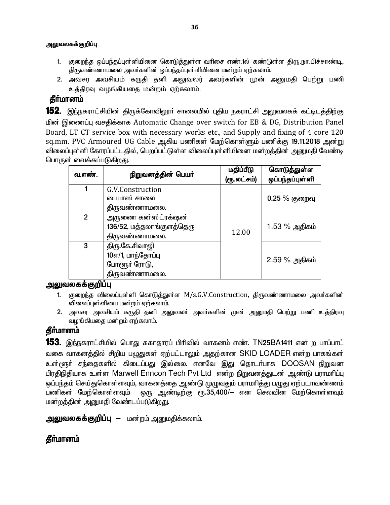- 1. குறைந்த ஒப்பந்தப்புள்ளியினை கொடுத்துள்ள வரிசை எண்.1ல் கண்டுள்ள திரு.நா.பிச்சாண்டி, திருவண்ணாமலை அவர்களின் ஒப்பந்தப்புள்ளியினை மன்றம் ஏற்கலாம்.
- 2. அவசர அவசியம் கருதி தனி அலுவலர் அவர்களின் முன் அனுமதி பெற்று பணி உத்திரவு வழங்கியதை மன்றம் ஏற்கலாம்.

# கீர்மானம்

**152**. இந்நகராட்சியின் திருக்கோவிலூா் சாலையில் புதிய நகராட்சி அலுவலகக் கட்டிடத்திற்கு பின் இணைப்பு வசதிக்காக Automatic Change over switch for EB & DG, Distribution Panel Board, LT CT service box with necessary works etc., and Supply and fixing of 4 core 120 sq.mm. PVC Armoured UG Cable ஆகிய பணிகள் மேற்கொள்ளும் பணிக்கு 19.11.2018 அன்று விலைப்புள்ளி கோரப்பட்டதில், பெறப்பட்டுள்ள விலைப்புள்ளியினை மன்றத்தின் அனுமதி வேண்டி பொருள் வைக்கப்படுகிறது.

| வ.எண்.         | நிறுவனத்தின் பெயர்                                                   | மதிப்பீடு<br>(ரூ.லட்சம்) | கொடுத்துள்ள<br>ஒப்பந்தப்புள்ளி |
|----------------|----------------------------------------------------------------------|--------------------------|--------------------------------|
|                | G.V.Construction<br>பைபாஸ் சாலை<br>திருவண்ணாமலை.                     |                          | 0.25 % குறைவு                  |
| 2 <sup>1</sup> | அருணை கன்ஸ்ட்ரக்ஷன்<br>136/52, மத்தலாங்குளத்தெரு<br>திருவண்ணாமலை.    | 12.00                    | 1.53 % அதிகம்                  |
| 3              | திரு.கே.சிவாஜி<br>10எ/1, மாந்தோப்பு<br>போளூர் ரோடு,<br>திருவண்ணாமலை. |                          | 2.59 % அதிகம்                  |

#### அலுவலகக்குறிப்பு

- 1. குறைந்த விலைப்புள்ளி கொடுத்துள்ள M/s.G.V.Construction, திருவண்ணாமலை அவர்களின் விலைப்புள்ளியை மன்றம் ஏற்கலாம்.
- 2. அவசர அவசியம் கருதி தனி அலுவலா் அவா்களின் முன் அனுமதி பெற்று பணி உத்திரவு வழங்கியதை மன்றம் ஏற்கலாம்.

# கீர்மானம்

**153.** இந்நகராட்சியில் பொது சுகாதாரப் பிரிவில் வாகனம் எண். TN25BA1411 என் ற பாப்பாட் வகை வாகனத்தில் சிறிய பழுதுகள் ஏற்பட்டாலும் அதற்கான SKID LOADER என்ற பாகங்கள் உள்ளூர் சந்தைகளில் கிடைப்பது இல்லை. எனவே இது தொடர்பாக DOOSAN நிறுவன பிரதிநிதியாக உள்ள Marwell Enncon Tech Pvt Ltd என்ற நிறுவனத்துடன் ஆண்டு பராமரிப்பு ஒப்பந்தம் செய்துகொள்ளவும், வாகனத்தை ஆண்டு முழுவதும் பராமரித்து பழுது ஏற்படாவண்ணம் ஒரு ஆண்டிற்கு ரூ.35,400/— என செலவின மேற்கொள்ளவும் பணிகள் மேற்கொள்ளவும் மன்றத்தின் அனுமதி வேண்டப்படுகிறது.

**அலுவலகக்குறிப்பு** — மன்றம் அனுமதிக்கலாம்.

# **கீர்மானம்**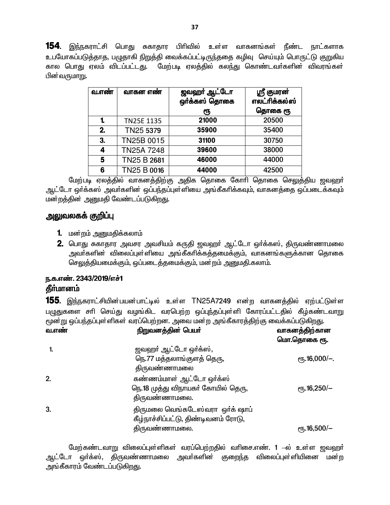154. இந்நகராட்சி பொது சுகாதார பிரிவில் உள்ள வாகனங்கள் நீண்ட நாட்களாக உபயோகப்படுத்தாத, பழுதாகி நிறுத்தி வைக்கப்பட்டிருந்ததை கழிவு செய்யும் பொருட்டு குறுகிய கால பொது ஏலம் விடப்பட்டது. மேற்படி ஏலத்தில் கலந்து கொண்டவா்களின் விவரங்கள் பின்வருமாறு.

| வ.எண் | வாகன எண்    | ஜவஹா் ஆட்டோ<br>ஒர்க்கஸ் தொகை | ஸ்ரீ குமரன்<br>எலட்ரிக்கல்ஸ் |
|-------|-------------|------------------------------|------------------------------|
|       |             | ιҧ                           | தொகை ரூ                      |
| 1.    | TN25E 1135  | 21000                        | 20500                        |
| 2.    | TN25 5379   | 35900                        | 35400                        |
| 3.    | TN25B 0015  | 31100                        | 30750                        |
| 4     | TN25A 7248  | 39600                        | 38000                        |
| 5     | TN25 B 2681 | 46000                        | 44000                        |
| 6     | TN25 B 0016 | 44000                        | 42500                        |

மேற்படி ஏலத்தில் வாகனத்திற்கு அதிக தொகை கோரி தொகை செலுத்திய ஜவஹர் ஆட்டோ ஒர்க்கஸ் அவர்களின் ஒப்பந்தப்புள்ளியை அங்கீகரிக்கவும், வாகனக்தை ஒப்படைக்கவும் மன்றத்தின் அனுமதி வேண்டப்படுகிறது.

### அலுவலகக் குறிப்பு

- 1. மன்றம் அனுமதிக்கலாம்
- 2. பொது சுகாதார அவசர அவசியம் கருதி ஜவஹா் ஆட்டோ ஒா்க்கஸ், திருவண்ணாமலை அவா்களின் விலைப்புள்ளியை அங்கீகாிக்கத்தமைக்கும். வாகனங்களுக்கான தொகை செலுத்தியமைக்கும், ஒப்படைத்தமைக்கும், மன்றம் அனுமதி.கலாம்.

### ந.க.எண். 2343/2019/எச்1 தீா்மானம்

**155**. இந்நகராட்சியின்பயன்பாட்டில் உள்ள TN25A7249 என்ற வாகனத்தில் ஏற்பட்டுள்ள பழுதுகளை சரி செய்து வழங்கிட வரபெற்ற ஒப்புந்தப்புள்ளி கோரப்பட்டதில் கீழ்கண்டவாறு மூன்று ஒப்பந்தப்புள்ளிகள் வரப்பெற்றன. அவை மன்ற அங்கீகாரத்திற்கு வைக்கப்படுகிறது.

| வ.எண் | நிறுவனத்தின் பெயர்                                                                      | வாகனத்திற்கான<br>மொ.தொகை ரூ. |
|-------|-----------------------------------------------------------------------------------------|------------------------------|
|       | ஜவஹா் ஆட்டோ ஒா்க்ஸ்,<br>நெ.77 மத்தலாங்குளத் தெரு,<br>திருவண்ணாமலை                       | $\rm e$ гђ. 16,000/-.        |
| 2.    | கண்ணம்மாள் ஆட்டோ ஒர்க்ஸ்<br>நெ.18 முத்து விநாயகர் கோயில் தெரு,<br>திருவண்ணாமலை.         | $\epsilon$ гђ.16,250/-       |
| 3.    | திருமலை வெங்கடேஸ்வரா ஒர்க் ஷாப்<br>கீழ்நாச்சிப்பட்டு, திண்டிவனம் ரோடு,<br>திருவண்ணாமலை. | $\rm{e}$ гђ. 16,500/-        |

மேற்கண்டவாறு விலைப்புள்ளிகள் வரப்பெற்றதில் வரிசை.எண். 1 –ல் உள்ள ஜவஹர் ஆட்டோ ஒர்க்ஸ், திருவண்ணாமலை அவர்களின் குறைந்த விலைப்புள்ளியினை மன்ற அங்கீகாரம் வேண்டப்படுகிறது.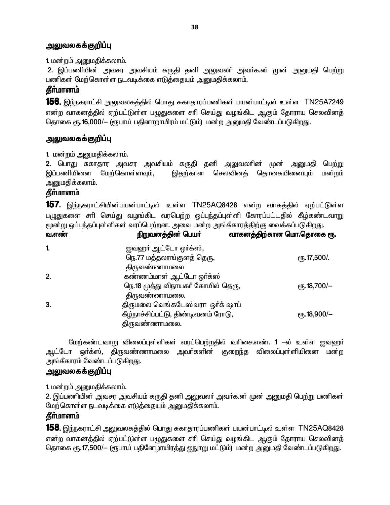1. மன்றம் அனுமதிக்கலாம்.

2. இப்பணியின் அவசர அவசியம் கருதி தனி அலுவலா் அவா்க.ன் முன் அனுமதி பெற்று பணிகள் மேற்கொள்ள நடவடிக்கை எடுத்தையும் அனுமதிக்கலாம்.

# தீர்மானம்

**156.** இந்நகராட்சி அலுவலகத்தில் பொது சுகாதாரப்பணிகள் பயன்பாட்டில் உள்ள TN25A7249 என்ற வாகனத்தில் ஏற்பட்டுள்ள பமுதுகளை சரி செய்து வழங்கிட ஆகும் தோராய செலவினத் தொகை ரூ.16,000/— (ரூபாய் பதினாறாயிரம் மட்டும்) மன்ற அனுமதி வேண்டப்படுகிறது.

### அலுவலகக்குறிப்பு

1. மன்றம் அனுமதிக்கலாம்.

2. பொது சுகாதார அவசர அவசியம் கருதி தனி அலுவலாின் முன் அனுமதி பெற்று இப்பணியினை மேற்கொள்ளவும், செலவினக் தொகையினையும் இகற்கான மன்றம் அனுமதிக்கலாம்.

### தீா்மானம்

**157.** இந்நகராட்சியின்பயன்பாட்டில் உள்ள TN25AQ8428 என்ற வாகத்தில் ஏற்பட்டுள்ள பழுதுகளை சாி செய்து வழங்கிட வரபெற்ற ஒப்புந்தப்புள்ளி கோரப்பட்டதில் கீழ்கண்டவாறு மூன்று ஒப்பந்தப்புள்ளிகள் வரப்பெற்றன. அவை மன்ற அங்கீகாரத்திற்கு வைக்கப்படுகிறது.  $\overline{f}$  $\vec{r}$  find  $\vec{r}$  and  $\vec{r}$  or  $\vec{r}$ 

| <b>04.01 0001</b> | <b>IPITIIOTIONI @@IONI_AILIMIII</b> | in) connection in the main of filiding the main the |
|-------------------|-------------------------------------|-----------------------------------------------------|
| 1.                | ஜவஹர் ஆட்டோ ஒர்க்ஸ்,                |                                                     |
|                   | நெ.77 மத்தலாங்குளத் தெரு,           | $e$ <sup>0</sup> 5.17,500/                          |
|                   | திருவண்ணாமலை                        |                                                     |
| 2.                | கண்ணம்மாள் ஆட்டோ ஒர்க்ஸ             |                                                     |
|                   | நெ.18 முத்து விநாயகர் கோயில் தெரு,  | ரூ.18,700/–                                         |
|                   | திருவண்ணாமலை.                       |                                                     |
| 3.                | திருமலை வெங்கடேஸ்வரா ஒர்க் ஷாப்     |                                                     |
|                   | கீழ்நாச்சிப்பட்டு, திண்டிவனம் ரோடு, | $\epsilon$ гђ.18,900/-                              |
|                   | திருவண்ணாமலை.                       |                                                     |
|                   |                                     |                                                     |

மேற்கண்டவாறு விலைப்புள்ளிகள் வரப்பெற்றதில் வரிசை.எண். 1 –ல் உள்ள ஜவஹர் ஆட்டோ ஒர்க்ஸ், கிருவண்ணாமலை அவர்களின் குறைந்த விலைப்புள்ளியினை மன்ற அங்கீகாரம் வேண்டப்படுகிறது.

#### <u>அலுவலகக்குறிப்பு</u>

1. மன்றம் அனுமதிக்கலாம்.

2. இப்பணியின் அவசர அவசியம் கருதி தனி அலுவலா் அவா்க.ன் முன் அனுமதி பெற்று பணிகள் மேற்கொள்ள நடவடிக்கை எடுத்தையும் அனுமதிக்கலாம்.

# தீர்மானம்

**158.** இந்நகராட்சி அலுவலகத்தில் பொது சுகாதாரப்பணிகள் பயன்பாட்டில் உள்ள TN25AQ8428 என்ற வாகனத்தில் ஏற்பட்டுள்ள பமுதுகளை சரி செய்து வழங்கிட ஆகும் தோராய செலவினத் தொகை ரூ.17,500/— (ரூபாய் பதினேழாயிரத்து ஐநுாறு மட்டும்) மன்ற அனுமதி வேண்டப்படுகிறது.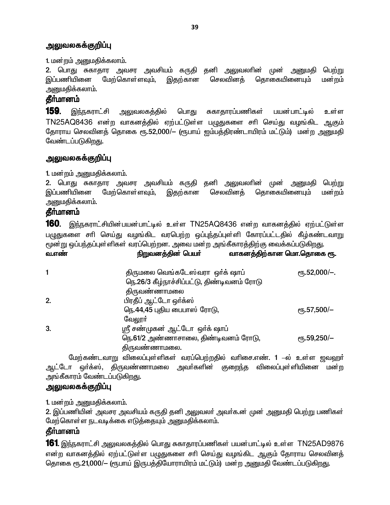1. மன்றம் அனுமதிக்கலாம்.

2. பொது சுகாதார அவசர அவசியம் கருதி தனி அலுவலரின் அனுமதி முன் பெற்று இப்பணியினை மேற்கொள்ளவும், இதற்கான செலவினத் தொகையினையும் மன்றம் அனுமதிக்கலாம்.

### கீர்மானம்

159. அலுவலகத்தில் சுகாதாரப்பணிகள் இந்நகராட்சி பொது பயன்பாட்டில் உள்ள TN25AQ8436 என்ற வாகனத்தில் ஏற்பட்டுள்ள பழுதுகளை சரி செய்து வழங்கிட ஆகும் தோராய செலவினத் தொகை ரூ.52,000/— (ரூபாய் ஐம்பத்திரண்டாயிரம் மட்டும்) மன்ற அனுமதி வேண்டப்படுகிறது.

### <u>அலுவலகக்குறிப்பு</u>

1. மன்றம் அனுமதிக்கலாம்.

2. பொது சுகாதார அவசர அவசியம் கருதி தனி அலுவலாின் முன் அனுமதி பெற்று இப்பணியினை தொகையினையும் மேற்கொள்ளவும். இதற்கான செலவினக் மன்றம் <u>அன</u>ுமதிக்கலாம்.

#### **கீர்மானம்**

160. இந்நகராட்சியின்பயன்பாட்டில் உள்ள TN25AQ8436 என்ற வாகனத்தில் ஏற்பட்டுள்ள பழுதுகளை சாி செய்து வழங்கிட வரபெற்ற ஒப்புந்தப்புள்ளி கோரப்பட்டதில் கீழ்கண்டவாறு மூன்று ஒப்பந்தப்புள்ளிகள் வரப்பெற்றன. அவை மன்ற அங்கீகாரத்திற்கு வைக்கப்படுகிறது. வாகனக்கிற்கான மொ.கொகை ஸ. வ.எண் நிறுவனக்கின் பெயர்

|    | - - - -                                    |                      |
|----|--------------------------------------------|----------------------|
|    | திருமலை வெங்கடேஸ்வரா ஒர்க் ஷாப்            | $\rm (F, 52,000/-$ . |
|    | நெ.26/3 கீழ்நாச்சிப்பட்டு, திண்டிவனம் ரோடு |                      |
|    | திருவண்ணாமலை                               |                      |
| 2. | பிரதீப் ஆட்டோ ஒர்க்ஸ்                      |                      |
|    | நெ.44,45 புதிய பைபாஸ் ரோடு,                | ரூ.57,500/–          |
|    | வேலூா்                                     |                      |
| 3. | ஸ்ரீ சண்முகன் ஆட்டோ ஒர்க் ஷாப்             |                      |
|    | நெ.61/2 அண்ணாசாலை, திண்டிவனம் ரோடு,        | $\rm e$ гђ.59,250/-  |
|    | திருவண்ணாமலை.                              |                      |
|    |                                            |                      |

மேற்கண்டவாறு விலைப்புள்ளிகள் வரப்பெற்றதில் வரிசை.எண். 1 –ல் உள்ள ஜவஹர் ஆட்டோ ஒர்க்ஸ், திருவண்ணாமலை அவர்களின் குறைந்த விலைப்புள்ளியினை மன்ற அங்கீகாரம் வேண்டப்படுகி<u>றத</u>ு.

#### அலுவலகக்குறிப்பு

1. மன்றம் அனுமதிக்கலாம்.

2. இப்பணியின் அவசர அவசியம் கருதி தனி அலுவலா் அவா்க.ன் முன் அனுமதி பெற்று பணிகள் மேற்கொள்ள நடவடிக்கை எடுத்தையும் அனுமதிக்கலாம்.

# தீா்மானம்

**161** இந்நகராட்சி அலுவலகத்தில் பொது சுகாதாரப்பணிகள் பயன்பாட்டில் உள்ள TN25AD9876 என்ற வாகனத்தில் ஏற்பட்டுள்ள பழுதுகளை சரி செய்து வழங்கிட ஆகும் தோராய செலவினத் தொகை ரூ.21,000/- (ரூபாய் இருபத்தியோராயிரம் மட்டும்) மன்ற அனுமதி வேண்டப்படுகிறது.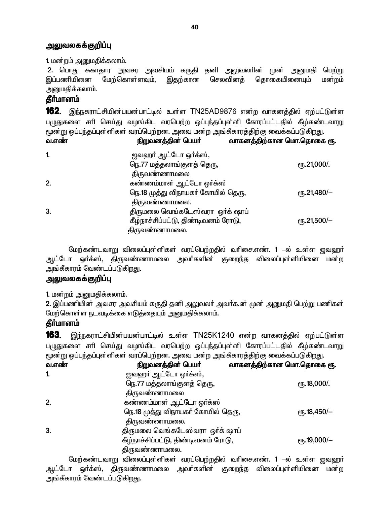1. மன்றம் அனுமதிக்கலாம்.

2. பொது சுகாதார அவசர அவசியம் கருதி தனி அலுவலாின் அனுமகி முன் பெற்று இப்பணியினை மேற்கொள்ளவும், இதற்கான செலவினத் தொகையினையும் மன்றம் அனுமதிக்கலாம்.

### **கீர்மானம்**

**162.** இந்நகராட்சியின்பயன்பாட்டில் உள்ள TN25AD9876 என்ற வாகனத்தில் ஏற்பட்டுள்ள பழுதுகளை சாி செய்து வழங்கிட வரபெற்ற ஒப்புந்தப்புள்ளி கோரப்பட்டதில் கீழ்கண்டவாறு மூன்று ஒப்பந்தப்புள்ளிகள் வரப்பெற்றன. அவை மன்ற அங்கீகாரத்திற்கு வைக்கப்படுகிறது.  $\mathbf{f}$ 

| 621.61 600 I | ірішелері Әдері місіпін             | 62111 க் 601 த்திய கான மயா. மதாகை ரூ |
|--------------|-------------------------------------|--------------------------------------|
| 1.           | ஜவஹர் ஆட்டோ ஒர்க்ஸ்,                |                                      |
|              | நெ.77 மத்தலாங்குளத் தெரு,           | $\epsilon$ гђ.21,000/.               |
|              | திருவண்ணாமலை                        |                                      |
| 2.           | கண்ணம்மாள் ஆட்டோ ஒர்க்ஸ             |                                      |
|              | நெ.18 முத்து விநாயகா் கோயில் தெரு,  | $e$ <sup>-6</sup> .21,480/-          |
|              | திருவண்ணாமலை.                       |                                      |
| 3.           | திருமலை வெங்கடேஸ்வரா ஒர்க் ஷாப்     |                                      |
|              | கீழ்நாச்சிப்பட்டு, திண்டிவனம் ரோடு, | ரூ.21,500/–                          |
|              | திருவண்ணாமலை.                       |                                      |

மேற்கண்டவாறு விலைப்புள்ளிகள் வரப்பெற்றதில் வரிசை.எண். 1 –ல் உள்ள ஜவஹர் ஆட்டோ ஒர்க்ஸ், திருவண்ணாமலை அவர்களின் குறைந்த விலைப்புள்ளியினை மன்ற அங்கீகாரம் வேண்டப்படுகிறது.

#### அலுவலகக்குறிப்பு

1. மன்றம் அனுமதிக்கலாம்.

2. இப்பணியின் அவசர அவசியம் கருதி தனி அலுவலா் அவா்க.ன் முன் அனுமதி பெற்று பணிகள் மேற்கொள்ள நடவடிக்கை எடுத்தையும் அனுமதிக்கலாம்.

### கீர்மானம்

163. இந்நகராட்சியின்பயன்பாட்டில் உள்ள TN25K1240 என்ற வாகனத்தில் ஏற்பட்டுள்ள பழுதுகளை சரி செய்து வழங்கிட வரபெற்ற ஒப்புந்தப்புள்ளி கோரப்பட்டதில் கீழ்கண்டவாறு மூன்று ஒப்பந்தப்புள்ளிகள் வரப்பெற்றன. அவை மன்ற அங்கீகாரத்திற்கு வைக்கப்படுகிறது.

| வ.எண் | நிறுவனத்தின் பெயர்                  | வாகனத்திற்கான மொ.தொகை ரூ. |
|-------|-------------------------------------|---------------------------|
| -1.   | ஜவஹர் ஆட்டோ ஒர்க்ஸ்,                |                           |
|       | நெ.77 மத்தலாங்குளத் தெரு,           | $\epsilon$ гђ. 18,000/.   |
|       | திருவண்ணாமலை                        |                           |
| 2.    | கண்ணம்மாள் ஆட்டோ ஒர்க்ஸ             |                           |
|       | நெ.18 முத்து விநாயகர் கோயில் தெரு,  | $e$ гђ.18,450/-           |
|       | திருவண்ணாமலை.                       |                           |
| 3.    | திருமலை வெங்கடேஸ்வரா ஒர்க் ஷாப்     |                           |
|       | கீழ்நாச்சிப்பட்டு, திண்டிவனம் ரோடு, | $\rm e$ гђ.19,000/-       |
|       | திருவண்ணாமலை.                       |                           |

மேற்கண்டவாறு விலைப்புள்ளிகள் வரப்பெற்றதில் வாிசை.எண். 1 —ல் உள்ள ஜவஹா் ஆட்டோ ஒர்க்ஸ், திருவண்ணாமலை அவர்களின் குறைந்த விலைப்புள்ளியினை மன்ற அங்கீகாரம் வேண்டப்படுகிறது.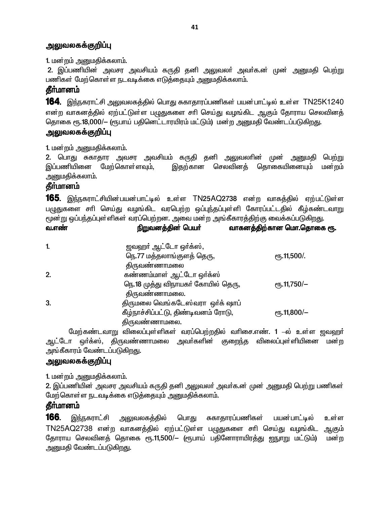1. மன்றம் அனுமதிக்கலாம்.

2. இப்பணியின் அவசர அவசியம் கருதி தனி அலுவலா் அவா்க.ன் முன் அனுமதி பெற்று பணிகள் மேற்கொள்ள நடவடிக்கை எடுத்தையும் அனுமதிக்கலாம்.

# தீர்மானம்

**164**. இந்நகராட்சி அலுவலகத்தில் பொது சுகாதாரப்பணிகள் பயன்பாட்டில் உள்ள TN25K1240 என்ற வாகனத்தில் ஏற்பட்டுள்ள பமுதுகளை சரி செய்து வழங்கிட ஆகும் தோராய செலவினத் தொகை ரூ.18,000/— (ரூபாய் பதினெட்டாரயிரம் மட்டும்) மன்ற அனுமதி வேண்டப்படுகிறது.

### அலுவலகக்குறிப்பு

1. மன்றம் அனுமதிக்கலாம்.

2. பொது சுகாதார அவசர அவசியம் கருதி தனி அலுவலாின் முன் பெற்று அனுமதி இப்பணியினை மேற்கொள்ளவும், இதற்கான செலவினத் தொகையினையும் மன்றம் அனுமதிக்கலாம்.

# தீர்மானம்

**165.** இந்நகராட்சியின்பயன்பாட்டில் உள்ள TN25AQ2738 என்ற வாகத்தில் ஏற்பட்டுள்ள பழுதுகளை சாி செய்து வழங்கிட வரபெற்ற ஒப்புந்தப்புள்ளி கோரப்பட்டதில் கீழ்கண்டவாறு மூன்று ஒப்பந்தப்புள்ளிகள் வரப்பெற்றன. அவை மன்ற அங்கீகாரத்திற்கு வைக்கப்படுகிறது.  $\mathbf{f}$  $\overline{O}$ <mark>றக ரூ.</mark>

| 61.6T600T | நறுவனத்துன் பெயா                    | வாகனத்துற்கான பெயர்.பெதான |
|-----------|-------------------------------------|---------------------------|
| 1.        | ஜவஹா் ஆட்டோ ஒா்க்ஸ்,                |                           |
|           | நெ.77 மத்தலாங்குளத் தெரு,           | <sub>e</sub> ҧ.11,500/.   |
|           | திருவண்ணாமலை                        |                           |
| 2.        | கண்ணம்மாள் ஆட்டோ ஒர்க்ஸ             |                           |
|           | நெ.18 முத்து விநாயகா் கோயில் தெரு,  | $e$ гђ.11,750/-           |
|           | திருவண்ணாமலை.                       |                           |
| 3.        | திருமலை வெங்கடேஸ்வரா ஒர்க் ஷாப்     |                           |
|           | கீழ்நாச்சிப்பட்டு, திண்டிவனம் ரோடு, | $\epsilon$ гђ.11,800/-    |
|           | கிருவண்ணாமலை.                       |                           |

மேற்கண்டவாறு விலைப்புள்ளிகள் வரப்பெற்றதில் வரிசை.எண். 1 –ல் உள்ள ஜவஹர் ஆட்டோ ஒர்க்ஸ், திருவண்ணாமலை அவர்களின் குறைந்த விலைப்புள்ளியினை மன்ற அங்கீகாரம் வேண்டப்படுகி<u>றது.</u>

# அலுவலகக்குறிப்பு

1. மன்றம் அனுமதிக்கலாம்.

2. இப்பணியின் அவசர அவசியம் கருதி தனி அலுவலர் அவர்க.ன் முன் அனுமதி பெற்று பணிகள் மேற்கொள்ள நடவடிக்கை எடுத்தையும் அனுமதிக்கலாம்.

# **தீர்மானம்**

166. அலுவலகத்தில் இந்நகராட்சி பொது சுகாதாரப்பணிகள் பயன்பாட்டில் உள்ள TN25AQ2738 என்ற வாகனத்தில் ஏற்பட்டுள்ள பழுதுகளை சரி செய்து வழங்கிட ஆகும் தோராய செலவினத் தொகை ரூ.11,500/— (ரூபாய் பதினோராயிரத்து ஐநுாறு மட்டும்) மன்ற அனுமதி வேண்டப்படுகிறது.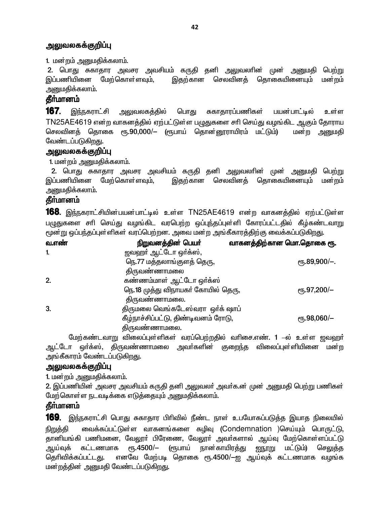1. மன்றம் அனுமதிக்கலாம்.

2. பொது சுகாதார அவசர அவசியம் கருதி தனி அலுவலாின் முன் அனுமதி பெற்று இப்பணியினை மேற்கொள்ளவும், இதற்கான செலவினத் தொகையினையும் மன்றம் அனுமதிக்கலாம்.

### கீர்மானம்

167. சுகாதாரப்பணிகள் இந்நகராட்சி <u>அலுவலகத்தில்</u> பொது பயன்பாட்டில் உள்ள TN25AE4619 என்ற வாகனத்தில் ஏற்பட்டுள்ள பழுதுகளை சரி செய்து வழங்கிட ஆகும் தோராய செலவினத் தொகை ரூ.90,000/— (ரூபாய் தொன்னூராயிரம் மட்டும்) மன்ற அனுமதி வேண்டப்படுகிறது.

# அலுவலகக்குறிப்பு

1. மன்றம் அனுமதிக்கலாம்.

2. பொது சுகாதார அவசர அவசியம் கருதி தனி அலுவலாின் முன் அனுமதி பெற்று இப்பணியினை மேற்கொள்ளவும், இதற்கான செலவினத் தொகையினையும் மன்றம் அனுமகிக்கலாம்.

### **கீர்மானம்**

**168.** இந்நகராட்சியின்பயன்பாட்டில் உள்ள TN25AE4619 என்ற வாகனத்தில் ஏற்பட்டுள்ள பழுதுகளை சாி செய்து வழங்கிட வரபெற்ற ஒப்புந்தப்புள்ளி கோரப்பட்டதில் கீழ்கண்டவாறு மூன்று ஒப்பந்தப்புள்ளிகள் வரப்பெற்றன. அவை மன்ற அங்கீகாரத்திற்கு வைக்கப்படுகிறது.

| <u>வ.எண்</u> | நிறுவனத்தின் பெயர்                  | வாகனத்திற்கான மொ.தொகை ரூ. |
|--------------|-------------------------------------|---------------------------|
| $\mathbf{1}$ | ஜவஹர் ஆட்டோ ஒர்க்ஸ்,                |                           |
|              | நெ.77 மத்தலாங்குளத் தெரு,           | $\rm (75.89, 900/-).$     |
|              | திருவண்ணாமலை                        |                           |
| 2.           | கண்ணம்மாள் ஆட்டோ ஒர்க்ஸ்            |                           |
|              | நெ.18 முத்து விநாயகர் கோயில் தெரு,  | $\rm e$ гђ.97,200/-       |
|              | திருவண்ணாமலை.                       |                           |
| 3.           | திருமலை வெங்கடேஸ்வரா ஒர்க் ஷாப்     |                           |
|              | கீழ்நாச்சிப்பட்டு, திண்டிவனம் ரோடு, | $\rm e$ гђ.98,060/-       |
|              | திருவண்ணாமலை.                       |                           |

மேற்கண்டவாறு விலைப்புள்ளிகள் வரப்பெற்றதில் வரிசை.எண். 1 –ல் உள்ள ஜவஹர் ஆட்டோ ஒர்க்ஸ், திருவண்ணாமலை அவர்களின் குறைந்த விலைப்புள்ளியினை மன்ற அங்கீகாரம் வேண்டப்படுகி<u>றத</u>ு.

#### அலுவலகக்குறிப்பு

1. மன்றம் அனுமதிக்கலாம்.

2. இப்பணியின் அவசர அவசியம் கருதி தனி அலுவலர் அவர்க.ன் முன் அனுமதி பெற்று பணிகள் மேற்கொள்ள நடவடிக்கை எடுத்தையும் அனுமதிக்கலாம்.

### **கீர்மானம்**

**169.** இந்நகராட்சி பொது சுகாதார பிரிவில் நீண்ட நாள் உபயோகப்படுத்த இயாத நிலையில் வைக்கப்பட்டுள்ள வாகனங்களை கழிவு (Condemnation )செய்யும் பொருட்டு, நிறுக்கி தானியங்கி பணிமனை, வேலூா் பிரேணை, வேலூா் அவா்களால் ஆய்வு மேற்கொள்ளப்பட்டு  $\rm{e}$ Гђ.4500/-(ரூபாய் நான்காயிர<u>த்த</u>ு <u>ன்நாறு</u> மட்டும்) ஆய்வுக் கட்டணமாக செலுக்க தெரிவிக்கப்பட்டது. எனவே மேற்படி தொகை ரூ.4500/—ஐ ஆய்வுக் கட்டணமாக வழங்க மன்றத்தின் அனுமதி வேண்டப்படுகி<u>றது</u>.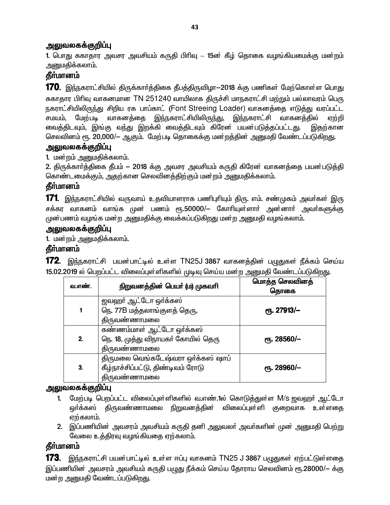1. பொது சுகாதார அவசர அவசியம் கருதி பிரிவு – 15ன் கீழ் தொகை வழங்கியமைக்கு மன்றம் அனுமதிக்கலாம்.

# **கீர்மானம்**

170. இந்நகராட்சியில் திருக்கார்த்திகை தீபத்திருவிழா−2018 க்கு பணிகள் மேற்கொள்ள பொது சுகாதார பிரிவு வாகனமான TN 251240 வாயிலாக திருச்சி மாநகராட்சி மற்றும் பல்லாவரம் பெரு நகராட்சியிலிருந்து சிறிய ரக பாப்காட் (Font Streeing Loader) வாகனத்தை எடுத்து வரப்பட்ட சமயம், மேற்படி வாகனத்தை இந்நகராட்சியிலிருந்து, இந்நகராட்சி வாகனத்தில் ஏற்றி வைத்திடவும், இங்கு வந்து இறக்கி வைத்திடவும் கிரேன் பயன்படுத்தப்பட்டது. இதற்கான செலவினம் ரூ. 20,000/– ஆகும். மேற்படி தொகைக்கு மன்றத்தின் அனுமதி வேண்டப்படுகிறது.

### <u>அலுவலகக்குறிப்பு</u>

1. மன்றம் அனுமதிக்கலாம்.

2. திருக்கார்த்திகை தீபம் - 2018 க்கு அவசர அவசியம் கருதி கிரேன வாகனத்தை பயன்படுத்தி கொண்டமைக்கும், அதற்கான செலவினக்கிற்கும் மன்றம் அனுமகிக்கலாம்.

# **கீர்மானம்**

**171**. இந்நகராட்சியில் வருவாய் உதவியாளராக பணிபுரியும் திரு. எம். சண்முகம் அவர்கள் இரு சக்கர வாகனம் வாங்க முன் பணம் ரூ.50000/— கோரியுள்ளாா் அன்னாா் அவா்களுக்கு முன்பணம் வழங்க மன்ற அனுமதிக்கு வைக்கப்படுகிறது மன்ற அனுமதி வழங்கலாம்.

### <u>அலுவலகக்குறிப்பு</u>

1. மன்றம் அனுமதிக்கலாம்.

# தீா்மானம்

**172.** இந்நகராட்சி பயன்பாட்டில் உள்ள TN25J 3867 வாகனத்தின் பழுதுகள் நீக்கம் செய்ய 15.02.2019 ல் பெறப்பட்ட விலைப்புள்ளிகளில் முடிவு செய்ய மன்ற அனுமதி வேண்டப்படுகிறது.

| வ.எண். | நிறுவனத்தின் பெயர் (ம) முகவரி                                                            | மொத்த செலவினத்<br>தொகை |
|--------|------------------------------------------------------------------------------------------|------------------------|
|        | ஜவஹா் ஆட்டோ ஒா்க்கஸ்<br>நெ. 77B மத்தலாங்குளத் தெரு,<br><b>திருவண்ணா</b> மலை              | <b>е</b> ђ. 27913/-    |
| 2.     | கண்ணம்மாள் ஆட்டோ ஒர்க்கஸ்<br>நெ. 18, முத்து விநாயகர் கோயில் தெரு<br>திருவண்ணாமல <u>ை</u> | ரூ. 28560/–            |
| 3.     | திருமலை வெங்கடேஷ்வரா ஒர்க்கஸ் ஷாப்<br>கீழ்நாச்சிப்பட்டு, திண்டிவம் ரோடு<br>திருவண்ணாமலை  | ரூ. 28960/-            |

### <u>அலுவலகக்குறிப்பு</u>

- 1. மேற்படி பெறப்பட்ட விலைப்புள்ளிகளில் வ.எண்.1ல் கொடுத்துள்ள M/s ஜவஹா் ஆட்டோ ஒர்க்கஸ் திருவண்ணாமலை நிறுவனத்தின் விலைப்புள்ளி குறைவாக உள்ளதை ஏற்கலாம்.
- 2. இப்பணியின் அவசரம் அவசியம் கருதி தனி அலுவலா் அவா்களின் முன் அனுமதி பெற்று வேலை உத்திரவு வழங்கியதை ஏற்கலாம்.

# **கீர்மானம்**

**173.** இந்நகராட்சி பயன்பாட்டில் உள்ள ஈப்பு வாகனம் <code>TN25</code> J 3867 பழுதுகள் ஏற்பட்டுள்ளதை இப்பணியின் அவசரம் அவசியம் கருதி பழுது நீக்கம் செய்ய தோராய செலவினம் ரூ.28000/— க்கு மன்ற அனுமதி வேண்டப்படுகிறது.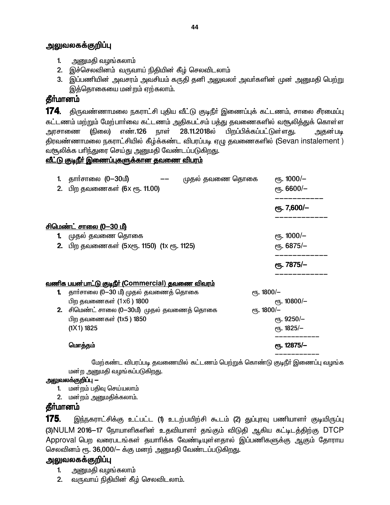- 1. அனுமதி வழங்கலாம்
- 2. இச்செலவினம் வருவாய் நிதியின் கீழ் செலவிடலாம்
- 3. இப்பணியின் அவசரம் அவசியம் கருதி தனி அலுவலா் அவா்களின் முன் அனுமதி பெற்று இத்தொகையை மன்றம் ஏற்கலாம்.

# **கீர்மானம்**

174. திருவண்ணாமலை நகராட்சி புதிய வீட்டு குடிநீர் இணைப்புக் கட்டணம், சாலை சீரமைப்பு கட்டணம் மற்றும் மேற்பார்வை கட்டணம் அதிகபட்சம் பத்து தவணைகளில் வரூலித்துக் கொள்ள அரசாணை (நிலை) எண்.126 நாள் 28.11.2018ல் பிறப்பிக்கப்பட்டுள்ள<u>து</u>. அதன்படி திரவண்ணாமலை நகராட்சியில் கீழ்க்கண்ட விபரப்படி ஏழு தவணைகளில் (Sevan instalement ) வசூலிக்க பாிந்துரை செய்து அனுமதி வேண்டப்படுகிறது.

### <u>வீட்டு குடிநீர் இணைப்புகளுக்கான தவணை விபரம்</u>

| 1. | தாா்சாலை (0—30மீ)                                        | முதல் தவணை தொகை       | еть. 1000/-           |  |
|----|----------------------------------------------------------|-----------------------|-----------------------|--|
|    | 2. பிற தவணைகள் (6x ரூ. 11.00)                            |                       | $\epsilon$ гђ. 6600/- |  |
|    |                                                          |                       | еҧ. 7,600/-           |  |
|    | <u>சிமெண்ட் சாலை (0—30 மீ)</u>                           |                       |                       |  |
|    | 1. முதல் தவணை தொகை                                       |                       | $e$ гђ. 1000/-        |  |
|    | 2. பிற தவணைகள் (5xரூ. 1150) (1x ரூ. 1125)                |                       | ет. 6875/-            |  |
|    |                                                          |                       | <b>е</b> ђ. 7875/-    |  |
|    | <u>வணிக பயன்பாட்டு குடிநீர் (Commercial) தவணை விவரம்</u> |                       |                       |  |
|    | 1. தார்சாலை (0—30 மீ) முதல் தவணைத் தொகை                  | $\epsilon$ гђ. 1800/- |                       |  |
|    | பிற தவணைகள் (1x6) 1800                                   |                       | ет. 10800/-           |  |
|    | 2. சிமெண்ட் சாலை (0-30மீ) முதல் தவணைத் தொகை              | ет. 1800/-            |                       |  |
|    | பிற தவணைகள் (1x5 ) 1850                                  |                       | $e$ гђ. 9250/-        |  |
|    | (1X1) 1825                                               |                       | ரு. 1825/-            |  |
|    | மொத்தம்                                                  |                       | ரு. 12875/-           |  |
|    |                                                          |                       |                       |  |

மேற்கண்ட விபரப்படி தவணையில் கட்டணம் பெற்றுக் கொண்டு குடிநீர் இணைப்பு வழங்க மன்ற அனுமதி வழங்கப்படுகிறது.

#### அலுவலக்குறிப்பு *—*

- 1. மன்றம் பதிவு செய்யலாம்
- 2. மன்றம் அனுமதிக்கலாம்.

# தீர்மானம்

175. இந்நகராட்சிக்கு உட்பட்ட (1) உடற்பயிற்சி கூடம் (2) துப்புரவு பணியாளர் குடியிருப்பு (3)NULM 2016-17 நோயாளிகளின் உதவியாளா் தங்கும் விடுதி ஆகிய கட்டிடத்திற்கு DTCP Approval பெற வரைபடங்கள் தயாரிக்க வேண்டியுள்ளதால் இப்பணிகளுக்கு ஆகும் தோராய செலவினம் ரூ. 36,000/- க்கு மனற் அனுமதி வேண்டப்படுகிறது.

# **அலுவலகக்குறிப்பு**

- 1. அனுமதி வழங்கலாம்
- 2. வருவாய் நிதியின் கீழ் செலவிடலாம்.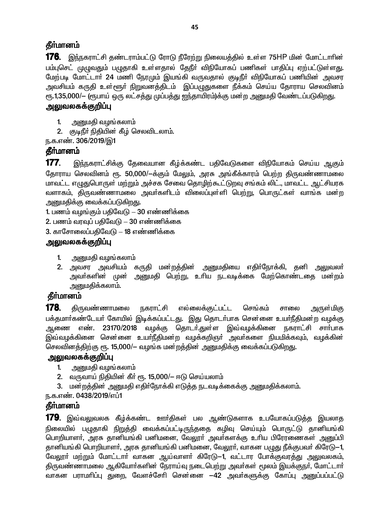## **கீர்மானம்**

176. இந்நகராட்சி தண்டராம்பட்டு ரோடு நீரேற்று நிலையத்தில் உள்ள 75HP மின் மோட்டாரின் பம்புசெட் முழுவதும் பழுதாகி உள்ளதால் தேநீா் விநியோகப் பணிகள் பாதிப்பு ஏற்பட்டுள்ளது. மேற்படி மோட்டாா் 24 மணி நேரமும் இயங்கி வருவதால் குடிநீா் விநியோகப் பணியின் அவசர அவசியம் கருதி உள்ளூர் நிறுவனத்திடம் இப்பழுதுகளை நீக்கம் செய்ய தோராய செலவினம் ரு.1,35,000/- (ரூபாய் ஒரு லட்சத்து முப்பத்து ஐந்தாயிரம்)க்கு மன்ற அனுமதி வேண்டப்படுகிறது.

### அலுவலகக்குறிப்பு

- $1<sub>1</sub>$ அனுமதி வழங்கலாம்
- 2. குடிநீர் நிதியின் கீழ் செலவிடலாம்.

ந.க.எண். 306/2019/இ1

# கீர்மானம்

177. இந்நகராட்சிக்கு தேவையான கீழ்க்கண்ட பதிவேடுகளை விநியோகம் செய்ய ஆகும் தோராய செலவினம் ரூ. 50,000/—க்கும் மேலும், அரசு அங்கீக்காரம் பெற்ற திருவண்ணாமலை மாவட்ட எழுதுபொருள் மற்றும் அச்சக சேவை தொழிற்கூட்டுறவு சங்கம் லிட்., மாவட்ட ஆட்சியரக வளாகம், திருவண்ணாமலை அவா்களிடம் விலைப்புள்ளி பெற்று, பொருட்கள் வாங்க மன்ற அனுமதிக்கு வைக்கப்படுகி<u>றத</u>ு.

1. பணம் வழங்கும் பதிவேடு – 30 எண்ணிக்கை

- 2. பணம் வரவுப் பதிவேடு 30 எண்ணிக்கை
- 3. காசோலைப்பதிவேடு 18 எண்ணிக்கை

# அலுவலகக்குறிப்பு

- அனுமதி வழங்கலாம்  $1 -$
- 2. அவசர அவசியம் கருதி மன்றத்தின் அனுமதியை எதிர்நோக்கி, தனி அலுவலர் அவா்களின் முன் அனுமதி பெற்று, உாிய நடவடிக்கை மேற்கொண்டதை மன்றம் அனுமதிக்கலாம்.

# தீர்மானம்

178. அருள்மிகு திருவண்ணாமலை நகராட்சி எல்லைக்குட்பட்ட செங்கம் சாலை பக்தமார்கண்டேயர் கோயில் இடிக்கப்பட்டது. இது தொடர்பாக சென்னை உயர்நீதிமன்ற வழக்கு ஆணை எண். 23170/2018 வழக்கு தொடர்.துள்ள இவ்வழக்கினை நகராட்சி சார்பாக இவ்வழக்கினை சென்னை உயா்நீதிமன்ற வழக்கறிஞா் அவா்களை நியமிக்கவும், வழக்கின் செலவினத்திற்கு ரூ. 15,000/— வழங்க மன்றத்தின் அனுமதிக்கு வைக்கப்படுகிறது.

# அலுவலகக்குறிப்பு

- அனுமதி வழங்கலாம்  $1<sup>1</sup>$
- 2. வருவாய் நிதியின் கீா் ரூ. 15,000/— ஈடு செய்யலாம்
- 3. மன்றத்தின் அனுமதி எதிர்நோக்கி எடுத்த நடவடிக்கைக்கு அனுமதிக்கலாம்.

ந.க.எண். 0438/2019/எப்1

# **கீர்மானம்**

**179.** இவ்வலுவலக கீழ்க்கண்ட ஊர்திகள் பல ஆண்டுகளாக உபயோகப்படுத்த இயலாத நிலையில் பமுதாகி நிறுத்தி வைக்கப்பட்டிருந்ததை கழிவு செய்யும் பொருட்டு தானியங்கி பொறியாளா், அரசு தானியங்கி பனிமனை, வேலூா் அவா்களக்கு உாிய பிரேரணைகள் அனுப்பி தானியங்கி பொறியாளர், அரசு தானியங்கி பனிமனை, வேலூர், வாகன பமுது நீக்குபவர் கிரேடு—1, வேலூா் மற்றும் மோட்டாா் வாகன ஆய்வாளா் கிரேடு—1, வட்டார போக்குவரத்து அலுவலகம், திருவண்ணாமலை ஆகியோர்களின் நேராய்வு நடைபெற்று அவர்கள் மூலம் இயக்குநர், மோட்டார் வாகன பராமாிப்பு துறை, வேளச்சோி சென்னை —42 அவா்களுக்கு கோப்பு அனுப்பப்பட்டு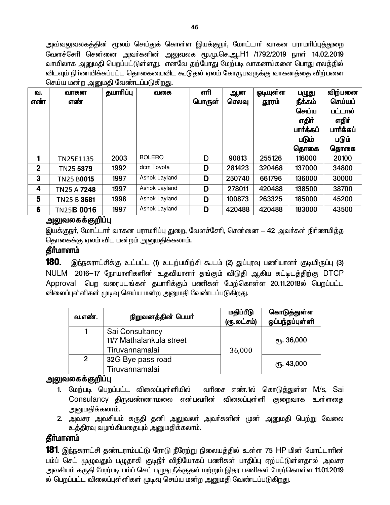அவ்வலுவலகத்தின் மூலம் செய்துக் கொள்ள இயக்குநா், மோட்டாா் வாகன பராமாிப்புத்துறை வேளச்சேரி சென்னை அவர்களின் அலுவலக மூ.மு.செ.ஆ.H1 /1792/2019 நாள் 14.02.2019 வாயிலாக அனுமதி பெறப்பட்டுள்ளது. எனவே தற்போது மேற்படி வாகனங்களை பொது ஏலத்தில் விடவும் நிர்ணயிக்கப்பட்ட தொகையைவிட கூடுதல் ஏலம் கோருபவருக்கு வாகனத்தை விற்பனை செய்ய மன்ற அனுமதி வேண்டப்படுகிறது.

| வ.           | வாகன               | தயாரிப்பு | வகை           | எரி    | ஆன     | ஒடியுள்ள | பழுது     | விற்பனை   |
|--------------|--------------------|-----------|---------------|--------|--------|----------|-----------|-----------|
| எண்          | எண்                |           |               | பொருள் | செலவு  | தூரம்    | நீக்கம்   | செய்யப்   |
|              |                    |           |               |        |        |          | செய்ய     | பட்டால்   |
|              |                    |           |               |        |        |          | எதிர்     | எதிர்     |
|              |                    |           |               |        |        |          | பார்க்கப் | பார்க்கப் |
|              |                    |           |               |        |        |          | படும்     | படும்     |
|              |                    |           |               |        |        |          | தொகை      | தொகை      |
| 1            | TN25E1135          | 2003      | <b>BOLERO</b> | D      | 90813  | 255126   | 116000    | 20100     |
| $\mathbf{2}$ | TN25 5379          | 1992      | dcm Toyota    | D      | 281423 | 320468   | 137000    | 34800     |
| 3            | <b>TN25 B0015</b>  | 1997      | Ashok Layland | D      | 250740 | 661796   | 136000    | 30000     |
| 4            | TN25 A 7248        | 1997      | Ashok Layland | D      | 278011 | 420488   | 138500    | 38700     |
| 5            | TN25 B 3681        | 1998      | Ashok Layland | D      | 100873 | 263325   | 185000    | 45200     |
| 6            | TN25 <b>B 0016</b> | 1997      | Ashok Layland | D      | 420488 | 420488   | 183000    | 43500     |

### அலுவலகக்குறிப்பு

இயக்குநா், மோட்டாா் வாகன பராமாிப்பு துறை, வேளச்சோி, சென்னை — 42 அவா்கள் நிா்ணயித்த தொகைக்கு ஏலம் விட மன்றம் அனுமதிக்கலாம்.

# தீர்மானம்

180. இந்நகராட்சிக்கு உட்பட்ட (1) உடற்பயிற்சி கூடம் (2) துப்புரவு பணியாளர் குடியிருப்பு (3) NULM 2016–17 நோயாளிகளின் உதவியாளர் தங்கும் விடுதி ஆகிய கட்டிடத்திற்கு DTCP Approval பெற வரைபடங்கள் தயாரிக்கும் பணிகள் மேற்கொள்ள 20.11.2018ல் பெறப்பட்ட விலைப்புள்ளிகள் முடிவு செய்ய மன்ற அனுமதி வேண்டப்படுகிறது.

| வ.எண்.         | நிறுவனத்தின் பெயர்                                            | மதிப்பீடு<br>(ரூ.லட்சம்) | கொடுத்துள்ள<br>ஒப்பந்தப்புள்ளி |
|----------------|---------------------------------------------------------------|--------------------------|--------------------------------|
|                | Sai Consultancy<br>11/7 Mathalankula street<br>Tiruvannamalai | 36,000                   | $e$ <sup>16</sup> , 36,000     |
| $\overline{2}$ | 32G Bye pass road<br>Tiruvannamalai                           |                          | ரு. 43,000                     |

#### அலுவலகக்குறிப்பு

- 1. மேற்படி பெறப்பட்ட விலைப்புள்ளியில் வரிசை எண்.1ல் கொடுத்துள்ள M/s, Sai Consulancy திருவண்ணாமலை என்பவரின் விலைப்புள்ளி குறைவாக உள்ளதை அனுமதிக்கலாம்.
- 2. அவசர அவசியம் கருதி தனி அலுவலா் அவா்களின் முன் அனுமதி பெற்று வேலை உத்திரவு வழங்கியதையும் அனுமதிக்கலாம்.

### தீா்மானம்

181. இந்நகராட்சி தண்டராம்பட்டு ரோடு நீரேற்று நிலையத்தில் உள்ள 75 HP மின் மோட்டாரின் பம்ப் செட் முழுவதும் பழுதாகி குடிநீா் விநியோகப் பணிகள் பாதிப்பு ஏற்பட்டுள்ளதால் அவசர அவசியம் கருதி மேற்படி பம்ப் செட் பழுது நீக்குதல் மற்றும் இதர பணிகள் மேற்கொள்ள 11.01.2019 ல் பெறப்பட்ட விலைப்புள்ளிகள் முடிவு செய்ய மன்ற அனுமதி வேண்டப்படுகிறது.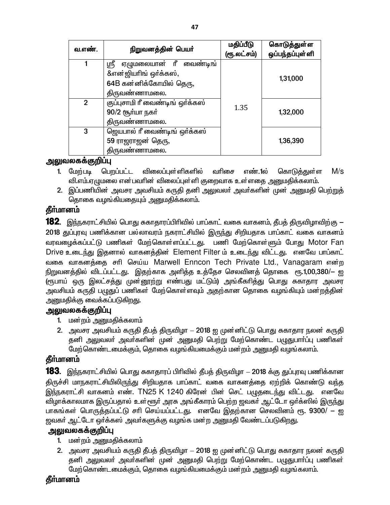| வ.எண்.         | நிறுவனத்தின் பெயர்                | மதிப்பீடு<br>(ரூ.லட்சம்) | கொடுத்துள்ள<br>ஒப்பந்தப்புள்ளி |
|----------------|-----------------------------------|--------------------------|--------------------------------|
|                | ஏழுமலையான் ரீ<br>ஸ்ரீ<br>வைண்டிங் |                          |                                |
|                | &என்ஜியாிங் ஒர்க்கஸ்,             |                          | 1,31,000                       |
|                | 64B கன்னிக்கோயில் தெரு,           |                          |                                |
|                | திருவண்ணாமலை.                     |                          |                                |
| $\overline{2}$ | குப்புசாமி ரீ வைண்டிங் ஒர்க்கஸ்   | 1.35                     |                                |
|                | 90/2 சூர்யா நகர்                  |                          | 1,32,000                       |
|                | திருவண்ணாமலை.                     |                          |                                |
| 3              | ஜெயபால் ரீ வைண்டிங் ஒர்க்கஸ்      |                          |                                |
|                | 59 ராஜராஜன் தெரு,                 |                          | 1,36,390                       |
|                | திருவண்ணாமலை.                     |                          |                                |

- விலைப்புள்ளிகளில்  $M/s$ 1. மேற்படி பெறப்பட்ட வரிசை எண்.1ல் கொடு<u>க்கு</u>ள்ள வி.எம்.ஏழுமலை என்பவரின் விலைப்புள்ளி குறைவாக உள்ளதை அனுமதிக்கலாம்.
- 2. இப்பணியின் அவசர அவசியம் கருதி தனி அலுவலா் அவா்களின் முன் அனுமதி பெற்றுத் தொகை வழங்கியதையும் அனுமதிக்கலாம்.

# தீர்மானம்

**182**. இந்நகராட்சியில் பொது சுகாதாரப்பிரிவில் பாப்காட் வகை வாகனம், தீபத் திருவிழாவிற்கு — 2018 துப்புரவு பணிக்கான பல்லாவரம் நகராட்சியில் இருந்து சிறியதாக பாப்காட் வகை வாகனம் வரவழைக்கப்பட்டு பணிகள் மேற்கொள்ளப்பட்டது. பணி மேற்கொள்ளும் போது Motor Fan Drive உடைந்து இதனால் வாகனத்தின் Element Filter ம் உடைந்து விட்டது. எனவே பாப்காட் வகை வாகனத்தை சரி செய்ய Marwell Enncon Tech Private Ltd., Vanagaram என்ற நிறுவனத்தில் விடப்பட்டது. இதற்காக அளித்த உத்தேச செலவினத் தொகை ரூ.1,00,380/— ஐ (ரூபாய் ஒரு இலட்சத்து முன்னூற்று எண்பது மட்டும்) அங்கீகரித்து பொது சுகாதார அவசர அவசியம் கருதி பழுதுப் பணிகள் மேற்கொள்ளவும் அதற்கான தொகை வழங்கியும் மன்றத்தின் அனுமதிக்கு வைக்கப்படுகி<u>றத</u>ு.

### அலுவலகக்குறிப்பு

- 1. மன்றம் அனுமதிக்கலாம்
- 2. அவசர அவசியம் கருதி தீபத் திருவிழா 2018 ஐ முன்னிட்டு பொது சுகாதார நலன் கருதி தனி அலுவலா் அவா்களின் முன் அனுமதி பெற்று மேற்கொண்ட பழுதுபாா்ப்பு பணிகள் மேற்கொண்டமைக்கும், தொகை வழங்கியமைக்கும் மன்றம் அனுமதி வழங்கலாம்.

# **கீர்மானம்**

**183**. இந்நகராட்சியில் பொது சுகாதாரப் பிரிவில் தீபத் திருவிழா — 2018 க்கு துப்புரவு பணிக்கான திருச்சி மாநகராட்சியிலிருந்து சிறியதாக பாப்காட் வகை வாகனத்தை ஏற்றிக் கொண்டு வந்த <u>இந்ந</u>கராட்சி வாகனம் எண். TN25 K 1240 கிரேன் பின் செட் பமுதடைந்து விட்டது. எனவே விழாக்காலமாக இருப்பதால் உள்ளூர் அரசு அங்கீகாரம் பெற்ற ஜவகர் ஆட்டோ ஒர்க்ஸில் இருந்து பாகங்கள் பொருத்தப்பட்டு சரி செய்யப்பட்டது. எனவே இதற்கான செலவினம் ரூ. 9300/ — ஐ ஜவகா் ஆட்டோ ஒா்க்கஸ் அவா்களுக்கு வழங்க மன்ற அனுமதி வேண்டப்படுகிறது.

### அலுவலகக்குறிப்பு

- 1. மன்றம் அனுமதிக்கலாம்
- 2. அவசர அவசியம் கருதி தீபத் திருவிழா 2018 ஐ முன்னிட்டு பொது சுகாதார நலன் கருதி தனி அலுவலா் அவா்களின் முன் அனுமதி பெற்று மேற்கொண்ட பழுதுபாா்ப்பு பணிகள் மேற்கொண்டமைக்கும், தொகை வழங்கியமைக்கும் மன்றம் அனுமதி வழங்கலாம்.

# தீா்மானம்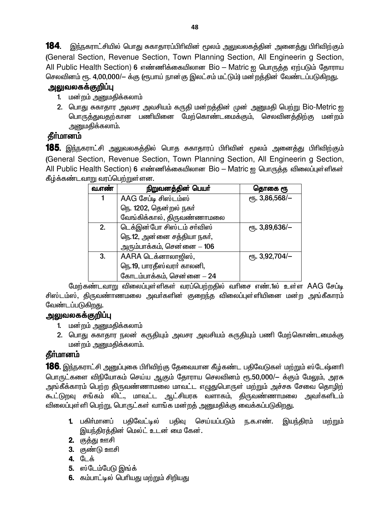184. இந்நகராட்சியில் பொது சுகாதாரப்பிரிவின் மூலம் அலுவலகத்தின் அனைத்து பிரிவிற்கும் (General Section, Revenue Section, Town Planning Section, All Engineerin g Section, All Public Health Section) 6 எண்ணிக்கையிலான Bio - Matric ஐ பொருத்த ஏற்படும் தோராய செலவினம் ரூ. 4,00,000/— க்கு (ரூபாய் நான்கு இலட்சம் மட்டும்) மன்றத்தின் வேண்டப்படுகிறது.

# அலுவலகக்குறிப்பு

- 1. மன்றம் அனுமதிக்கலாம்
- 2. பொது சுகாதார அவசர அவசியம் கருதி மன்றத்தின் முன் அனுமதி பெற்று Bio-Metric ஐ பொருத்துவதற்கான பணியினை மேற்கொண்டமைக்கும், செலவினத்திற்கு மன்றம் அனுமதிக்கலாம்.

# தீா்மானம்

**185**. இந்நகராட்சி அலுவலகத்தில் பொத சுகாதாரப் பிரிவின் மூலம் அனைத்து பிரிவிற்கும் (General Section, Revenue Section, Town Planning Section, All Engineerin g Section, All Public Health Section) 6 எண்ணிக்கையிலான Bio – Matric ஐ பொருக்கு விலைப்புள்ளிகள் கீழ்க்கண்டவாறு வரப்பெற்றுள்ளன.

| வ.எண் | நிறுவனத்தின் பெயர்          | தொகை ரூ        |
|-------|-----------------------------|----------------|
|       | AAG சேப்டி சிஸ்டம்ஸ்        | ет. 3,86,568/- |
|       | நெ. 1202, தென்றல் நகர்      |                |
|       | வேங்கிக்கால், திருவண்ணாமலை  |                |
| 2.    | டெக்இன்போ சிஸ்டம் சாவிஸ்    | ரு. 3,89,636/- |
|       | நெ.12, அன்னை சத்தியா நகர்,  |                |
|       | அரும்பாக்கம், சென்னை $-106$ |                |
| 3.    | AARA டெக்னாலாஜிஸ்,          | ет. 3,92,704/- |
|       | நெ.19, பாரதீஸ்வரா் காலனி,   |                |
|       | கோடம்பாக்கம், சென்னை – 24   |                |

மேற்கண்டவாறு விலைப்புள்ளிகள் வரப்பெற்றதில் வரிசை எண்.1ல் உள்ள AAG சேப்டி சிஸ்டம்ஸ், திருவண்ாணமலை அவா்களின் குறைந்த விலைப்புள்ளியினை மன்ற அங்கீகாரம் வேண்டப்படுகிறது.

# <u>அலுவலகக்குறிப்பு</u>

- 1. மன்றம் அனுமதிக்கலாம்
- 2. பொது சுகாதார நலன் கருதியும் அவசர அவசியம் கருதியும் பணி மேற்கொண்டமைக்கு மன்றம் அனுமதிக்கலாம்.

# **கீர்மானம்**

**186.** இந்நகராட்சி அனுப்புகை பிரிவிற்கு தேவையான கீழ்கண்ட பதிவேடுகள் மற்றும் ஸ்டேஷ்னரி பொருட்களை விநியோகம் செய்ய ஆகும் தோராய செலவினம் ரூ.50,000/— க்கும் மேலும், அரசு அங்கீக்காரம் பெற்ற திருவண்ணாமலை மாவட்ட எமுதுபொருள் மற்றும் அச்சக சேவை தொழிற் கூட்டுறவு சங்கம் லிட்., மாவட்ட ஆட்சியரக வளாகம், திருவண்ணாமலை அவர்களிடம் விலைப்புள்ளி பெற்று, பொருட்கள் வாங்க மன்றத் அனுமதிக்கு வைக்கப்படுகிறது.

- **1.** பகிா்மானப் பகிவேட்டில் பதிவு செய்யப்படும் ந.க.எண். இயந்திரம் மற்றும் இயந்திரத்தின் மெல்ட் உடன் மை கேன்.
- 2. குத்து ஊசி
- 3. குண்டு ஊசி
- 4. டேக்
- 5. ஸ்டேம்பேடு இங்க்
- 6. கம்பாட்டில் பெரியது மற்றும் சிறியது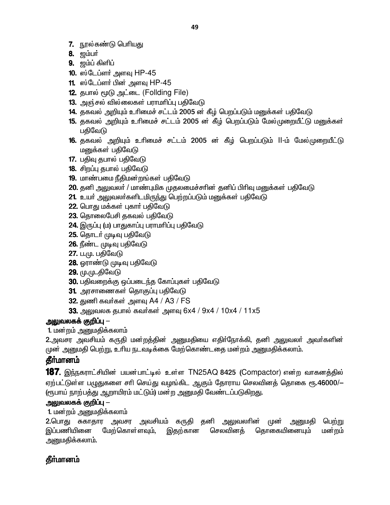- 7. நூல்கண்டு பெரியது
- 8. **ஜம்பர்**
- 9. #«¥ »ë¥
- 10. ஸ்டேப்ளர் அளவு  $HP-45$
- 11. ஸ்டேப்ளா் பின் அளவு  $HP-45$
- 12. தபால் மூடு அட்டை (Follding File)
- $13.$  அஞ்சல் வில்லைகள் பராமரிப்பு பதிவேடு
- 14. தகவல் அறியும் உரிமைச் சட்டம் 2005 ன் கீழ் பெறப்படும் மனுக்கள் பதிவேடு
- 15. தகவல் அறியும் உரிமைச் சட்டம் 2005 ன் கீழ் பெறப்படும் மேல்முறையீட்டு மனுக்கள் பதிவேடு
- 16. தகவல் அறியும் உரிமைச் சட்டம் 2005 ன் கீழ் பெறப்படும் II-ம் மேல்முறையீட்டு மனுக்கள் பதிவேடு
- 17. பதிவு தபால் பதிவேடு
- 18. சிறப்பு தபால் பதிவேடு
- 19. மாண்பமை நீதிமன்றங்கள் பதிவேடு
- 20. தனி அலுவலர் / மாண்புமிக முதலமைச்சரின் தனிப் பிரிவு மனுக்கள் பதிவேடு
- 21. உயர் அலுவலர்களிடமிருந்து பெற்றப்படும் மனுக்கள் பதிவேடு
- **22.** பொது மக்கள் புகாா் பதிவேடு
- 23. தொலைபேசி தகவல் பதிவேடு
- 24. இருப்பு (ம) பாதுகாப்பு பராமரிப்பு பதிவேடு
- **25.** தொடர் முடிவு பதிவேடு
- 26. நீண்ட முடிவு பதிவேடு
- **27.** ப.மு. பதிவேடு
- 28. ஓராண்டு முடிவு பதிவேடு
- 29. மு.மு..திவேடு
- 30. பதிவறைக்கு ஒப்படைந்த கோப்புகள் பதிவேடு
- 31. அரசாணைகள் தொகுப்பு பதிவேடு
- $32.$  துணி கவர்கள் அளவு A4 / A3 / FS
- 33. அலுவலக தபால் கவர்கள் அளவு 6x4 / 9x4 / 10x4 / 11x5

1. மன்றம் அனுமதிக்கலாம்

2.அவசர அவசியம் கருதி மன்றத்தின் அனுமதியை எதிர்நோக்கி, தனி அலுவலர் அவர்களின் முன் அனுமதி பெற்று, உரிய நடவடிக்கை மேற்கொண்டதை மன்றம் அனுமதிக்கலாம்.

# தீா்மானம்

**187.** இந்நகராட்சியின் பயன்பாட்டில் உள்ள TN25AQ 8425 (Compactor) என்ற வாகனத்தில் ஏற்பட்டுள்ள பழுதுகளை சரி செய்து வழங்கிட ஆகும் தோராய செலவினத் தொகை ரூ.46000/— (ரூபாய் நாற்பத்து ஆறாயிரம் மட்டும்) மன்ற அனுமதி வேண்டப்படுகிறது.

# அலுவலகக் குறிப்பு  $-$

1. மன்றம் அனுமதிக்கலாம்

2.பொது சுகாதார அவசர அவசியம் கருதி தனி அலுவலாின் முன் அனுமதி பெற்று இப்பணியினை மேற்கொள்ளவும், இதற்கான செலவினத் தொகையினையும் மன்றம் அனுமதிக்கலாம்.

# **தீர்மானம்**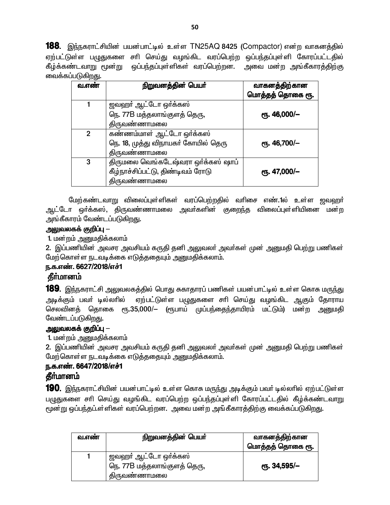**188.** இந்நகராட்சியின் பயன்பாட்டில் உள்ள TN25AQ 8425 (Compactor) என்ற வாகனத்தில் ஏற்பட்டுள்ள பழுதுகளை சரி செய்து வழங்கிட வரப்பெற்ற ஒப்பந்தப்புள்ளி கோரப்பட்டதில் கீழ்க்கண்டவாறு மூன்று ஒப்பந்தப்புள்ளிகள் வரப்பெற்றன. அவை மன்ற அங்கீகாரத்திற்கு வைக்கப்படுகிறது.

| வ.எண்        | நிறுவனத்தின் பெயர்                  | வாகனத்திற்கான    |
|--------------|-------------------------------------|------------------|
|              |                                     | மொத்தத் தொகை ரூ. |
|              | ஜவஹர் ஆட்டோ ஒர்க்கஸ்                |                  |
|              | நெ. 77B மத்தலாங்குளத் தெரு,         | ரூ. 46,000/-     |
|              | திருவண்ணாமலை                        |                  |
| $\mathbf{2}$ | கண்ணம்மாள் ஆட்டோ ஒர்க்கஸ்           |                  |
|              | நெ. 18, முத்து விநாயகர் கோயில் தெரு | ரூ. 46,700/-     |
|              | திருவண்ணாமலை                        |                  |
| 3            | திருமலை வெங்கடேஷ்வரா ஒர்க்கஸ் ஷாப்  |                  |
|              | கீழ்நாச்சிப்பட்டு, திண்டிவம் ரோடு   | сп. 47,000/-     |
|              | திருவண்ணாமலை                        |                  |

மேற்கண்டவாறு விலைப்புள்ளிகள் வரப்பெற்றதில் வரிசை எண்.1ல் உள்ள ஜவஹர் ஆட்டோ ஒர்க்கஸ், திருவண்ணாமலை அவர்களின் குறைந்த விலைப்புள்ளியினை மன்ற அங்கீகாரம் வேண்டப்படுகிறது.

#### <u> அலு</u>வலகக் குறிப்பு —

1. மன்றம் அனுமதிக்கலாம்

2. இப்பணியின் அவசர அவசியம் கருதி தனி அலுவலர் அவர்கள் முன் அனுமதி பெற்று பணிகள் மேற்கொள்ள நடவடிக்கை எடுத்ததையும் அனுமதிக்கலாம்.

#### ந.க.எண். 6627/2018/எச்1

#### தீர்மானம்

**189**. இந்நகராட்சி அலுவலகத்தில் பொது சுகாதாரப் பணிகள் பயன்பாட்டில் உள்ள கொசு மருந்து ஏற்பட்டுள்ள பழுதுகளை சாி செய்து வழங்கிட ஆகும் தோராய அடிக்கும் பவா் டில்லாில் செலவினத் தொகை ரூ.35,000/— (ரூபாய் முப்பந்தைந்தாயிரம் மட்டும்) மன்ற அனுமதி வேண்டப்படுகிறது.

#### அலுவலகக் குறிப்பு —

1. மன்றம் அனுமதிக்கலாம்

2. இப்பணியின் அவசர அவசியம் கருதி தனி அலுவலர் அவர்கள் முன் அனுமதி பெற்று பணிகள் மேற்கொள்ள நடவடிக்கை எடுத்ததையும் அனுமதிக்கலாம்.

# ந.க.எண். 6647/2018/எச்1

# தீர்மானம்

190. இந்நகராட்சியின் பயன்பாட்டில் உள்ள கொசு மருந்து அடிக்கும் பவர் டில்லரில் ஏற்பட்டுள்ள பழுதுகளை சாி செய்து வழங்கிட வரப்பெற்ற ஒப்பந்தப்புள்ளி கோரப்பட்டதில் கீழ்க்கண்டவாறு மூன்று ஒப்பந்தப்.ள்ளிகள் வரப்பெற்றன. அவை மன்ற அங்கீகாரத்திற்கு வைக்கப்படுகிறது.

| வ.எண | நிறுவனத்தின் பெயர்                                                  | வாகனத்திற்கான<br>மொத்தத் தொகை ரூ. |
|------|---------------------------------------------------------------------|-----------------------------------|
|      | ஜவஹா் ஆட்டோ ஒா்க்கஸ்<br>நெ. 77B மத்தலாங்குளத் தெரு,<br>திருவண்ணாமலை | <sub>С</sub> п. 34,595/—          |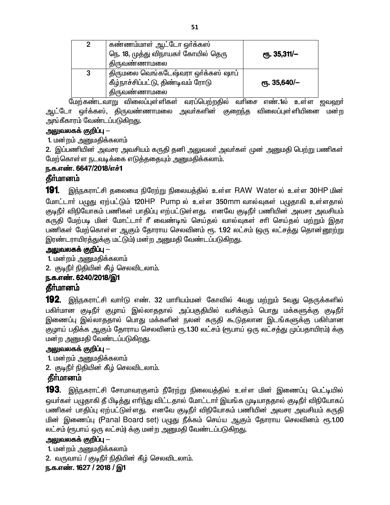| $\mathbf{2}$ | கண்ணம்மாள் ஆட்டோ ஒர்க்கஸ்<br>நெ. 18, முத்து விநாயகா் கோயில் தெரு<br>திருவண்ணாமலை        | ரூ. 35,311/– |
|--------------|-----------------------------------------------------------------------------------------|--------------|
| 3            | திருமலை வெங்கடேஷ்வரா ஒர்க்கஸ் ஷாப்<br>கீழ்நாச்சிப்பட்டு, திண்டிவம் ரோடு<br>திருவண்ணாமலை | ரூ. 35,640/– |

மேற்கண்டவாறு விலைப்புள்ளிகள் வரப்பெற்றதில் வரிசை எண்.1ல் உள்ள ஜவஹர் ஆட்டோ ஒர்க்கஸ், திருவண்ணாமலை அவர்களின் குறைந்த விலைப்புள்ளியினை மன்ற அங்கீகாரம் வேண்டப்படுகிறது.

#### அலுவலகக் குறிப்பு —

1. மன்றம் அனுமதிக்கலாம்

2. இப்பணியின் அவசர அவசியம் கருதி தனி அலுவலா் அவா்கள் முன் அனுமதி பெற்று பணிகள் மேற்கொள்ள நடவடிக்கை எடுத்ததையும் அனுமதிக்கலாம்.

### ந.க.எண். 6647/2018/எச்1

# **கீர்மானம்**

191 இந்நகராட்சி தலைமை நிரேற்று நிலையத்தில் உள்ள RAW Water ல் உள்ள 30HP மின் மோட்டார் பழுது ஏற்பட்டும் 120HP Pump ல் உள்ள 350mm வால்வுகள் பழுதாகி உள்ளதால் குடிநீா் விநியோகம் பணிகள் பாதிப்பு எற்பட்டுள்ளது. எனவே குடிநீா் பணியின் அவசர அவசியம் கருதி மேற்படி மின் மோட்டாா் ரீ வைண்டிங் செய்தல் வால்வுகள் சாி செய்தல் மற்றும் இதர பணிகள் மேற்கொள்ள ஆகும் தோராய செலவினம் ரூ. 1.92 லட்சம் (ஒரு லட்சத்து தொன்னூற்று இரண்டராயிரத்துக்கு மட்டும்) மன்ற அனுமதி வேண்டப்படுகிறது.

### அலுவலகக் குறிப்பு —

1. மன்றம் அனுமதிக்கலாம்

2. குடிநீர் நிதியின் கீழ் செலவிடலாம்.

# ந.க.எண். 6240/2018/இ1

# கீர்மானம்

**192**. இந்நகராட்சி வாா்டு எண். 32 மாாியம்மன் கோவில் 4வது மற்றும் 5வது தெருக்களில் பகிா்மான குடிநீா் குழாய் இல்லாததால் அப்பகுதியில் வசிக்கும் பொது மக்களுக்கு குடிநீா் இணைப்பு இல்லாததால் பொது மக்களின் நலன் கருதி கூடுதலான இடங்களுக்கு பகிா்மான குழாய் பதிக்க ஆகும் தோராய செலவினம் ரூ.1.30 லட்சம் (ரூபாய் ஒரு லட்சத்து முப்பதாயிரம்) க்கு மன்ற அனுமதி வேண்டப்படுகிறது.

### அலுவலகக் குறிப்பு  $-$

1. மன்றம் அனுமதிக்கலாம்

2. குடிநீா் நிதியின் கீழ் செலவிடலாம்.

# **தீர்மானம்**

**193.** இந்நகராட்சி சோமாவரகுளம் நீரேற்று நிலையத்தில் உள்ள மின் இணைப்பு பெட்டியில் ஒயா்கள் பழுதாகி தீ பிடித்து எாிந்து விட்டதால் மோட்டாா் இயங்க முடியாததால் குடிநீா் விநியோகப் பணிகள் பாதிப்பு ஏற்பட்டுள்ளது. எனவே குடிநீா் விநியோகம் பணியின் அவசர அவசியம் கருதி மின் இணைப்பு (Panal Board set) பழுது நீக்கம் செய்ய ஆகும் தோராய செலவினம் ரூ.1.00 லட்சம் (ரூபாய் ஒரு லட்சம்) க்கு மன்ற அனுமதி வேண்டப்படுகிறது.

### <u> அலுவலகக் குறிப்பு —</u>

1. மன்றம் அனுமதிக்கலாம்

2. வருவாய் / குடிநீர் நிதியின் கீழ் செலவிடலாம்.

### ந.க.எண். 1627 / 2018 / இ1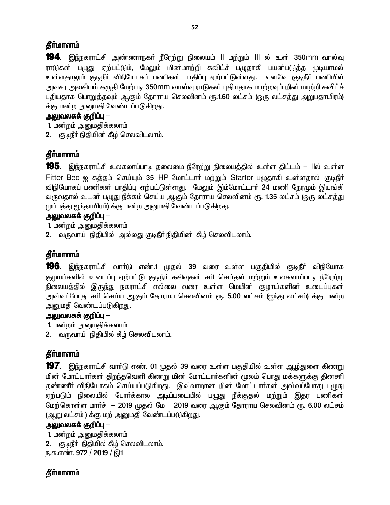# **கீர்மானம்**

**194**. இந்நகராட்சி அண்ணாநகர் நீரேற்று நிலையம் ll மற்றும் lll ல் உள் 350mm வால்வு ராடுகள் பழுது ஏற்பட்டும், மேலும் மின்மாற்றி சுவிட்ச் பழுதாகி பயன்படுத்த முடியாமல் உள்ளதாலும் குடிநீர் விநியோகப் பணிகள் பாதிப்பு ஏற்பட்டுள்ளது. எனவே குடிநீர் பணியில் அவசர அவசியம் கருதி மேற்படி 350mm வால்வு ராடுகள் புதியதாக மாற்றவும் மின் மாற்றி சுவிட்ச் புதியதாக பொறுத்தவும் ஆகும் தோராய செலவினம் ரூ.1.60 லட்சம் (ஒரு லட்சத்து அறுபதாயிரம்) க்கு மன்ற அனுமதி வேண்டப்படுகிறது.

### அலுவலகக் குறிப்பு —

1. மன்றம் அனுமதிக்கலாம்

2. குடிநீர் நிதியின் கீழ் செலவிடலாம்.

# தீா்மானம்

**195**. இந்நகராட்சி உலகலாப்பாடி தலைமை நீரேற்று நிலையத்தில் உள்ள திட்டம் — llல் உள்ள Fitter Bed ஐ சுத்தம் செய்யும் 35 HP மோட்டார் மற்றும் Startor பழுதாகி உள்ளதால் குடிநீர் விநியோகப் பணிகள் பாதிப்பு ஏற்பட்டுள்ளது. மேலும் இம்மோட்டாா் 24 மணி நேரமும் இயங்கி வருவதால் உடன் பழுது நீக்கம் செய்ய ஆகும் தோராய செலவினம் ரூ. 1.35 லட்சம் (ஒரு லட்சத்து முப்பத்து ஐந்தாயிரம்) க்கு மன்ற அனுமதி வேண்டப்படுகிறது.

### அலுவலகக் குறிப்பு —

1. மன்றம் அனுமதிக்கலாம்

2. வருவாய் நிதியில் அல்லது குடிநீர் நிதியின் கீழ் செலவிடலாம்.

# **தீர்மானம்**

**196.** இந்நகராட்சி வாா்டு எண்.1 முதல் 39 வரை உள்ள பகுதியில் குடிநீா் விநியோக குழாய்களில் உடைப்பு ஏற்பட்டு குடிநீர் கசிவுகள் சரி செய்தல் மற்றும் உலகலாப்பாடி நீரேற்று .<br>நிலையத்தில் இருந்து நகராட்சி எல்லை வரை உள்ள மெயின் குழாய்களின் உடைப்புகள் அவ்வப்போது சரி செய்ய ஆகும் தோராய செலவினம் ரூ. 5.00 லட்சம் (ஐந்து லட்சம்) க்கு மன்ற அனுமதி வேண்டப்படுகிறது.

#### அலுவலகக் குறிப்பு —

1. மன்றம் அனுமதிக்கலாம்

2. வருவாய் நிதியில் கீழ் செலவிடலாம்.

# **தீர்மானம்**

**197**. இந்நகராட்சி வார்டு எண். 01 முதல் 39 வரை உள்ள பகுதியில் உள்ள <u>ஆழ்து</u>ளை கிணறு மின் மோட்டார்கள் திறந்தவெளி கிணறு மின் மோட்டார்களின் மூலம் பொது மக்களுக்கு தினசரி தண்ணீர் விநியோகம் செய்யப்படுகிறது. இவ்வாறான மின் மோட்டார்கள் அவ்வப்போது பழுது எற்படும் நிலையில் போர்க்கால அடிப்படையில் பழுது நீக்குதல் மற்றும் இதர பணிகள் மேற்கொள்ள மார்ச் – 2019 முதல் மே – 2019 வரை ஆகும் தோராய செலவினம் ரூ. 6.00 லட்சம் (ஆறு லட்சம்) க்கு மற் அனுமதி வேண்டப்படுகிறது.

### அலுவலகக் குறிப்பு —

1. மன்றம் அனுமதிக்கலாம் 2. குடிநீர் நிதியில் கீழ் செலவிடலாம். ந.க.எண். 972 / 2019 / இ1

# **கீர்மானம்**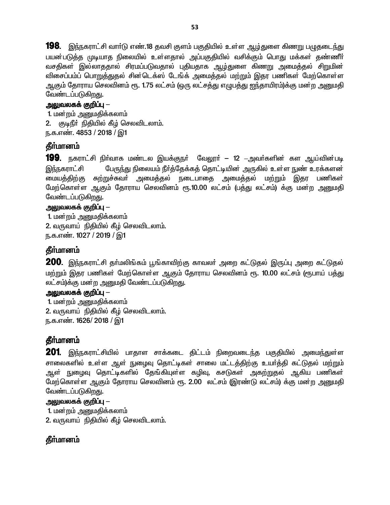198. இந்நகராட்சி வார்டு எண்.18 தவசி குளம் பகுதியில் உள்ள ஆழ்துளை கிணறு பழுதடைந்து பயன்படுத்த முடியாத நிலையில் உள்ளதால் அப்பகுதியில் வசிக்கும் பொது மக்கள் தண்ணீர் வசதிகள் இல்லாததால் சிரமப்படுவதால் புதியதாக ஆழ்துளை கிணறு அமைத்தல் சிறுமின் விசைப்பம்ப் பொறுத்துதல் சின்டெக்ஸ் டேங்க் அமைத்தல் மற்றும் இதர பணிகள் மேற்கொள்ள ஆகும் தோராய செலவினம் ரூ. 1.75 லட்சம் (ஒரு லட்சத்து எழுபத்து ஐந்தாயிரம்)க்கு மன்ற அனுமதி வேண்டப்படுகிறது.

### அலுவலகக் குறிப்பு  $-$

1. மன்றம் அனுமதிக்கலாம் 2. குடிநீர் நிதியில் கீழ் செலவிடலாம். ந.க.எண். 4853 / 2018 / இ1

# தீர்மானம்

**199.** நகராட்சி நிர்வாக மண்டல இயக்குநர் வேலூர் — 12 –அவர்களின் கள ஆய்வின்படி இந்நகராட்சி பேருந்து நிலையம் நீர்த்தேக்கத் தொட்டியின் அருகில் உள்ள நுண் உரக்களன் மையத்திற்கு சுற்றுச்சுவா் அமைத்தல் நடைபாதை அமைத்தல் மற்றும் இதர பணிகள் மேற்கொள்ள ஆகும் தோராய செலவினம் ரூ.10.00 லட்சம் (பத்து லட்சம்) க்கு மன்ற அனுமதி வேண்டப்படுகிறது.

### <u> அலுவலகக் குறிப்பு —</u>

1. மன்றம் அனுமதிக்கலாம் 2. வருவாய் நிதியில் கீழ் செலவிடலாம். ந.க.எண். 1027 / 2019 / இ1

# கீர்மானம்

200. இந்நகராட்சி தா்மலிங்கம் பூங்காவிற்கு காவலா் அறை கட்டுதல் இருப்பு அறை கட்டுதல் மற்றும் இதர பணிகள் மேற்கொள்ள ஆகும் தோராய செலவினம் ரூ. 10.00 லட்சம் (ரூபாய் பத்து லட்சம்)க்கு மன்ற அனுமதி வேண்டப்படுகிறது.

# அலுவலகக் குறிப்பு —

1. மன்றம் அனுமதிக்கலாம் 2. வருவாய் நிதியில் கீழ் செலவிடலாம். ந.க.எண். 1626/ 2018 / இ1

# தீர்மானம்

**201**. இந்நகராட்சியில் பாதாள சாக்கடை திட்டம் நிறைவடைந்த பகுதியில் அமைந்துள்ள சாலைகளில் உள்ள ஆள் நுழைவு தொட்டிகள் சாலை மட்டத்திற்கு உயர்த்தி கட்டுதல் மற்றும் ஆள் நுழைவு தொட்டிகளில் தேங்கியுள்ள கழிவு, கசடுகள் அகற்றுதல் ஆகிய பணிகள் மேற்கொள்ள ஆகும் தோராய செலவினம் ரூ. 2.00 லட்சம் (இரண்டு லட்சம்) க்கு மன்ற அனுமதி வேண்டப்படுகிறது.

#### <u> அலுவலகக் குறிப்பு —</u>

1. மன்றம் அனுமதிக்கலாம்

2. வருவாய் நிதியில் கீழ் செலவிடலாம்.

# **கீர்மானம்**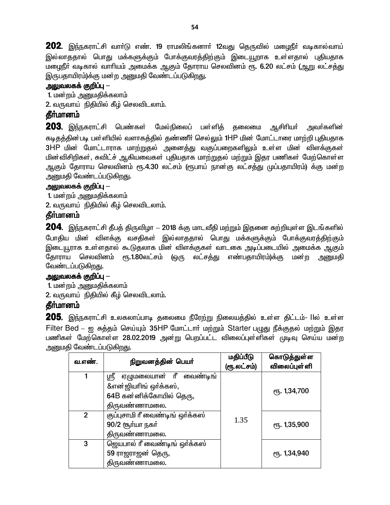**202.** இந்நகராட்சி வார்டு எண். 19 ராமலிங்கனார் 12வது தெருவில் மழைநீர் வடிகால்வாய் இல்லாததால் பொது மக்களுக்கும் போக்குவரத்திற்கும் இடையூறாக உள்ளதால் புதியதாக மழைநீா் வடிகால் வாாியம் அமைக்க ஆகும் தோராய செலவினம் ரூ. 6.20 லட்சம் (ஆறு லட்சத்து இருபதாயிரம்)க்கு மன்ற அனுமதி வேண்டப்படுகிறது.

# அலுவலகக் குறிப்பு —

1. மன்றம் அனுமதிக்கலாம்

2. வருவாய் நிதியில் கீழ் செலவிடலாம்.

### தீர்மானம்

 $\bf 203$ . இந்நகராட்சி பெண்கள் மேல்நிலைப் பள்ளிக் கலைமை ஆசிரியர் அவா்களின் கடிதத்தின்படி பள்ளியில் வளாகத்தில் தண்ணீர் செல்லும் 1HP மின் மோட்டாரை மாற்றி புதியதாக 3HP மின் மோட்டாராக மாற்றுதல் அனைத்து வகுப்பறைகளிலும் உள்ள மின் விளக்குகள் மின்விசிறிகள், சுவிட்ச் ஆகியவைகள் புதியதாக மாற்றுதல் மற்றும் இதர பணிகள் மேற்கொள்ள ஆகும் தோராய செலவினம் ரூ.4.30 லட்சம் (ரூபாய் நான்கு லட்சத்து முப்பதாயிரம்) க்கு மன்ற அனுமதி வேண்டப்படுகிறது.

#### <u> அலுவலகக் குறிப்பு —</u>

1. மன்றம் அனுமதிக்கலாம்

2. வருவாய் நிதியில் கீழ் செலவிடலாம்.

### கீர்மானம்

204. இந்நகராட்சி தீபத் திருவிழா - 2018 க்கு மாடவீதி மற்றும் இதனை சுற்றியுள்ள இடங்களில் போதிய மின் விளக்கு வசதிகள் இல்லாததால் பொது மக்களுக்கும் போக்குவரத்திற்கும் இடையூராக உள்ளதால் கூடுதலாக மின் விளக்குகள் வாடகை அடிப்படையில் அமைக்க ஆகும் தோராய செலவினம் ரூ.1.80லட்சம் (ஒரு லட்சக்து எண்பதாயிரம்)க்கு மன்ற அனுமதி வேண்டப்படுகிறது.

#### அலுவலகக் குறிப்பு  $-$

1. மன்றம் அறுமதிக்கலாம்

2. வருவாய் நிதியில் கீழ் செலவிடலாம்.

#### **கீர்மானம்**

205. இந்நகராட்சி உலகலாப்பாடி தலைமை நீரேற்று நிலையத்தில் உள்ள திட்டம்- llல் உள்ள Filter Bed – ஐ சுத்தம் செய்யும் 35HP மோட்டார் மற்றும் Starter பழுது நீக்குதல் மற்றும் இதர பணிகள் மேற்கொள்ள 28.02.2019 அன்று பெறப்பட்ட விலைப்புள்ளிகள் முடிவு செய்ய மன்ற அனுமதி வேண்டப்படுகிறது.

| வ.எண்.         | நிறுவனத்தின் பெயர்                                         | மதிப்பீடு<br>(ரூ.லட்சம்) | கொடுத்துள்ள<br>விலைப்புள் ளி |
|----------------|------------------------------------------------------------|--------------------------|------------------------------|
|                | ஏழுமலையான் ரீ<br>ஸ்ரீ<br>வைண்டிங்<br>&என்ஜியாிங் ஒர்க்கஸ், |                          |                              |
|                | 64B கன்னிக்கோயில் தெரு,                                    |                          | ரு. 1,34,700                 |
|                | திருவண்ணாமலை.                                              |                          |                              |
| $\overline{2}$ | குப்புசாமி ரீ வைண்டிங் ஒர்க்கஸ்<br>90/2 சூர்யா நகர்        | 1.35                     | <b>е</b> ђ. 1,35,900         |
|                | திருவண்ணாமலை.                                              |                          |                              |
| 3              | ஜெயபால் ரீ வைண்டிங் ஒர்க்கஸ்                               |                          |                              |
|                | 59 ராஜராஜன் தெரு,                                          |                          | ரு. 1,34,940                 |
|                | திருவண்ணாமலை.                                              |                          |                              |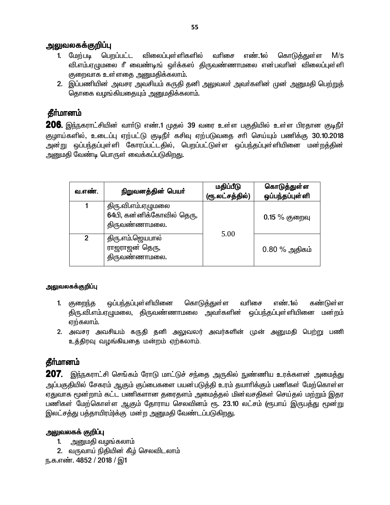- 1. மேற்படி பெறப்பட்ட விலைப்புள் ளிகளில் வரிசை எண்.1ல் கொடுத்துள்ள  $M/s$ வி.எம்.ஏழுமலை ரீ வைண்டிங் ஒர்க்கஸ் திருவண்ணாமலை என்பவரின் விலைப்புள்ளி குறைவாக உள்ளதை அனுமதிக்கலாம்.
- 2. இப்பணியின் அவசர அவசியம் கருதி தனி அலுவலா் அவா்களின் முன் அனுமதி பெற்றுத் தொகை வழங்கியதையும் அனுமதிக்கலாம்.

### கீர்மானம்

**206.** இந்நகராட்சியின் வார்டு எண்.1 முதல் 39 வரை உள்ள பகுதியில் உள்ள பிரதான குடிநீர் குழாய்களில், உடைப்பு ஏற்பட்டு குடிநீா் கசிவு ஏற்படுவதை சாி செய்யும் பணிக்கு 30.10.2018 அன்று ஒப்பந்தப்புள்ளி கோரப்பட்டதில், பெறப்பட்டுள்ள ஒப்பந்தப்புள்ளியினை மன்ற<mark>த்</mark>தின் <u>அனுமதி வேண்டி பொருள் வைக்கப்படுகிறது.</u>

| வ.எண்.         | நிறுவனத்தின் பெயர்                                               | மதிப்பீடு<br>(ரூ.லட்சத்தில்) | கொடுத்துள்ள<br>ஒப்பந்தப்புள்ளி |
|----------------|------------------------------------------------------------------|------------------------------|--------------------------------|
|                | திரு.வி.எம்.ஏழுமலை<br>64பி, கன்னிக்கோவில் தெரு,<br>திருவண்ணாமலை. | 5.00                         | $0.15\%$ குறைவு                |
| $\mathfrak{p}$ | திரு.எம்.ஜெயபால்<br>ராஜராஜன் தெரு,<br>திருவண்ணாமலை.              |                              | $0.80\%$ அதிகம்                |

#### அலுவலகக்குறிப்பு

- 1. குறைந்த ஒப்பந்தப்புள்ளியினை கொடுத்துள்ள வரிசை எண்.1ல் கண்டுள்ள திரு.வி.எம்.ஏழுமலை, திருவண்ணாமலை அவர்களின் ஒப்பந்தப்புள்ளியினை மன்றம் ஏற்கலாம்.
- 2. அவசர அவசியம் கருதி தனி அலுவலர் அவர்களின் முன் அனுமதி பெற்று பணி உக்கிரவு வமங்கியகை மன்றம் ஏற்கலாம்.

# **கீர்மானம்**

207. இந்நகராட்சி செங்கம் ரோடு மாட்டுச் சந்தை அருகில் நுண்ணிய உரக்களன் அமைத்து அப்பகுதியில் சேகரம் ஆகும் குப்பைகளை பயன்படுத்தி உரம் தயாாிக்கும் பணிகள் மேற்கொள்ள ஏதுவாக மூன்றாம் கட்ட பணிகளான தரைதளம் அமைத்தல் மின்வசதிகள் செய்தல் மற்றும் இதர பணிகள் மேற்கொள்ள ஆகும் கோராய செலவினம் ரூ. 23.10 லட்சம் (ரூபாய் இருபக்கு மூன்று இலட்சத்து பத்தாயிரம்)க்கு மன்ற அனுமதி வேண்டப்படுகிறது.

#### அலுவலகக் குறிப்பு

- 1. அனுமதி வழங்கலாம்
- 2. வருவாய் நிதியின் கீழ் செலவிடலாம்

ந.க.எண். 4852 / 2018 / இ1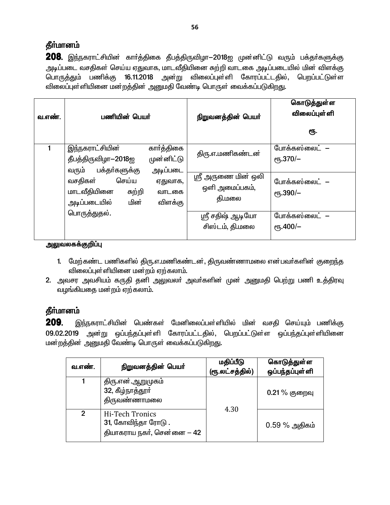# தீர்மானம்

208. இந்நகராட்சியின் கார்த்திகை தீபத்திருவிழா-2018ஐ முன்னிட்டு வரும் பக்தர்களுக்கு அடிப்படை வசதிகள் செய்ய ஏதுவாக, மாடவீதியினை சுற்றி வாடகை அடிப்படையில் மின் விளக்கு பொருத்தும் பணிக்கு 16.11.2018 அன்று விலைப்புள்ளி கோரப்பட்டதில், பெறப்பட்டுள்ள விலைப்புள்ளியினை மன்றத்தின் அனுமதி வேண்டி பொருள் வைக்கப்படுகிறது.

| வ.எண். | பணியின் பெயர்                                                                                                                         |                                                                     | நிறுவனத்தின் பெயர்                                                  | கொடுத்துள்ள<br><b>விலைப்புள்</b> ளி<br>ரூ.                                 |
|--------|---------------------------------------------------------------------------------------------------------------------------------------|---------------------------------------------------------------------|---------------------------------------------------------------------|----------------------------------------------------------------------------|
|        | இந்நகராட்சியின்<br>தீபத்திருவிழா-2018ஐ<br>பக்தா்களுக்கு<br>வரும்<br>செய்ய<br>வசதிகள்<br>மாடவீதியினை<br>சுற்றி<br>அடிப்படையில்<br>மின் | கார்த்திகை<br>முன்னிட்டு<br>அடிப்படை<br>ஏதுவாக,<br>வாடகை<br>விளக்கு | திரு.எ.மணிகண்டன்<br>ஸ்ரீ அருணை மின் ஒலி<br>ஒளி அமைப்பகம்,<br>தி.மலை | போக்கஸ்லைட் –<br>$\rm{e}$ Гђ.370/-<br>போக்கஸ்லைட் –<br>$\epsilon$ гђ.390/- |
|        | பொருத்துதல்.                                                                                                                          |                                                                     | ஸ்ரீ சதிஷ் ஆடியோ<br>சிஸ்டம், தி.மலை                                 | போக்கஸ்லைட் –<br>$\epsilon$ гђ.400/-                                       |

#### அலுவலகக்குறிப்பு

- 1. மேற்கண்ட பணிகளில் திரு.எ.மணிகண்டன், திருவண்ணாமலை என்பவர்களின் குறைந்த விலைப்புள்ளியினை மன்றம் ஏற்கலாம்.
- 2. அவசர அவசியம் கருதி தனி அலுவலா் அவா்களின் முன் அனுமதி பெற்று பணி உத்திரவு வழங்கியதை மன்றம் ஏற்கலாம்.

# தீர்மானம்

**209.** இந்நகராட்சியின் பெண்கள் மேனிலைப்பள்ளியில் மின் வசதி செய்யும் பணிக்கு 09.02.2019 அன்று ஒப்பந்தப்புள்ளி கோரப்பட்டதில், பெறப்பட்டுள்ள ஒப்பந்தப்புள்ளியினை மன்றத்தின் அனுமதி வேண்டி பொருள் வைக்கப்படுகிறது.

| வ.எண்.       | நிறுவனத்தின் பெயர்                                                   | மதிப்பீடு<br>(ரூ.லட்சத்தில்) | கொடுத்துள்ள<br>ஒப்பந்தப்புள்ளி |
|--------------|----------------------------------------------------------------------|------------------------------|--------------------------------|
|              | திரு.என்.ஆறுமுகம்<br>32, கீழ்நாத்தூர்<br>திருவண்ணாமலை                | 4.30                         | $0.21\%$ குறைவு                |
| $\mathbf{2}$ | Hi-Tech Tronics<br>31, கோவிந்தா ரோடு .<br>தியாகராய நகர், சென்னை — 42 |                              | $0.59\%$ அதிகம்                |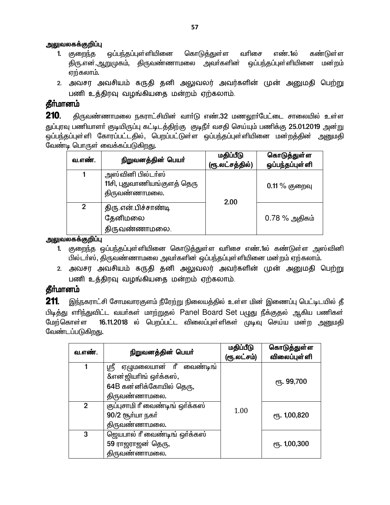- கொடுக்குள்ள வரிசை 1. குறைந்த எண்.1ல் கண்டுள்ள திரு.என்.ஆறுமுகம், திருவண்ணாமலை அவா்களின் ஒப்பந்தப்புள்ளியினை மன்றம் ஏற்கலாம்.
- 2. அவசர அவசியம் கருதி தனி அலுவலர் அவர்களின் முன் அனுமதி பெற்று பணி உத்திரவு வழங்கியதை மன்றம் ஏற்கலாம்.

### தீர்மானம்

 $210.$ திருவண்ணாமலை நகராட்சியின் வாா்டு எண்.32 மணலூா்பேட்டை சாலையில் உள்ள துப்புரவு பணியாளா் குடியிருப்பு கட்டிடத்திற்கு குடிநீா் வசதி செய்யும் பணிக்கு 25.01.2019 அன்று ஒப்பந்தப்புள்ளி கோரப்பட்டதில், பெறப்பட்டுள்ள ஒப்பந்தப்புள்ளியினை மன்றத்தின் அனுமதி வேண்டி பொருள் வைக்கப்படுகிறது.

| வ.எண்.         | நிறுவனத்தின் பெயர்                                                | மதிப்பீடு<br>(ரூ.லட்சத்தில்) | கொடுத்துள்ள<br>ஒப்பந்தப்புள்ளி |
|----------------|-------------------------------------------------------------------|------------------------------|--------------------------------|
|                | அஸ்வினி பில்டா்ஸ்<br>11சி, புதுவாணியங்குளத் தெரு<br>திருவண்ணாமலை. | 2.00                         | $0.11\%$ குறைவு                |
| $\overline{2}$ | திரு.என்.பிச்சாண்டி<br>தேனிமலை<br>திருவண்ணாமலை.                   |                              | $0.78\%$ அதிகம்                |

அலுவலகக்குறிப்பு

- 1. குறைந்த ஒப்பந்தப்புள்ளியினை கொடுத்துள்ள வரிசை எண்.1ல் கண்டுள்ள அஸ்வினி பில்டா்ஸ், திருவண்ணாமலை அவா்களின் ஒப்பந்தப்புள்ளியினை மன்றம் ஏற்கலாம்.
- 2. அவசர அவசியம் கருதி தனி அலுவலர் அவர்களின் முன் அனுமதி பெற்று பணி உத்திரவு வழங்கியதை மன்றம் ஏற்கலாம்.

# **கீர்மானம்**

211. இந்நகராட்சி சோமவாரகுளம் நீரேற்று நிலையத்தில் உள்ள மின் இணைப்பு பெட்டிடயில் தீ பிடித்து எரிந்துவிட்ட வயர்கள் மாற்றுதல் Panel Board Set பமுது நீக்குதல் ஆகிய பணிகள் 16.11.2018 ல் பெறப்பட்ட விலைப்புள்ளிகள் முடிவு செய்ய மன்ற அனுமதி மேற்கொள்ள வேண்டப்படுகிறது.

| வ.எண்.       | நிறுவனத்தின் பெயர்              | மதிப்பீடு<br>(ரூ.லட்சம்) | கொடுத்துள்ள<br><b>விலைப்புள்</b> ளி |
|--------------|---------------------------------|--------------------------|-------------------------------------|
|              | ஏழுமலையான் ரீ வைண்டிங்<br>ஸ்ரீ  |                          |                                     |
|              | &என் ஜியரிங் ஒர்க்கஸ்,          |                          | ரு. 99,700                          |
|              | 64B கன்னிக்கோயில் தெரு,         |                          |                                     |
|              | திருவண்ணாமலை.                   |                          |                                     |
| $\mathbf{2}$ | குப்புசாமி ரீ வைண்டிங் ஒர்க்கஸ் |                          |                                     |
|              | 90/2 ரூர்யா நகர்                | 1.00                     | ரு. 1,00,820                        |
|              | திருவண்ணாமலை.                   |                          |                                     |
| 3            | ஜெயபால் ரீ வைண்டிங் ஒர்க்கஸ்    |                          |                                     |
|              | 59 ராஜராஜன் தெரு,               |                          | ரு. 1,00,300                        |
|              | திருவண்ணாமலை.                   |                          |                                     |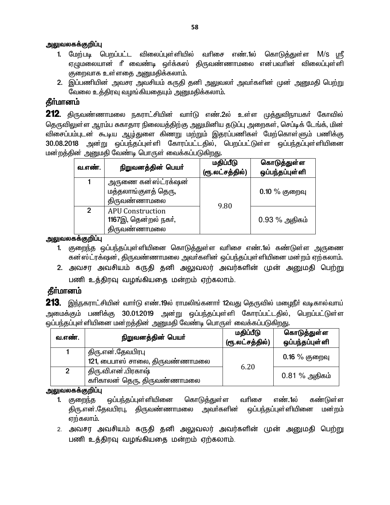- 1. மேற்படி பெறப்பட்ட விலைப்புள்ளியில் வரிசை எண்.1ல் கொடுக்குள்ள M/S மரீ ஏமுமலையான் ரீ வைண்டி ஒர்க்கஸ் கிருவண்ணாமலை என்பவரின் விலைப்புள்ளி குறைவாக உள்ளதை அனுமதிக்கலாம்.
- 2. இப்பணியின் அவசர அவசியம் கருதி தனி அலுவலா் அவா்களின் முன் அனுமதி பெற்று வேலை உத்திரவு வமங்கியதையும் அறுமதிக்கலாம்.

# தீர்மானம்

**212**. திருவண்ணாமலை நகராட்சியின் வாா்டு எண்.2ல் உள்ள முத்துவிநாயகா் கோவில் தெருவிலுள்ள ஆரம்ப சுகாதார நிலையத்திற்கு அலுமினிய தடுப்பு அறைகள், செப்டிக் டேங்க், மின் விசைப்பம்புடன் கூடிய ஆழ்துளை கிணறு மற்றும் இதரப்பணிகள் மேற்கொள்ளும் பணிக்கு 30.08.2018 அன்று ஒப்பந்தப்புள்ளி கோரப்பட்டதில், பெறப்பட்டுள்ள ஒப்பந்தப்புள்ளியினை மன்றத்தின் அனுமதி வேண்டி பொருள் வைக்கப்படுகிறது.

| வ.எண்.         | நிறுவனத்தின் பெயர்                                              | மதிப்பீடு<br>(ரூ.லட்சத்தில்) | கொடுத்துள்ள<br>ஒப்பந்தப்புள்ளி |
|----------------|-----------------------------------------------------------------|------------------------------|--------------------------------|
|                | அருணை கன்ஸ்ட்ரக்ஷன்<br>மத்தலாங்குளத் தெரு,<br>திருவண்ணாமலை      |                              | $0.10\%$ குறைவு                |
| $\mathfrak{p}$ | <b>APU Construction</b><br>1167இ, தென்றல் நகர்,<br>திருவண்ணாமலை | 9.80                         | $0.93\%$ அதிகம்                |

அலுவலகக்குறிப்பு

- 1. குறைந்த ஒப்பந்தப்புள்ளியினை கொடுத்துள்ள வரிசை எண்.1ல் கண்டுள்ள அருணை கன்ஸ்ட்ரக்ஷன், திருவண்ணாமலை அவர்களின் ஒப்பந்தப்புள்ளியினை மன்றம் ஏற்கலாம்.
- 2. அவசர அவசியம் கருதி தனி அலுவலர் அவர்களின் முன் அனுமதி பெற்று பணி உத்திரவு வழங்கியதை மன்றம் ஏற்கலாம்.

# **தீர்மானம்**

**213**. இந்நகராட்சியின் வாா்டு எண்.19ல் ராமலிங்கனாா் 12வது தெருவில் மழைநீா் வடிகால்வாய் அமைக்கும் பணிக்கு 30.01.2019 அன்று ஒப்பந்தப்புள்ளி கோரப்பட்டதில், பெறப்பட்டுள்ள ஒப்பந்தப்புள்ளியினை மன்றத்தின் அனுமதி வேண்டி பொருள் வைக்கப்படுகிறது.

| வ.எண். | நிறுவனத்தின் பெயர்                                  | மதிப்பீடு<br>(ரூ.லட்சத்தில்) | கொடுத்துள்ள<br>ஒப்பந்தப்புள்ளி |
|--------|-----------------------------------------------------|------------------------------|--------------------------------|
|        | திரு.என்.தேவபிரபு<br>121, பைபாஸ் சாலை, திருவண்ணாமலை |                              | $0.16\%$ குறைவு                |
| 2      | திரு.வி.என்.பிரகாஷ்<br>காிகாலன் தெரு, திருவண்ணாமலை  | 6.20                         | $0.81\%$ அதிகம்                |

அலுவலகக்குறிப்பு

- ஒப்பந்தப்புள்ளியினை கொடுத்துள்ள வரிசை எண்.1ல் கண்டுள்ள 1. குறைந்த திரு.என்.தேவபிரபு, திருவண்ணாமலை அவா்களின் ஒப்பந்தப்புள்ளியினை மன்றம் ஏற்கலாம்.
- 2. அவசர அவசியம் கருதி தனி அலுவலர் அவர்களின் முன் அனுமதி பெற்று பணி உத்திரவு வழங்கியதை மன்றம் ஏற்கலாம்.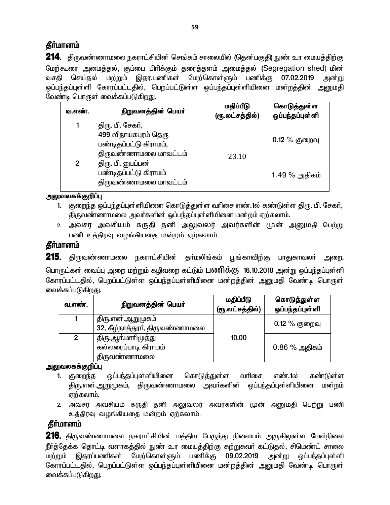# **தீர்மானம்**

**214.** திருவண்ணாமலை நகராட்சியின் செங்கம் சாலையில் (தென்பகுதி) நுண் உர மையத்திற்கு மேற்கூரை அமைத்தல், குப்பை பிரிக்கும் தரைத்தளம் அமைத்தல் (Segregation shed) மின் வசதி செய்தல் மற்றும் இதர.பணிகள் மேற்கொள்ளும் பணிக்கு 07.02.2019 அன்று ஒப்பந்தப்புள்ளி கோரப்பட்டதில், பெறப்பட்டுள்ள ஒப்பந்தப்புள்ளியினை மன்றத்தின் அனுமதி வேண்டி பொருள் வைக்கப்படுகிறது.

| வ.எண்.         | நிறுவனத்தின் பெயர்                                                                          | மதிப்பீடு<br>(ரூ.லட்சத்தில்) | கொடுத்துள்ள<br>ஒப்பந்தப்புள்ளி |
|----------------|---------------------------------------------------------------------------------------------|------------------------------|--------------------------------|
|                | திரு. பி. சேகர்,<br>499 விநாயகபுரம் தெரு<br>பண்டிதப்பட்டு கிராமம்,<br>திருவண்ணாமலை மாவட்டம் | 23.10                        | $0.12\%$ குறைவு                |
| $\mathfrak{p}$ | திரு. பி. ஐயப்பன்<br>பண்டிதப்பட்டு கிராமம்<br>திருவண்ணாமலை மாவட்டம்                         |                              | 1.49 % அதிகம்                  |

அலுவலகக்குறிப்பு

- 1. குறைந்த ஒப்பந்தப்புள்ளியினை கொடுத்துள்ள வரிசை எண்.1ல் கண்டுள்ள திரு. பி. சேகர், திருவண்ணாமலை அவர்களின் ஒப்பந்தப்புள்ளியினை மன்றம் ஏற்கலாம்.
- 2. அவசர அவசியம் கருதி தனி அலுவலர் அவர்களின் முன் அனுமதி பெற்று பணி உத்திரவு வழங்கியதை மன்றம் ஏற்கலாம்.

# தீா்மானம்

**215.** திருவண்ணாமலை நகராட்சியின் தா்மலிங்கம் பூங்காவிற்கு பாதுகாவலா் அறை, பொருட்கள் வைப்பு அறை மற்றும் கழிவறை கட்டும் **பணிக்கு 16.10.2018** அன்று ஒப்பந்தப்புள்ளி கோரப்பட்டதில், பெறப்பட்டுள்ள ஒப்பந்தப்புள்ளியினை மன்றத்தின் அனுமதி வேண்டி பொருள் வைக்கப்படுகிறது.

| வ.எண்.         | நிறுவனத்தின் பெயர்                                          | மதிப்பீடு<br>(ரூ.லட்சத்தில்) | கொடுத்துள்ள<br>ஒப்பந்தப்புள்ளி |
|----------------|-------------------------------------------------------------|------------------------------|--------------------------------|
|                | திரு.என்.ஆறுமுகம்<br>32, கீழ்நாத்தூா், திருவண்ணாமலை         |                              | $0.12\ \%$ குறைவு              |
| $\overline{2}$ | திரு.ஆா்.மாாிமுத்து<br>கல்லரைப்பாடி கிராமம்<br>திருவண்ணாமலை | 10.00                        | $0.86\%$ அதிகம்                |

<u>அலுவலகக்குறிப்பு</u>

- 1. குறைந்த ஒப்பந்தப்புள்ளியினை கொடுத்துள்ள வரிசை எண்.1ல் கண்டுள்ள திரு.என்.ஆறுமுகம், திருவண்ணாமலை அவர்களின் ஒப்பந்தப்புள்ளியினை மன்றம்  $\sigma$ ற்கலாம்.
- 2. அவசர அவசியம் கருதி தனி அலுவலர் அவர்களின் முன் அனுமதி பெற்று பணி உத்திரவு வழங்கியதை மன்றம் ஏற்கலாம்.

# **தீர்மானம்**

**216**. திருவண்ணாமலை நகராட்சியின் மத்திய பேருந்து நிலையம் அருகிலுள்ள மேல்நிலை நீர்த்தேக்க தொட்டி வளாகத்தில் நுண் உர மையத்திற்கு சுற்றுசுவர் கட்டுதல், சிமெண்ட் சாலை ் மற்றும் இதரப்பணிகள் மேற்கொள்ளும் பணிக்கு 09.02.2019 அன்று ஒப்பந்தப்புள்ளி கோரப்பட்டதில், பெறப்பட்டுள்ள ஒப்பந்தப்புள்ளியினை மன்றத்தின் அனுமதி வேண்டி பொருள் வைக்கப்படுகி<u>றது</u>.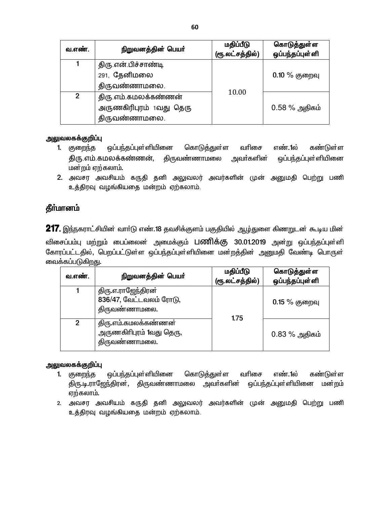| வ.எண்.         | நிறுவனத்தின் பெயர்      | மதிப்பீடு<br>(ரூ.லட்சத்தில்) | கொடுத்துள்ள<br>ஒப்பந்தப்புள்ளி |
|----------------|-------------------------|------------------------------|--------------------------------|
|                | திரு என் பிச்சாண்டி     |                              |                                |
|                | 291, தேனிமலை            |                              | $0.10\%$ குறைவு                |
|                | திருவண்ணாமலை.           |                              |                                |
| $\overline{2}$ | திரு எம் கமலக்கண்ணன்    | 10.00                        |                                |
|                | அருணகிரிபுரம் 1வது தெரு |                              | $0.58\%$ அதிகம்                |
|                | திருவண்ணாமலை.           |                              |                                |

- ஒப்பந்தப்புள்ளியினை கொடுத்துள்ள வரிசை எண்.1ல் கண்டுள்ள 1. குறைந்த அவா்களின் திரு.எம்.கமலக்கண்ணன், <u> கிருவண்ணாமலை</u> ஒப்பந்தப்புள்ளியினை மன்றம் ஏற்கலாம்.
- 2. அவசர அவசியம் கருதி தனி அலுவலர் அவர்களின் முன் அனுமதி பெற்று பணி உத்திரவு வழங்கியதை மன்றம் ஏற்கலாம்.

# தீர்மானம்

217. இந்நகராட்சியின் வார்டு எண்.18 தவசிக்குளம் பகுதியில் ஆழ்துளை கிணறுடன் கூடிய மின் விசைப்பம்பு மற்றும் பைப்லைன் அமைக்கும் **பணிக்கு 30.01.2019** அன்று ஒப்பந்தப்புள்ளி கோரப்பட்டதில், பெறப்பட்டுள்ள ஒப்பந்தப்புள்ளியினை மன்றத்தின் அனுமதி வேண்டி பொருள் வைக்கப்படுகிறது.

| வ.எண்.        | நிறுவனத்தின் பெயர்                                                | மதிப்பீடு<br>(ரூ.லட்சத்தில்) | கொடுத்துள்ள<br>ஒப்பந்தப்புள்ளி |
|---------------|-------------------------------------------------------------------|------------------------------|--------------------------------|
|               | திரு.எ.ராஜேந்திரன்<br>836/47, வேட்டவலம் ரோடு,<br>திருவண்ணாமலை.    | 1.75                         | $0.15\%$ குறைவு                |
| $\mathcal{P}$ | திரு.எம்.கமலக்கண்ணன்<br>அருணகிரிபுரம் 1வது தெரு,<br>திருவண்ணாமலை. |                              | $0.83\%$ அதிகம்                |

#### அலுவலகக்குறிப்பு

- ஒப்பந்தப்புள்ளியினை கொடுத்துள்ள வரிசை எண்.1ல் கண்டுள்ள 1. குறைந்த திரு.டி.ராஜேந்திரன், திருவண்ணாமலை அவா்களின் ஒப்பந்தப்புள்ளியினை மன்றம் ஏற்கலாம்.
- 2. அவசர அவசியம் கருதி தனி அலுவலர் அவர்களின் முன் அனுமதி பெற்று பணி உத்திரவு வழங்கியதை மன்றம் ஏற்கலாம்.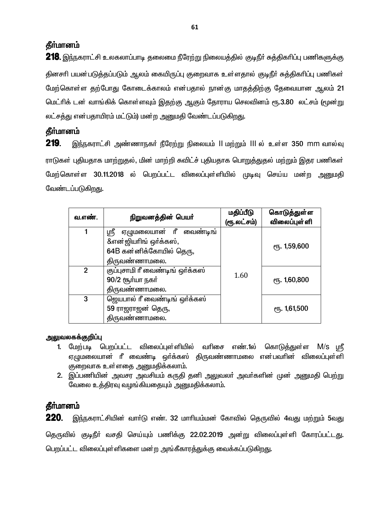### **கீர்மானம்**

**218.** இந்நகராட்சி உலகலாப்பாடி தலைமை நீரேற்று நிலையத்தில் குடிநீர் சுத்திகரிப்பு பணிகளுக்கு தினசரி பயன்படுத்தப்படும் ஆலம் கையிருப்பு குறைவாக உள்ளதால் குடிநீர் சுத்திகரிப்பு பணிகள் மேற்கொள்ள தற்போது கோடைக்காலம் என்பதால் நான்கு மாதத்திற்கு தேவையான ஆலம் 21 மெட்ரிக் டன் வாங்கிக் கொள்ளவும் இதற்கு ஆகும் தோராய செலவினம் ரூ.3.80 லட்சம் (மூன்று லட்சக்கு என்பதாயிரம் மட்டும்) மன்ற அறைமதி வேண்டப்படுகிறது.

# தீர்மானம்

219. இந்நகராட்சி அண்ணாநகர் நீரேற்று நிலையம் ll மற்றும் lll ல உள்ள 350 mm வால்வு ராடுகள் புதியதாக மாற்றுதல், மின் மாற்றி சுவிட்ச் புதியதாக பொறுத்துதல் மற்றும் இதர பணிகள் மேற்கொள்ள 30.11.2018 ல் பெறப்பட்ட விலைப்புள்ளியில் முடிவு செய்ய மன்ற அனுமதி வேண்டப்படுகிறது.

| வ.எண்.         | நிறுவனத்தின் பெயர்                                       | மதிப்பீடு<br>(ரூ.லட்சம்) | கொடுத்துள்ள<br><b>விலைப்புள்</b> ளி |
|----------------|----------------------------------------------------------|--------------------------|-------------------------------------|
|                | ஏழுமலையான் ரீ வைண்டிங்<br>ஸ்ரீ<br>&என் ஜியரிங் ஒர்க்கஸ், |                          |                                     |
|                | 64B கன்னிக்கோயில் தெரு,                                  |                          | ரு. 1,59,600                        |
|                | திருவண்ணாமலை.                                            |                          |                                     |
| $\overline{2}$ | குப்புசாமி ரீ வைண்டிங் ஒர்க்கஸ்                          | 1.60                     |                                     |
|                | 90/2 சூர்யா நகர்<br>திருவண்ணாமலை.                        |                          | ரு. 1,60,800                        |
| 3              | ஜெயபால் ரீ வைண்டிங் ஒர்க்கஸ்                             |                          |                                     |
|                | 59 ராஜராஜன் தெரு,                                        |                          | <b>е</b> ђ. 1,61,500                |
|                | திருவண்ணாமலை.                                            |                          |                                     |

#### அலுவலகக்குறிப்பு

- 1. மேற்படி பெறப்பட்ட விலைப்புள்ளியில் வரிசை எண்.1ல் கொடுத்துள்ள M/s ஸ்ரீ ஏழுமலையான் ரீ வைண்டி ஒர்க்கஸ் திருவண்ணாமலை என்பவரின் விலைப்புள்ளி குறைவாக உள்ளதை அனுமதிக்கலாம்.
- 2. இப்பணியின் அவசர அவசியம் கருதி தனி அலுவலா் அவா்களின் முன் அனுமதி பெற்று வேலை உத்திரவு வழங்கியதையும் அனுமதிக்கலாம்.

# தீா்மானம்

220. இந்நகராட்சியின் வார்டு எண். 32 மாரியம்மன் கோவில் தெருவில் 4வது மற்றும் 5வது தெருவில் குடிநீர் வசதி செய்யும் பணிக்கு 22.02.2019 அன்று விலைப்புள்ளி கோரப்பட்டது. பெறப்பட்ட விலைப்புள்ளிகளை மன்ற அங்கீகாரத்துக்கு வைக்கப்படுகிறது.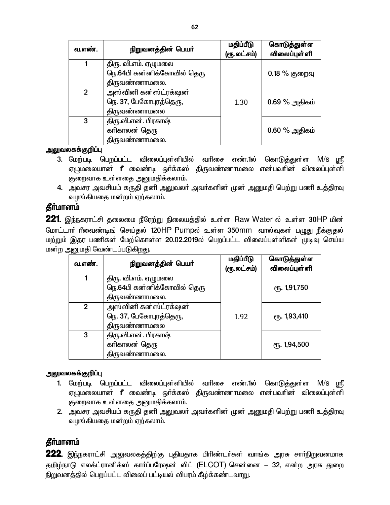| வ.எண்.        | நிறுவனத்தின் பெயர்                                 | மதிப்பீடு<br>(ரூ.லட்சம்) | கொடுத்துள்ள<br>விலைப்புள்ளி |
|---------------|----------------------------------------------------|--------------------------|-----------------------------|
|               | திரு. வி.எம். ஏழுமலை<br>நெ.64பி கன்னிக்கோவில் தெரு |                          | $0.18\%$ குறைவு             |
|               | திருவண்ணாமலை.                                      |                          |                             |
| $\mathcal{P}$ | அஸ்வினி கன்ஸ்ட்ரக்ஷன்                              |                          |                             |
|               | நெ. 37, பேகோபுரத்தெரு,                             | 1.30                     | $0.69\%$ அதிகம்             |
|               | திருவண்ணாமலை                                       |                          |                             |
| 3             | திரு.வி.என். பிரகாஷ்                               |                          |                             |
|               | கரிகாலன் தெரு                                      |                          | $0.60\%$ அதிகம்             |
|               | திருவண்ணாமலை.                                      |                          |                             |

- 3. மேற்படி பெறப்பட்ட விலைப்புள்ளியில் வரிசை எண்.1ல் கொடுத்துள்ள M/S மரீ ஏழுமலையான் ரீ வைண்டி ஒர்க்கஸ் திருவண்ணாமலை என்பவரின் விலைப்புள்ளி குறைவாக உள்ளதை அனுமதிக்கலாம்.
- 4. அவசர அவசியம் கருதி தனி அலுவலர் அவர்களின் முன் அனுமதி பெற்று பணி உத்திரவு வழங்கியதை மன்றம் ஏற்கலாம்.

### **கீர்மானம்**

221. இந்நகராட்சி தலைமை நீரேற்று நிலையத்தில் உள்ள Raw Water ல் உள்ள 30HP மின் மோட்டார் ரீவைண்டிங் செய்தல் 120HP Pumpல் உள்ள 350mm வால்வுகள் பழுது நீக்குதல் மற்றும் இதர பணிகள் மேற்கொள்ள 20.02.2019ல் பெறப்பட்ட விலைப்புள்ளிகள் முடிவு செய்ய மன்ற அனுமதி வேண்டப்படுகிறது.

| வ.எண்.         | நிறுவனத்தின் பெயர்         | மதிப்பீடு<br>(ரூ.லட்சம்) | கொடுத்துள்ள<br><b>விலைப்புள்</b> ளி               |
|----------------|----------------------------|--------------------------|---------------------------------------------------|
|                | திரு. வி.எம். ஏழுமலை       |                          |                                                   |
|                | நெ.64பி கன்னிக்கோவில் தெரு |                          | <sub>C</sub> <sup>n</sup> <sub>5</sub> . 1,91,750 |
|                | திருவண்ணாமலை.              |                          |                                                   |
| $\overline{2}$ | அஸ்வினி கன்ஸ்ட்ரக்ஷன்      |                          |                                                   |
|                | நெ. 37, பேகோபுரத்தெரு,     | 1.92                     | ரு. 1,93,410                                      |
|                | திருவண்ணாமல <u>ை</u>       |                          |                                                   |
| 3              | திரு.வி.என். பிரகாஷ்       |                          |                                                   |
|                | கரிகாலன் தெரு              |                          | ரு. 1,94,500                                      |
|                | திருவண்ணாமலை.              |                          |                                                   |

#### அலுவலகக்குறிப்பு

- 1. மேற்படி பெறப்பட்ட விலைப்புள்ளியில் வரிசை எண்.1ல் கொடுத்துள்ள M/S ஸ்ரீ ஏழுமலையான் ரீ வைண்டி ஒர்க்கஸ் திருவண்ணாமலை என்பவரின் விலைப்புள்ளி குறைவாக உள்ளதை அனுமதிக்கலாம்.
- 2. அவசர அவசியம் கருதி தனி அலுவலா் அவா்களின் முன் அனுமதி பெற்று பணி உத்திரவு வழங்கியதை மன்றம் ஏற்கலாம்.

# **கீர்மானம்**

222. இந்நகராட்சி அலுவலகத்திற்கு புதியதாக பிரிண்டர்கள் வாங்க அரசு சார்நிறுவனமாக தமிழ்நாடு எலக்ட்ரானிக்ஸ் காா்ப்பரேஷன் லிட் (ELCOT) சென்னை — 32, என்ற அரசு துறை நிறுவனத்தில் பெறப்பட்ட விலைப் பட்டியல் விபரம் கீழ்க்கண்டவாறு.